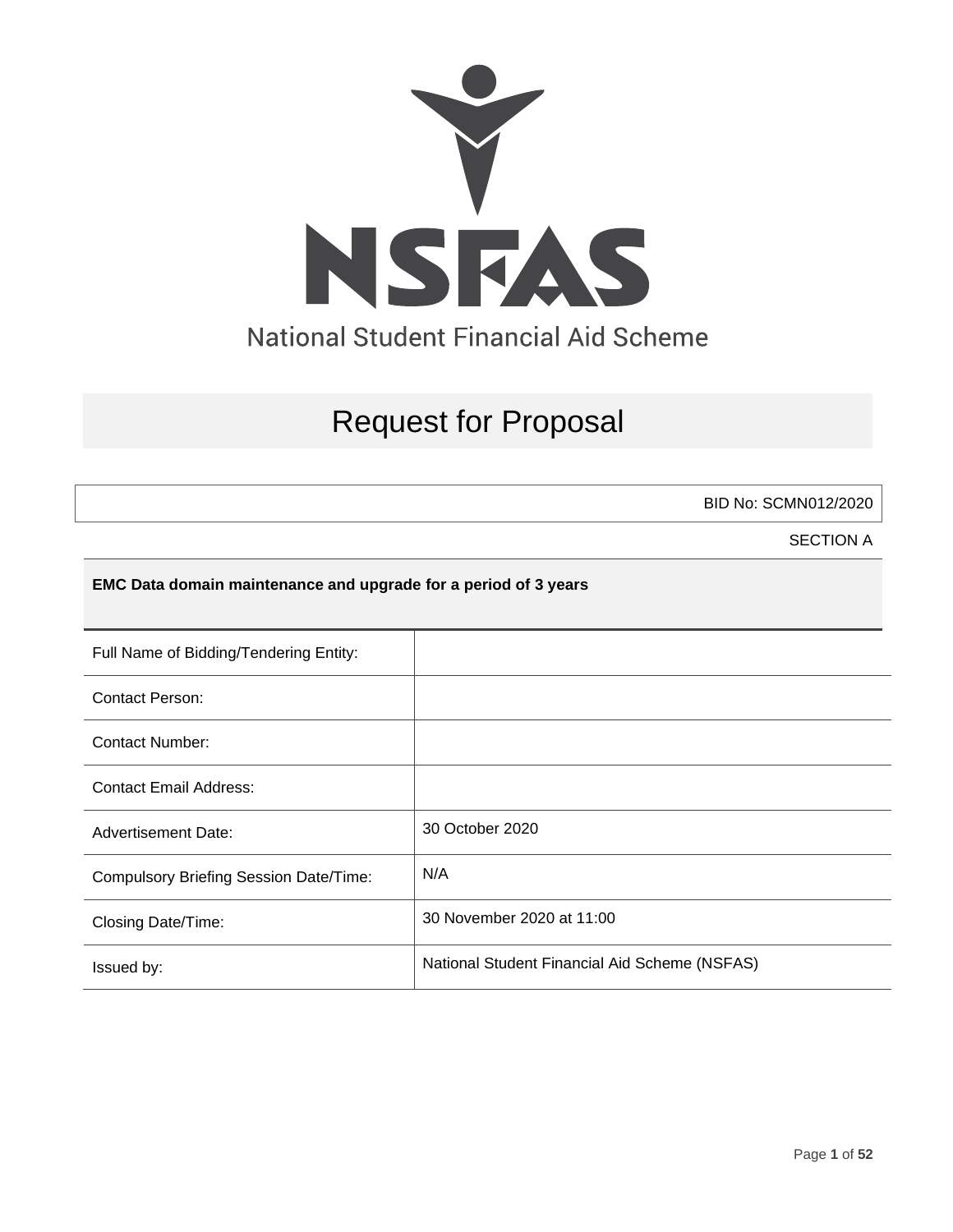

# Request for Proposal

BID No: SCMN012/2020

SECTION A

#### **EMC Data domain maintenance and upgrade for a period of 3 years**

| Full Name of Bidding/Tendering Entity:        |                                               |
|-----------------------------------------------|-----------------------------------------------|
| <b>Contact Person:</b>                        |                                               |
| Contact Number:                               |                                               |
| <b>Contact Email Address:</b>                 |                                               |
| <b>Advertisement Date:</b>                    | 30 October 2020                               |
| <b>Compulsory Briefing Session Date/Time:</b> | N/A                                           |
| Closing Date/Time:                            | 30 November 2020 at 11:00                     |
| Issued by:                                    | National Student Financial Aid Scheme (NSFAS) |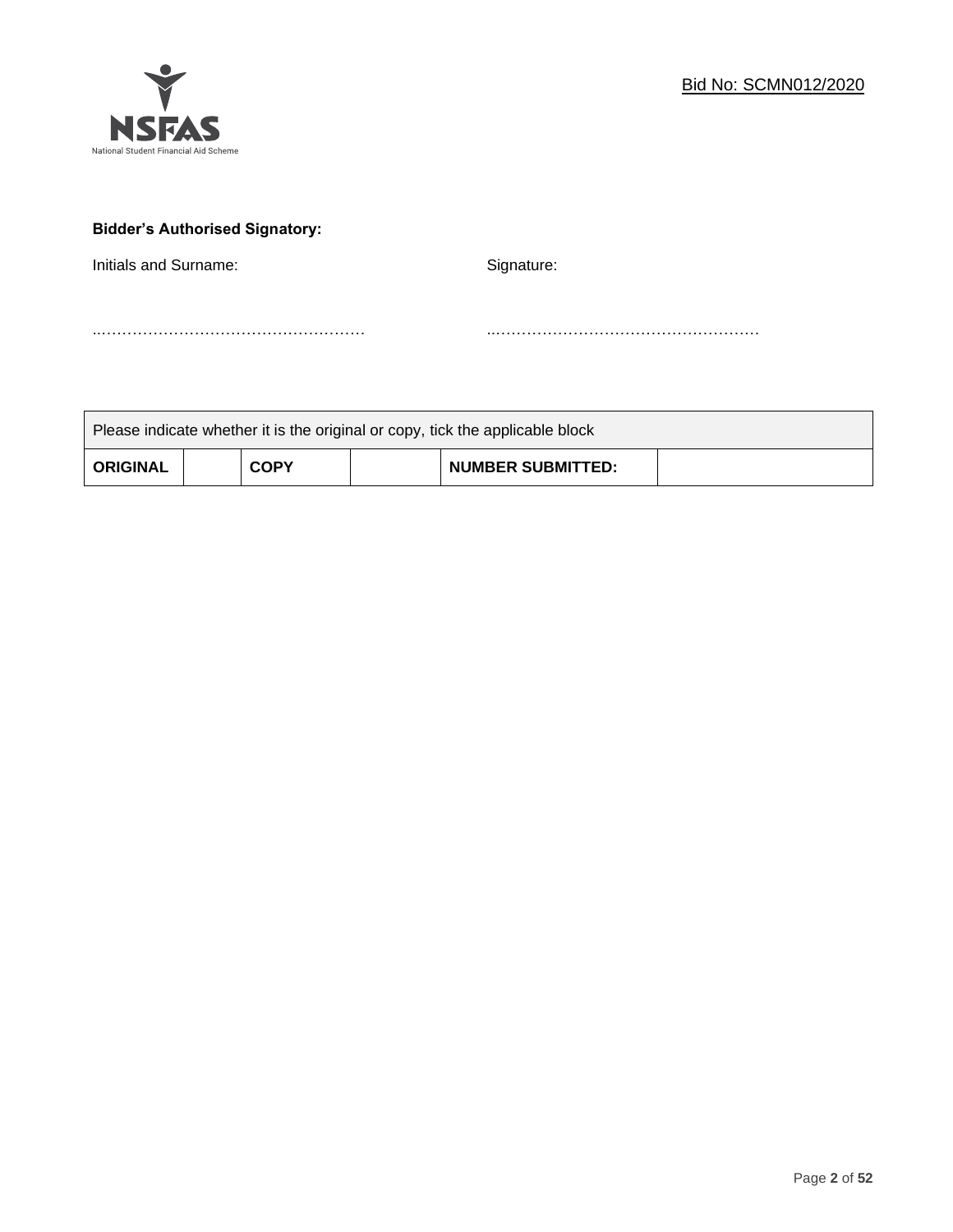

# **Bidder's Authorised Signatory:**

Initials and Surname: Signature: Signature:

..…………………………………………… ..……………………………………………

| Please indicate whether it is the original or copy, tick the applicable block |  |             |  |                          |  |
|-------------------------------------------------------------------------------|--|-------------|--|--------------------------|--|
| <b>ORIGINAL</b>                                                               |  | <b>COPY</b> |  | <b>NUMBER SUBMITTED:</b> |  |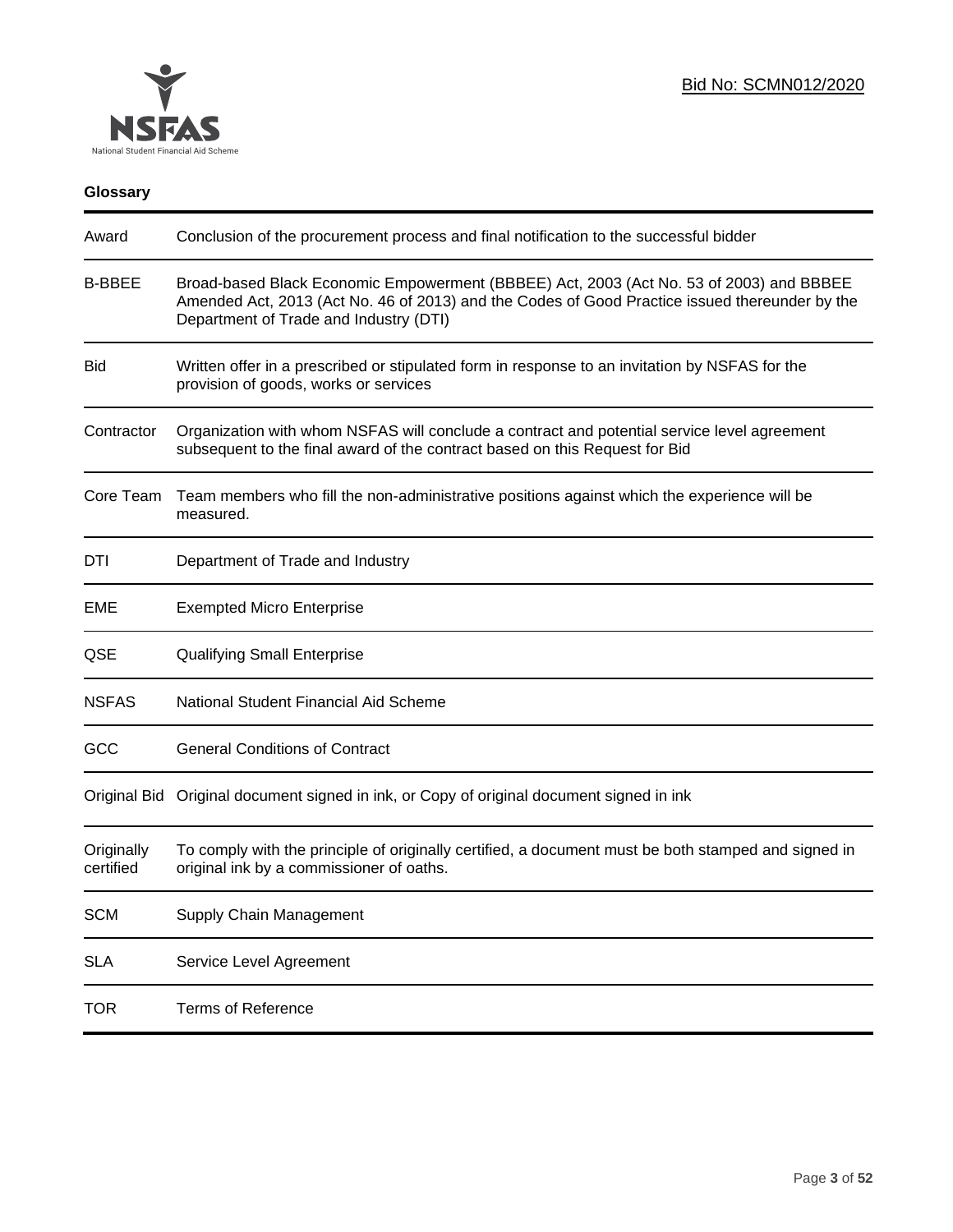

# **Glossary**

| Award                   | Conclusion of the procurement process and final notification to the successful bidder                                                                                                                                               |  |  |
|-------------------------|-------------------------------------------------------------------------------------------------------------------------------------------------------------------------------------------------------------------------------------|--|--|
| <b>B-BBEE</b>           | Broad-based Black Economic Empowerment (BBBEE) Act, 2003 (Act No. 53 of 2003) and BBBEE<br>Amended Act, 2013 (Act No. 46 of 2013) and the Codes of Good Practice issued thereunder by the<br>Department of Trade and Industry (DTI) |  |  |
| <b>Bid</b>              | Written offer in a prescribed or stipulated form in response to an invitation by NSFAS for the<br>provision of goods, works or services                                                                                             |  |  |
| Contractor              | Organization with whom NSFAS will conclude a contract and potential service level agreement<br>subsequent to the final award of the contract based on this Request for Bid                                                          |  |  |
| Core Team               | Team members who fill the non-administrative positions against which the experience will be<br>measured.                                                                                                                            |  |  |
| DTI                     | Department of Trade and Industry                                                                                                                                                                                                    |  |  |
| EME                     | <b>Exempted Micro Enterprise</b>                                                                                                                                                                                                    |  |  |
| QSE                     | <b>Qualifying Small Enterprise</b>                                                                                                                                                                                                  |  |  |
| <b>NSFAS</b>            | National Student Financial Aid Scheme                                                                                                                                                                                               |  |  |
| GCC                     | <b>General Conditions of Contract</b>                                                                                                                                                                                               |  |  |
|                         | Original Bid Original document signed in ink, or Copy of original document signed in ink                                                                                                                                            |  |  |
| Originally<br>certified | To comply with the principle of originally certified, a document must be both stamped and signed in<br>original ink by a commissioner of oaths.                                                                                     |  |  |
| <b>SCM</b>              | Supply Chain Management                                                                                                                                                                                                             |  |  |
| <b>SLA</b>              | Service Level Agreement                                                                                                                                                                                                             |  |  |
| <b>TOR</b>              | <b>Terms of Reference</b>                                                                                                                                                                                                           |  |  |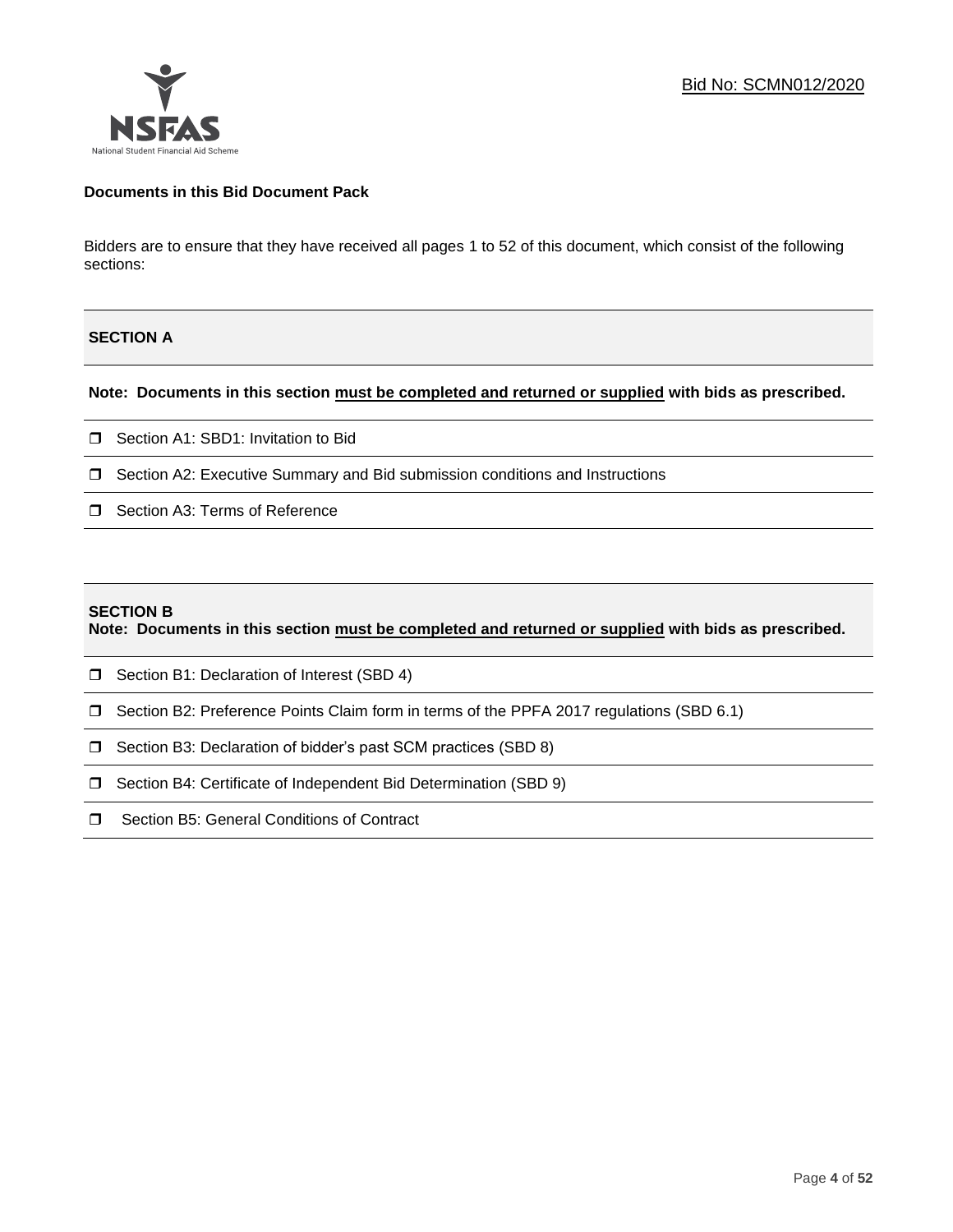# **Documents in this Bid Document Pack**

Bidders are to ensure that they have received all pages 1 to 52 of this document, which consist of the following sections:

# **SECTION A**

# **Note: Documents in this section must be completed and returned or supplied with bids as prescribed.**

- □ Section A1: SBD1: Invitation to Bid
- $\Box$  Section A2: Executive Summary and Bid submission conditions and Instructions
- □ Section A3: Terms of Reference

#### **SECTION B**

**Note: Documents in this section must be completed and returned or supplied with bids as prescribed.**

- □ Section B1: Declaration of Interest (SBD 4)
- Section B2: Preference Points Claim form in terms of the PPFA 2017 regulations (SBD 6.1)
- □ Section B3: Declaration of bidder's past SCM practices (SBD 8)
- □ Section B4: Certificate of Independent Bid Determination (SBD 9)
- □ Section B5: General Conditions of Contract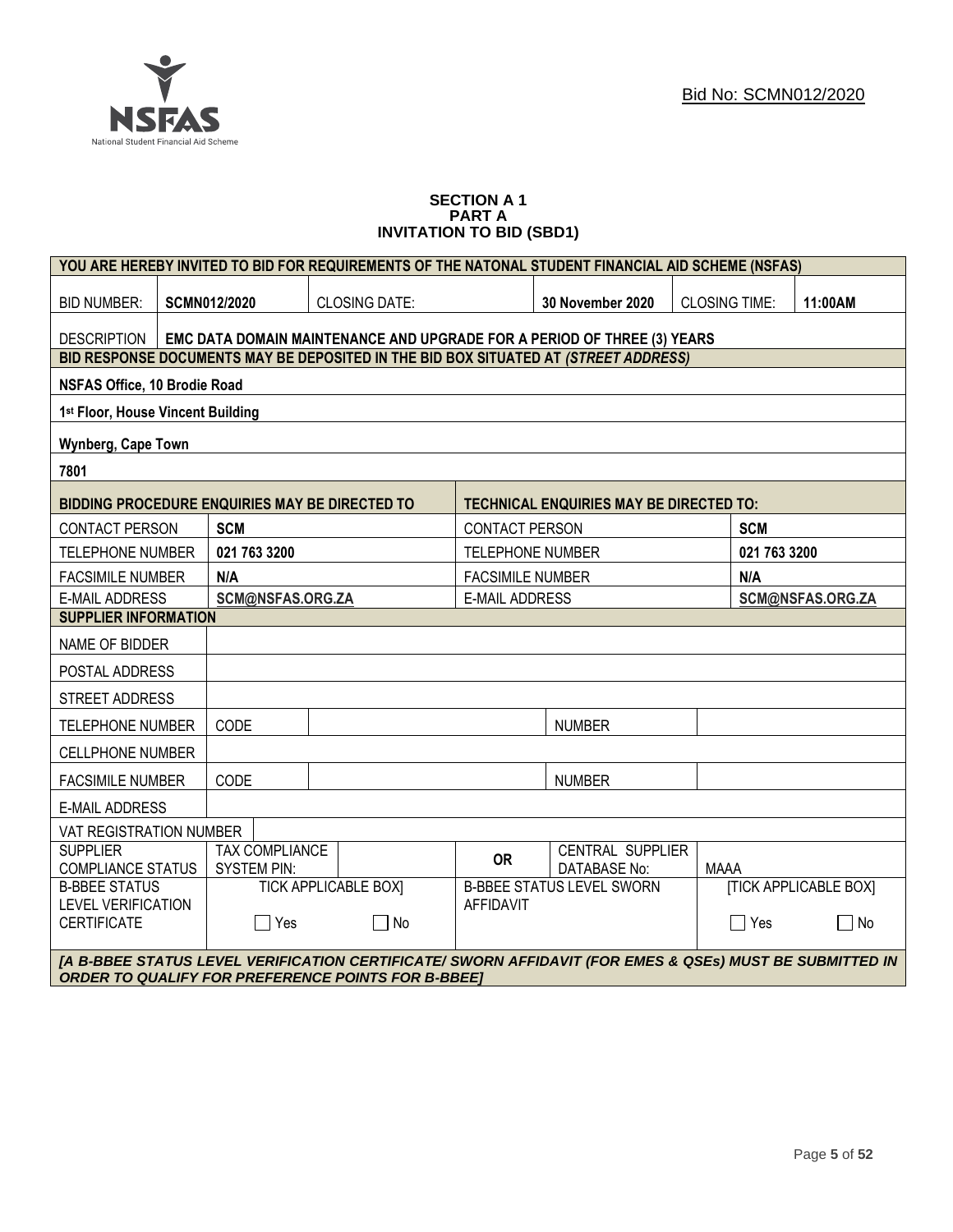

#### **SECTION A 1 PART A INVITATION TO BID (SBD1)**

| YOU ARE HEREBY INVITED TO BID FOR REQUIREMENTS OF THE NATONAL STUDENT FINANCIAL AID SCHEME (NSFAS) |                                                                                                                                                                      |                                             |                                                                                                                           |                                                                                     |                                           |                              |                                                |  |                 |         |
|----------------------------------------------------------------------------------------------------|----------------------------------------------------------------------------------------------------------------------------------------------------------------------|---------------------------------------------|---------------------------------------------------------------------------------------------------------------------------|-------------------------------------------------------------------------------------|-------------------------------------------|------------------------------|------------------------------------------------|--|-----------------|---------|
| <b>BID NUMBER:</b>                                                                                 |                                                                                                                                                                      | <b>CLOSING DATE:</b><br><b>SCMN012/2020</b> |                                                                                                                           |                                                                                     |                                           | 30 November 2020             | <b>CLOSING TIME:</b>                           |  | 11:00AM         |         |
| <b>DESCRIPTION</b>                                                                                 |                                                                                                                                                                      |                                             |                                                                                                                           | EMC DATA DOMAIN MAINTENANCE AND UPGRADE FOR A PERIOD OF THREE (3) YEARS             |                                           |                              |                                                |  |                 |         |
|                                                                                                    |                                                                                                                                                                      |                                             |                                                                                                                           | BID RESPONSE DOCUMENTS MAY BE DEPOSITED IN THE BID BOX SITUATED AT (STREET ADDRESS) |                                           |                              |                                                |  |                 |         |
| NSFAS Office, 10 Brodie Road                                                                       |                                                                                                                                                                      |                                             |                                                                                                                           |                                                                                     |                                           |                              |                                                |  |                 |         |
| 1st Floor, House Vincent Building                                                                  |                                                                                                                                                                      |                                             |                                                                                                                           |                                                                                     |                                           |                              |                                                |  |                 |         |
| Wynberg, Cape Town                                                                                 |                                                                                                                                                                      |                                             |                                                                                                                           |                                                                                     |                                           |                              |                                                |  |                 |         |
| 7801                                                                                               |                                                                                                                                                                      |                                             |                                                                                                                           |                                                                                     |                                           |                              |                                                |  |                 |         |
|                                                                                                    |                                                                                                                                                                      |                                             |                                                                                                                           | <b>BIDDING PROCEDURE ENQUIRIES MAY BE DIRECTED TO</b>                               |                                           |                              | <b>TECHNICAL ENQUIRIES MAY BE DIRECTED TO:</b> |  |                 |         |
| <b>CONTACT PERSON</b>                                                                              |                                                                                                                                                                      | <b>SCM</b>                                  |                                                                                                                           |                                                                                     | CONTACT PERSON                            |                              |                                                |  | <b>SCM</b>      |         |
| <b>TELEPHONE NUMBER</b>                                                                            |                                                                                                                                                                      | 021 763 3200                                |                                                                                                                           |                                                                                     | <b>TELEPHONE NUMBER</b>                   |                              |                                                |  | 021 763 3200    |         |
| <b>FACSIMILE NUMBER</b>                                                                            |                                                                                                                                                                      | N/A                                         |                                                                                                                           |                                                                                     | <b>FACSIMILE NUMBER</b>                   |                              |                                                |  | N/A             |         |
| <b>E-MAIL ADDRESS</b>                                                                              |                                                                                                                                                                      |                                             | SCM@NSFAS.ORG.ZA                                                                                                          |                                                                                     | <b>E-MAIL ADDRESS</b><br>SCM@NSFAS.ORG.ZA |                              |                                                |  |                 |         |
| <b>SUPPLIER INFORMATION</b>                                                                        |                                                                                                                                                                      |                                             |                                                                                                                           |                                                                                     |                                           |                              |                                                |  |                 |         |
| NAME OF BIDDER                                                                                     |                                                                                                                                                                      |                                             |                                                                                                                           |                                                                                     |                                           |                              |                                                |  |                 |         |
| POSTAL ADDRESS                                                                                     |                                                                                                                                                                      |                                             |                                                                                                                           |                                                                                     |                                           |                              |                                                |  |                 |         |
| STREET ADDRESS                                                                                     |                                                                                                                                                                      |                                             |                                                                                                                           |                                                                                     |                                           |                              |                                                |  |                 |         |
| <b>TELEPHONE NUMBER</b>                                                                            |                                                                                                                                                                      | CODE                                        |                                                                                                                           |                                                                                     |                                           |                              | <b>NUMBER</b>                                  |  |                 |         |
| <b>CELLPHONE NUMBER</b>                                                                            |                                                                                                                                                                      |                                             |                                                                                                                           |                                                                                     |                                           |                              |                                                |  |                 |         |
| <b>FACSIMILE NUMBER</b>                                                                            |                                                                                                                                                                      | CODE                                        |                                                                                                                           |                                                                                     |                                           |                              | <b>NUMBER</b>                                  |  |                 |         |
| <b>E-MAIL ADDRESS</b>                                                                              |                                                                                                                                                                      |                                             |                                                                                                                           |                                                                                     |                                           |                              |                                                |  |                 |         |
| VAT REGISTRATION NUMBER                                                                            |                                                                                                                                                                      |                                             |                                                                                                                           |                                                                                     |                                           |                              |                                                |  |                 |         |
| <b>SUPPLIER</b><br><b>COMPLIANCE STATUS</b>                                                        |                                                                                                                                                                      |                                             | <b>TAX COMPLIANCE</b><br><b>CENTRAL SUPPLIER</b><br><b>OR</b><br><b>SYSTEM PIN:</b><br><b>DATABASE No:</b><br><b>MAAA</b> |                                                                                     |                                           |                              |                                                |  |                 |         |
| <b>B-BBEE STATUS</b><br><b>TICK APPLICABLE BOXI</b>                                                |                                                                                                                                                                      |                                             | <b>B-BBEE STATUS LEVEL SWORN</b>                                                                                          |                                                                                     |                                           | <b>[TICK APPLICABLE BOX]</b> |                                                |  |                 |         |
| <b>LEVEL VERIFICATION</b><br><b>CERTIFICATE</b>                                                    |                                                                                                                                                                      |                                             | $\Box$ Yes                                                                                                                | $\sqcap$ No                                                                         | <b>AFFIDAVIT</b>                          |                              |                                                |  | $\sqsupset$ Yes | П<br>No |
|                                                                                                    | [A B-BBEE STATUS LEVEL VERIFICATION CERTIFICATE/ SWORN AFFIDAVIT (FOR EMES & QSEs) MUST BE SUBMITTED IN<br><b>ORDER TO QUALIFY FOR PREFERENCE POINTS FOR B-BBEET</b> |                                             |                                                                                                                           |                                                                                     |                                           |                              |                                                |  |                 |         |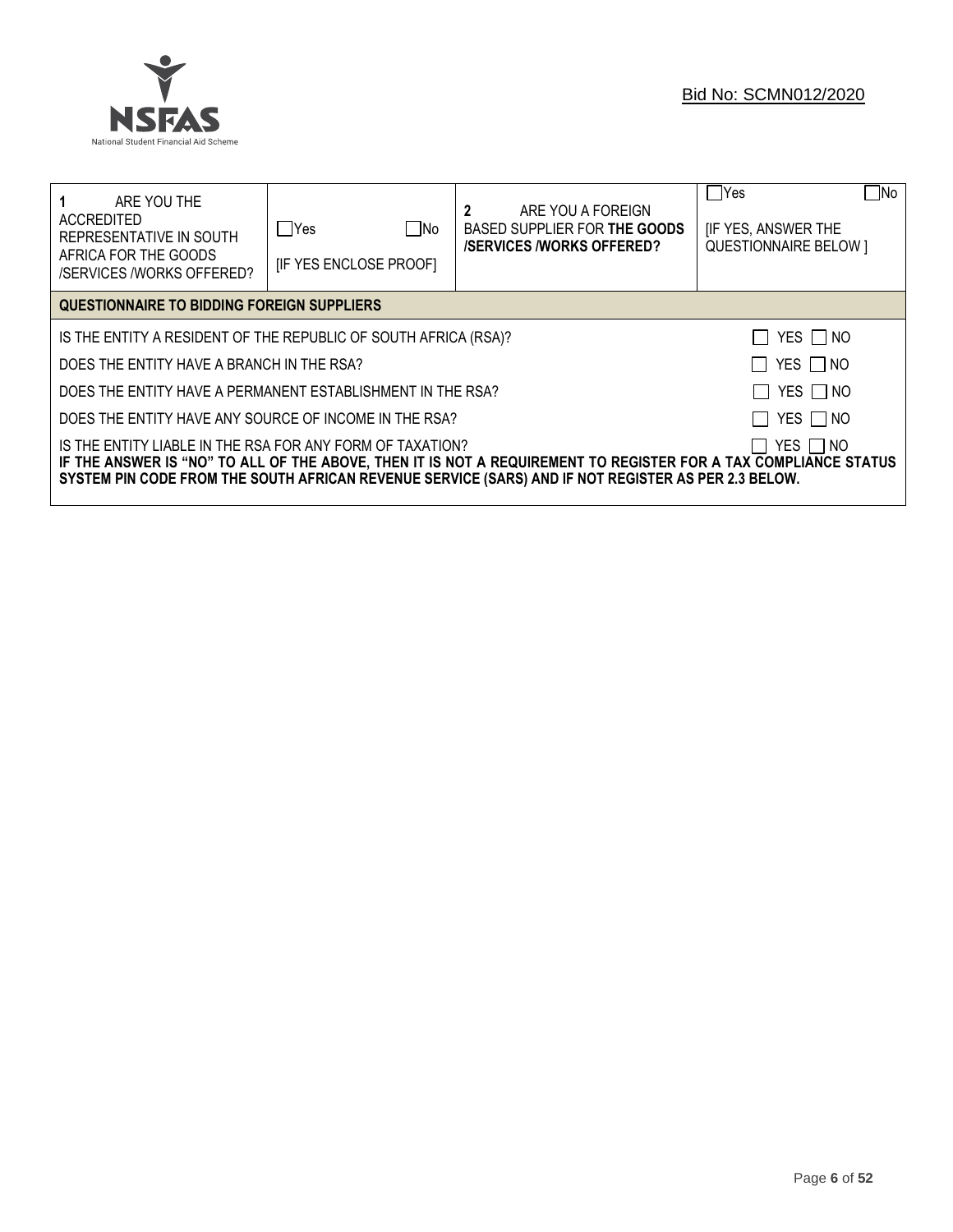

| ARE YOU THE<br>ACCREDITED<br>REPRESENTATIVE IN SOUTH<br>AFRICA FOR THE GOODS<br>/SERVICES /WORKS OFFERED?                                                                                                                                                                                        | ∏ No<br>lYes<br><b>IF YES ENCLOSE PROOFI</b> | 2<br>ARE YOU A FOREIGN<br>BASED SUPPLIER FOR THE GOODS<br><b>/SERVICES/WORKS OFFERED?</b> | No<br>  Yes<br><b>IF YES, ANSWER THE</b><br><b>QUESTIONNAIRE BELOW 1</b> |  |  |  |
|--------------------------------------------------------------------------------------------------------------------------------------------------------------------------------------------------------------------------------------------------------------------------------------------------|----------------------------------------------|-------------------------------------------------------------------------------------------|--------------------------------------------------------------------------|--|--|--|
| QUESTIONNAIRE TO BIDDING FOREIGN SUPPLIERS                                                                                                                                                                                                                                                       |                                              |                                                                                           |                                                                          |  |  |  |
| YES $\Box$ NO<br>IS THE ENTITY A RESIDENT OF THE REPUBLIC OF SOUTH AFRICA (RSA)?                                                                                                                                                                                                                 |                                              |                                                                                           |                                                                          |  |  |  |
| YES □ NO<br>DOES THE ENTITY HAVE A BRANCH IN THE RSA?                                                                                                                                                                                                                                            |                                              |                                                                                           |                                                                          |  |  |  |
| YES NO<br>DOES THE ENTITY HAVE A PERMANENT ESTABLISHMENT IN THE RSA?                                                                                                                                                                                                                             |                                              |                                                                                           |                                                                          |  |  |  |
| YES   NO<br>DOES THE ENTITY HAVE ANY SOURCE OF INCOME IN THE RSA?                                                                                                                                                                                                                                |                                              |                                                                                           |                                                                          |  |  |  |
| IS THE ENTITY LIABLE IN THE RSA FOR ANY FORM OF TAXATION?<br>YES I INO<br>IF THE ANSWER IS "NO" TO ALL OF THE ABOVE, THEN IT IS NOT A REQUIREMENT TO REGISTER FOR A TAX COMPLIANCE STATUS<br>SYSTEM PIN CODE FROM THE SOUTH AFRICAN REVENUE SERVICE (SARS) AND IF NOT REGISTER AS PER 2.3 BELOW. |                                              |                                                                                           |                                                                          |  |  |  |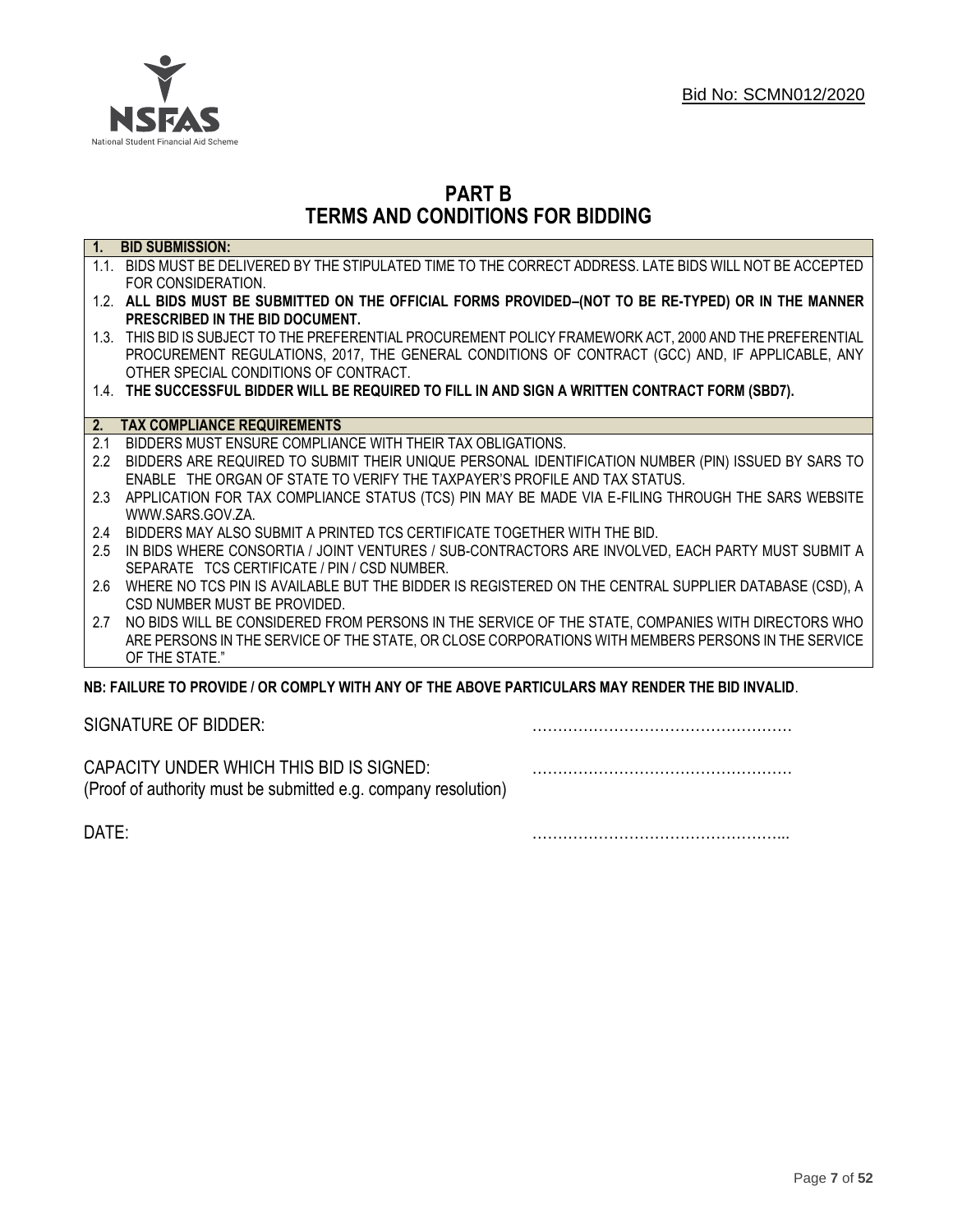

# **PART B TERMS AND CONDITIONS FOR BIDDING**

| $\overline{1}$ . | <b>BID SUBMISSION:</b>                                                                                    |
|------------------|-----------------------------------------------------------------------------------------------------------|
|                  | 1.1. BIDS MUST BE DELIVERED BY THE STIPULATED TIME TO THE CORRECT ADDRESS. LATE BIDS WILL NOT BE ACCEPTED |
|                  | FOR CONSIDERATION.                                                                                        |
|                  | 1.2. ALL BIDS MUST BE SUBMITTED ON THE OFFICIAL FORMS PROVIDED-(NOT TO BE RE-TYPED) OR IN THE MANNER      |
|                  | PRESCRIBED IN THE BID DOCUMENT.                                                                           |
|                  | 1.3. THIS BID IS SUBJECT TO THE PREFERENTIAL PROCUREMENT POLICY FRAMEWORK ACT, 2000 AND THE PREFERENTIAL  |
|                  | PROCUREMENT REGULATIONS, 2017, THE GENERAL CONDITIONS OF CONTRACT (GCC) AND, IF APPLICABLE, ANY           |
|                  | OTHER SPECIAL CONDITIONS OF CONTRACT.                                                                     |
|                  | 1.4. THE SUCCESSFUL BIDDER WILL BE REQUIRED TO FILL IN AND SIGN A WRITTEN CONTRACT FORM (SBD7).           |
|                  |                                                                                                           |
| 2.               | <b>TAX COMPLIANCE REQUIREMENTS</b>                                                                        |
| 2.1              | BIDDERS MUST ENSURE COMPLIANCE WITH THEIR TAX OBLIGATIONS.                                                |
| $2.2^{\circ}$    | BIDDERS ARE REQUIRED TO SUBMIT THEIR UNIQUE PERSONAL IDENTIFICATION NUMBER (PIN) ISSUED BY SARS TO        |
|                  | ENABLE THE ORGAN OF STATE TO VERIFY THE TAXPAYER'S PROFILE AND TAX STATUS.                                |
| 2.3              | APPLICATION FOR TAX COMPLIANCE STATUS (TCS) PIN MAY BE MADE VIA E-FILING THROUGH THE SARS WEBSITE         |
|                  | WWW.SARS.GOV.ZA.                                                                                          |
| 2.4              | BIDDERS MAY ALSO SUBMIT A PRINTED TCS CERTIFICATE TOGETHER WITH THE BID.                                  |
| 2.5              | IN BIDS WHERE CONSORTIA / JOINT VENTURES / SUB-CONTRACTORS ARE INVOLVED, EACH PARTY MUST SUBMIT A         |
|                  | SEPARATE TCS CERTIFICATE / PIN / CSD NUMBER.                                                              |
| 2.6              | WHERE NO TCS PIN IS AVAILABLE BUT THE BIDDER IS REGISTERED ON THE CENTRAL SUPPLIER DATABASE (CSD), A      |
|                  | CSD NUMBER MUST BE PROVIDED.                                                                              |
| 2.7              | NO BIDS WILL BE CONSIDERED FROM PERSONS IN THE SERVICE OF THE STATE, COMPANIES WITH DIRECTORS WHO         |
|                  | ARE PERSONS IN THE SERVICE OF THE STATE, OR CLOSE CORPORATIONS WITH MEMBERS PERSONS IN THE SERVICE        |
|                  | OF THE STATE."                                                                                            |
|                  | NB: FAILURE TO PROVIDE / OR COMPLY WITH ANY OF THE ABOVE PARTICULARS MAY RENDER THE BID INVALID.          |
|                  |                                                                                                           |

SIGNATURE OF BIDDER: ……………………………………………

CAPACITY UNDER WHICH THIS BID IS SIGNED: …………………………………………… (Proof of authority must be submitted e.g. company resolution)

DATE: …………………………………………...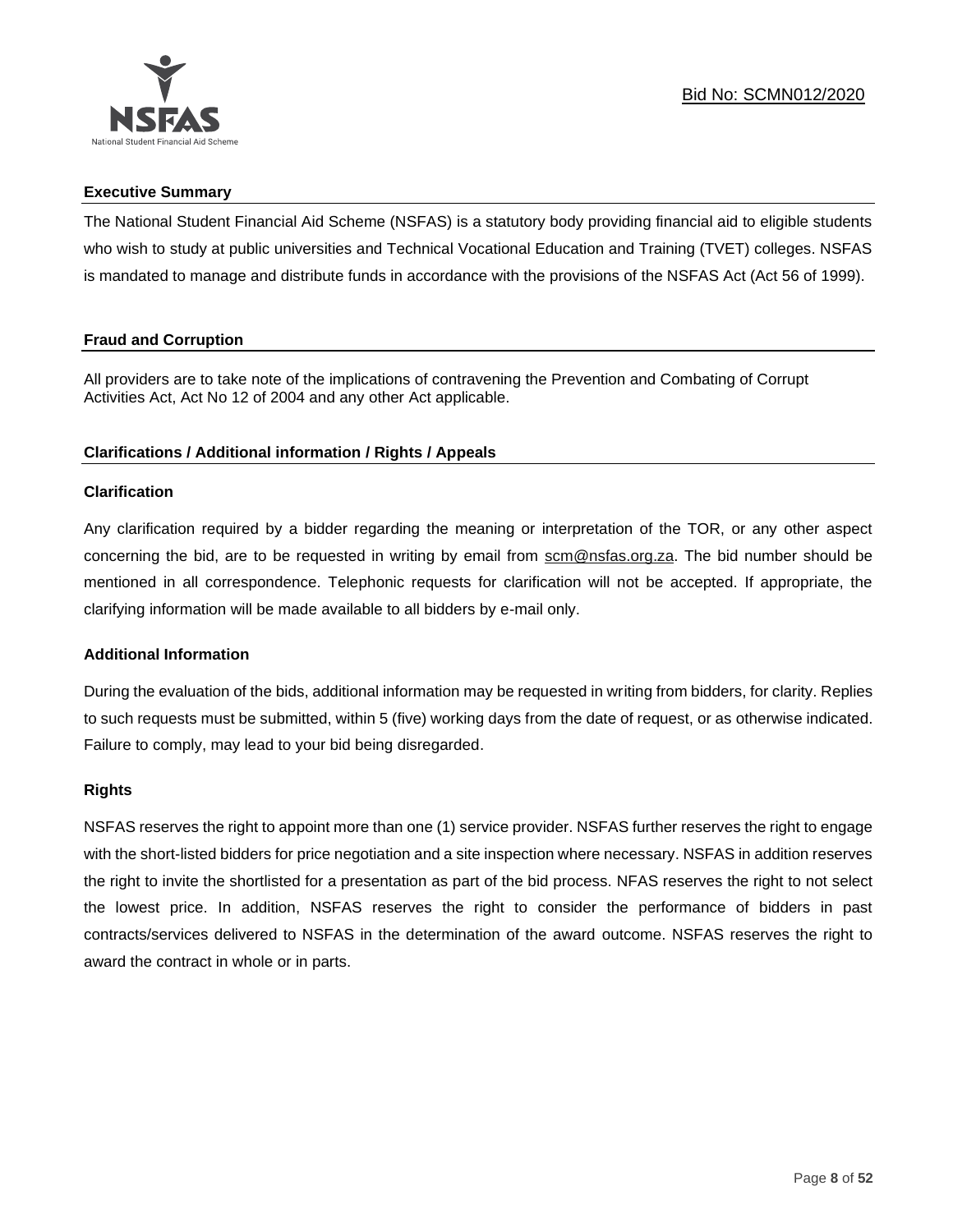

# **Executive Summary**

The National Student Financial Aid Scheme (NSFAS) is a statutory body providing financial aid to eligible students who wish to study at public universities and Technical Vocational Education and Training (TVET) colleges. NSFAS is mandated to manage and distribute funds in accordance with the provisions of the NSFAS Act (Act 56 of 1999).

# **Fraud and Corruption**

All providers are to take note of the implications of contravening the Prevention and Combating of Corrupt Activities Act, Act No 12 of 2004 and any other Act applicable.

# **Clarifications / Additional information / Rights / Appeals**

# **Clarification**

Any clarification required by a bidder regarding the meaning or interpretation of the TOR, or any other aspect concerning the bid, are to be requested in writing by email from scm@nsfas.org.za. The bid number should be mentioned in all correspondence. Telephonic requests for clarification will not be accepted. If appropriate, the clarifying information will be made available to all bidders by e-mail only.

# **Additional Information**

During the evaluation of the bids, additional information may be requested in writing from bidders, for clarity. Replies to such requests must be submitted, within 5 (five) working days from the date of request, or as otherwise indicated. Failure to comply, may lead to your bid being disregarded.

#### **Rights**

NSFAS reserves the right to appoint more than one (1) service provider. NSFAS further reserves the right to engage with the short-listed bidders for price negotiation and a site inspection where necessary. NSFAS in addition reserves the right to invite the shortlisted for a presentation as part of the bid process. NFAS reserves the right to not select the lowest price. In addition, NSFAS reserves the right to consider the performance of bidders in past contracts/services delivered to NSFAS in the determination of the award outcome. NSFAS reserves the right to award the contract in whole or in parts.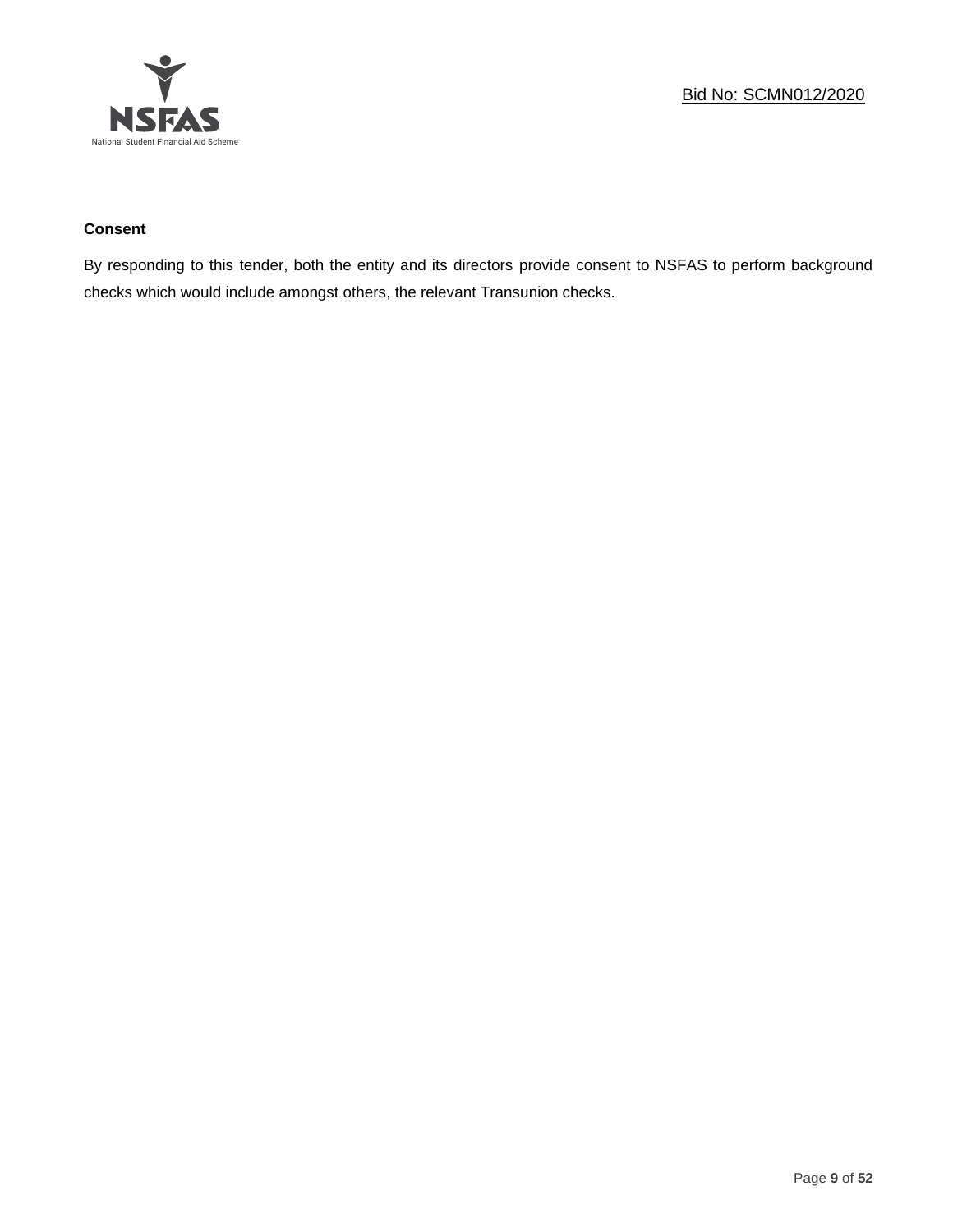

# **Consent**

By responding to this tender, both the entity and its directors provide consent to NSFAS to perform background checks which would include amongst others, the relevant Transunion checks.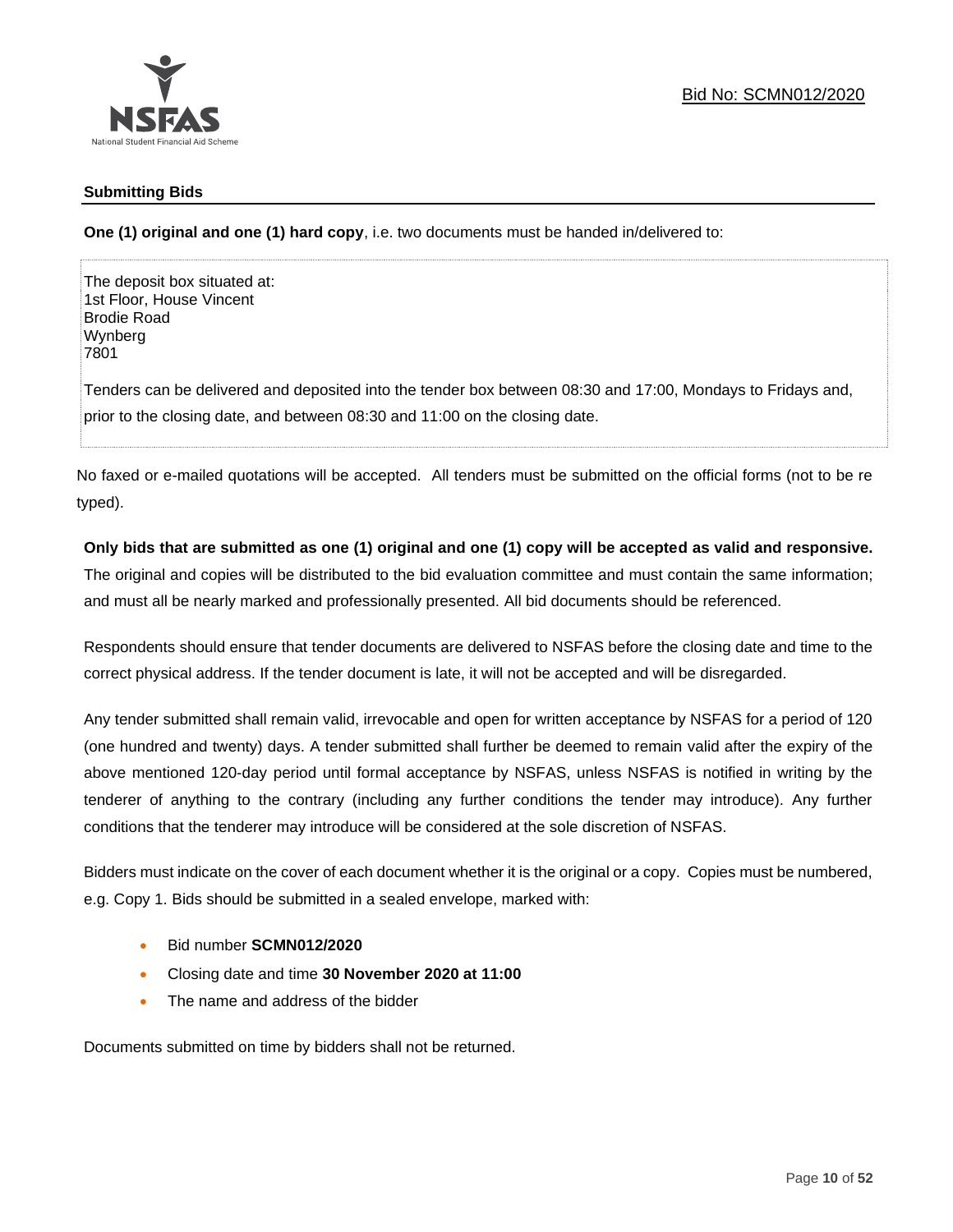

# **Submitting Bids**

**One (1) original and one (1) hard copy**, i.e. two documents must be handed in/delivered to:

The deposit box situated at: 1st Floor, House Vincent Brodie Road Wynberg 7801

Tenders can be delivered and deposited into the tender box between 08:30 and 17:00, Mondays to Fridays and, prior to the closing date, and between 08:30 and 11:00 on the closing date.

No faxed or e-mailed quotations will be accepted. All tenders must be submitted on the official forms (not to be re typed).

# **Only bids that are submitted as one (1) original and one (1) copy will be accepted as valid and responsive.**

The original and copies will be distributed to the bid evaluation committee and must contain the same information; and must all be nearly marked and professionally presented. All bid documents should be referenced.

Respondents should ensure that tender documents are delivered to NSFAS before the closing date and time to the correct physical address. If the tender document is late, it will not be accepted and will be disregarded.

Any tender submitted shall remain valid, irrevocable and open for written acceptance by NSFAS for a period of 120 (one hundred and twenty) days. A tender submitted shall further be deemed to remain valid after the expiry of the above mentioned 120-day period until formal acceptance by NSFAS, unless NSFAS is notified in writing by the tenderer of anything to the contrary (including any further conditions the tender may introduce). Any further conditions that the tenderer may introduce will be considered at the sole discretion of NSFAS.

Bidders must indicate on the cover of each document whether it is the original or a copy. Copies must be numbered, e.g. Copy 1. Bids should be submitted in a sealed envelope, marked with:

- Bid number **SCMN012/2020**
- Closing date and time **30 November 2020 at 11:00**
- The name and address of the bidder

Documents submitted on time by bidders shall not be returned.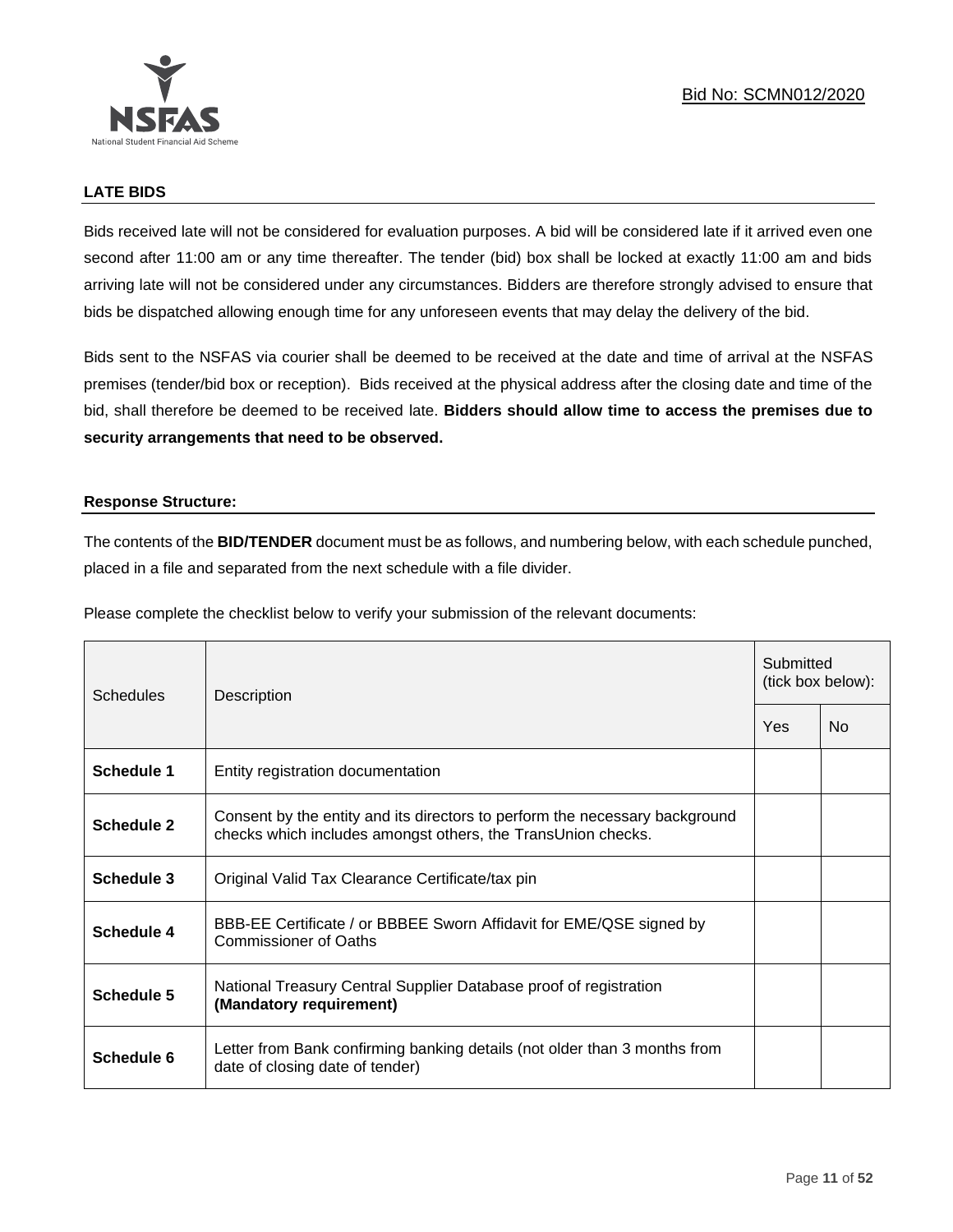

# **LATE BIDS**

Bids received late will not be considered for evaluation purposes. A bid will be considered late if it arrived even one second after 11:00 am or any time thereafter. The tender (bid) box shall be locked at exactly 11:00 am and bids arriving late will not be considered under any circumstances. Bidders are therefore strongly advised to ensure that bids be dispatched allowing enough time for any unforeseen events that may delay the delivery of the bid.

Bids sent to the NSFAS via courier shall be deemed to be received at the date and time of arrival at the NSFAS premises (tender/bid box or reception). Bids received at the physical address after the closing date and time of the bid, shall therefore be deemed to be received late. **Bidders should allow time to access the premises due to security arrangements that need to be observed.**

#### **Response Structure:**

The contents of the **BID/TENDER** document must be as follows, and numbering below, with each schedule punched, placed in a file and separated from the next schedule with a file divider.

Please complete the checklist below to verify your submission of the relevant documents:

| <b>Schedules</b> | Description                                                                                                                                 |  | Submitted<br>(tick box below): |  |
|------------------|---------------------------------------------------------------------------------------------------------------------------------------------|--|--------------------------------|--|
|                  |                                                                                                                                             |  | No                             |  |
| Schedule 1       | Entity registration documentation                                                                                                           |  |                                |  |
| Schedule 2       | Consent by the entity and its directors to perform the necessary background<br>checks which includes amongst others, the TransUnion checks. |  |                                |  |
| Schedule 3       | Original Valid Tax Clearance Certificate/tax pin                                                                                            |  |                                |  |
| Schedule 4       | BBB-EE Certificate / or BBBEE Sworn Affidavit for EME/QSE signed by<br>Commissioner of Oaths                                                |  |                                |  |
| Schedule 5       | National Treasury Central Supplier Database proof of registration<br>(Mandatory requirement)                                                |  |                                |  |
| Schedule 6       | Letter from Bank confirming banking details (not older than 3 months from<br>date of closing date of tender)                                |  |                                |  |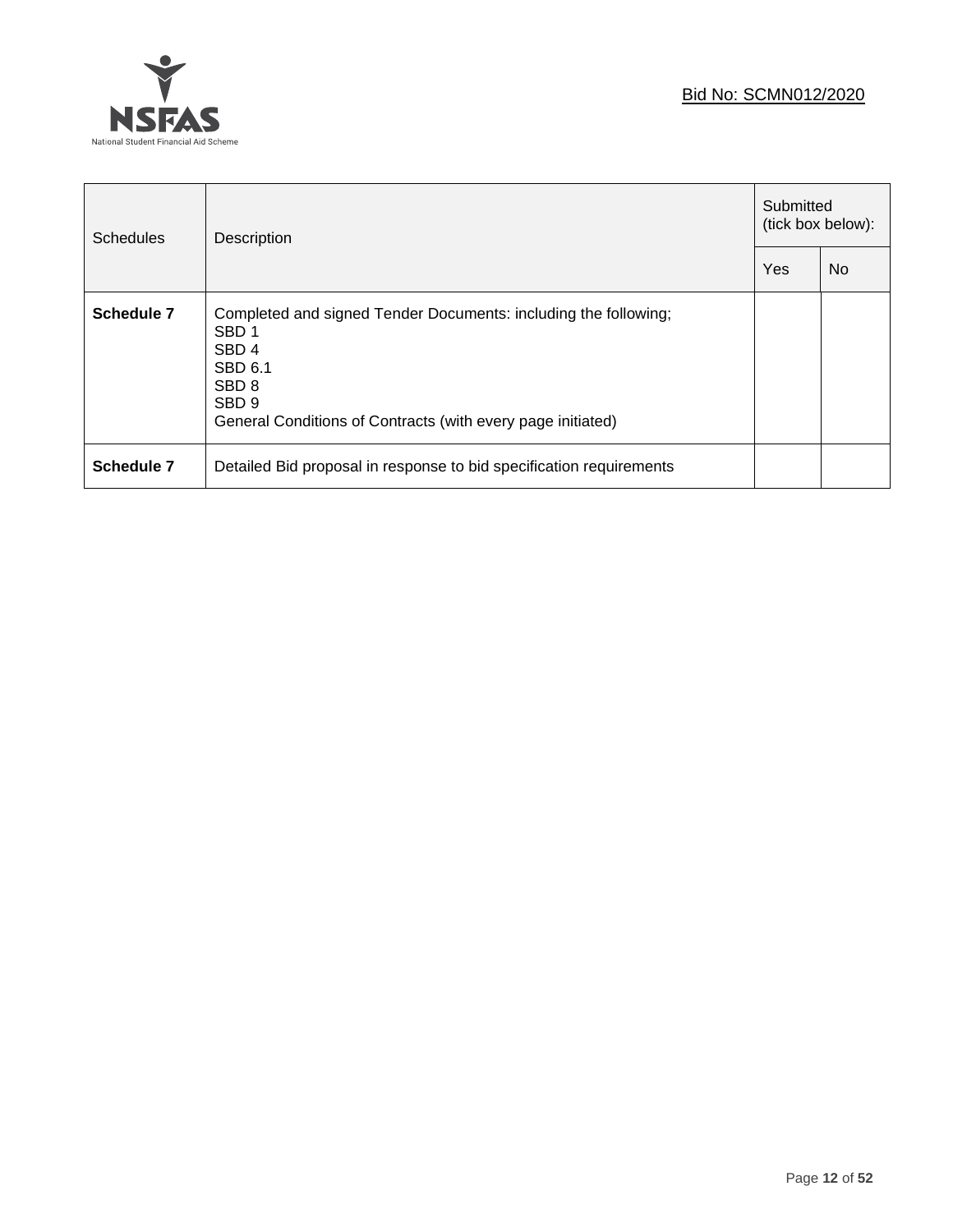

| <b>Schedules</b> | Description                                                                                                                                                                                                               |  | Submitted<br>(tick box below): |  |
|------------------|---------------------------------------------------------------------------------------------------------------------------------------------------------------------------------------------------------------------------|--|--------------------------------|--|
|                  |                                                                                                                                                                                                                           |  | N <sub>0</sub>                 |  |
| Schedule 7       | Completed and signed Tender Documents: including the following;<br>SBD <sub>1</sub><br>SBD <sub>4</sub><br>SBD 6.1<br>SBD <sub>8</sub><br>SBD <sub>9</sub><br>General Conditions of Contracts (with every page initiated) |  |                                |  |
| Schedule 7       | Detailed Bid proposal in response to bid specification requirements                                                                                                                                                       |  |                                |  |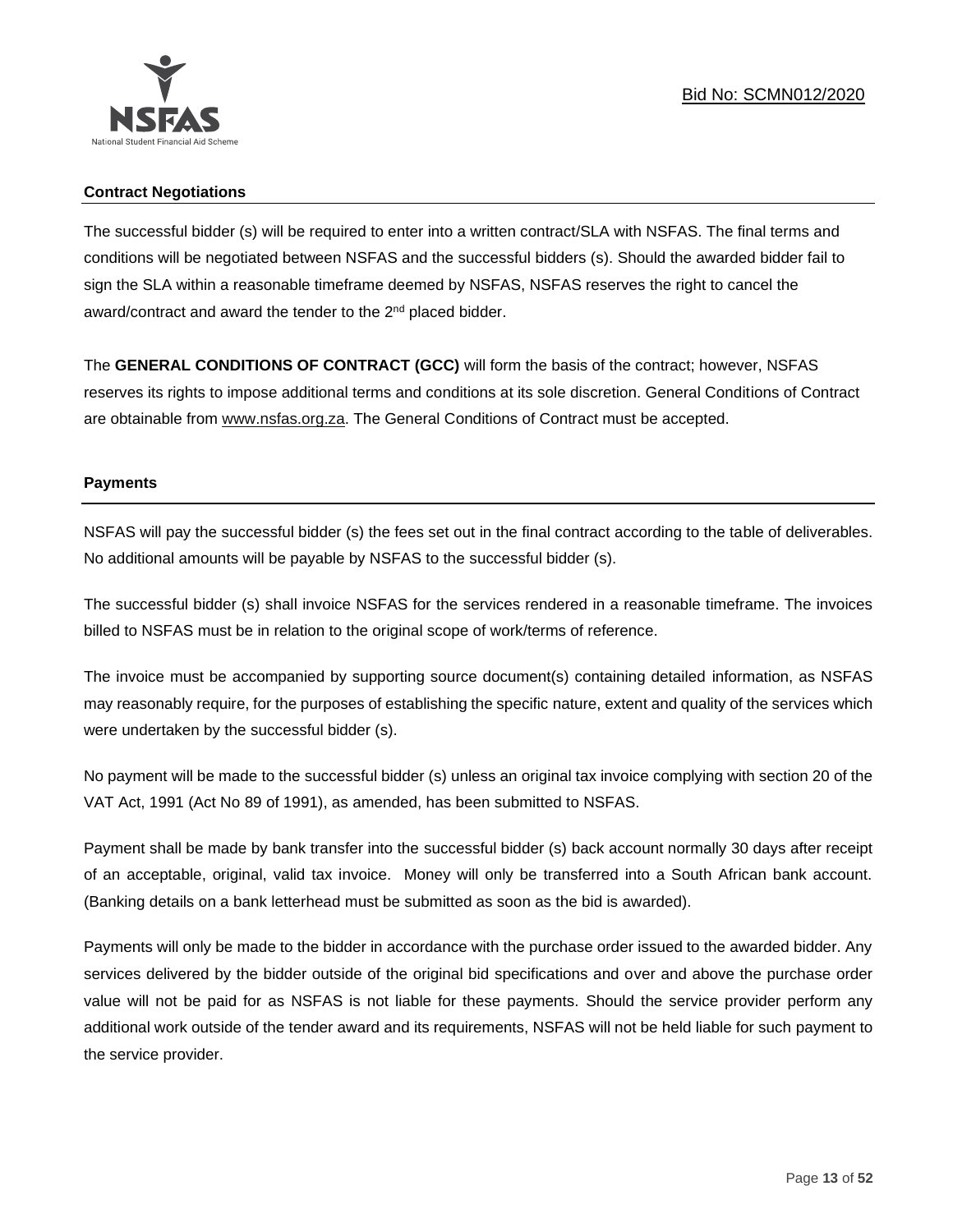

# **Contract Negotiations**

The successful bidder (s) will be required to enter into a written contract/SLA with NSFAS. The final terms and conditions will be negotiated between NSFAS and the successful bidders (s). Should the awarded bidder fail to sign the SLA within a reasonable timeframe deemed by NSFAS, NSFAS reserves the right to cancel the award/contract and award the tender to the 2<sup>nd</sup> placed bidder.

The **GENERAL CONDITIONS OF CONTRACT (GCC)** will form the basis of the contract; however, NSFAS reserves its rights to impose additional terms and conditions at its sole discretion. General Conditions of Contract are obtainable from [www.nsfas.org.za.](http://www.nsfas.org.za/) The General Conditions of Contract must be accepted.

# **Payments**

NSFAS will pay the successful bidder (s) the fees set out in the final contract according to the table of deliverables. No additional amounts will be payable by NSFAS to the successful bidder (s).

The successful bidder (s) shall invoice NSFAS for the services rendered in a reasonable timeframe. The invoices billed to NSFAS must be in relation to the original scope of work/terms of reference.

The invoice must be accompanied by supporting source document(s) containing detailed information, as NSFAS may reasonably require, for the purposes of establishing the specific nature, extent and quality of the services which were undertaken by the successful bidder (s).

No payment will be made to the successful bidder (s) unless an original tax invoice complying with section 20 of the VAT Act, 1991 (Act No 89 of 1991), as amended, has been submitted to NSFAS.

Payment shall be made by bank transfer into the successful bidder (s) back account normally 30 days after receipt of an acceptable, original, valid tax invoice. Money will only be transferred into a South African bank account. (Banking details on a bank letterhead must be submitted as soon as the bid is awarded).

Payments will only be made to the bidder in accordance with the purchase order issued to the awarded bidder. Any services delivered by the bidder outside of the original bid specifications and over and above the purchase order value will not be paid for as NSFAS is not liable for these payments. Should the service provider perform any additional work outside of the tender award and its requirements, NSFAS will not be held liable for such payment to the service provider.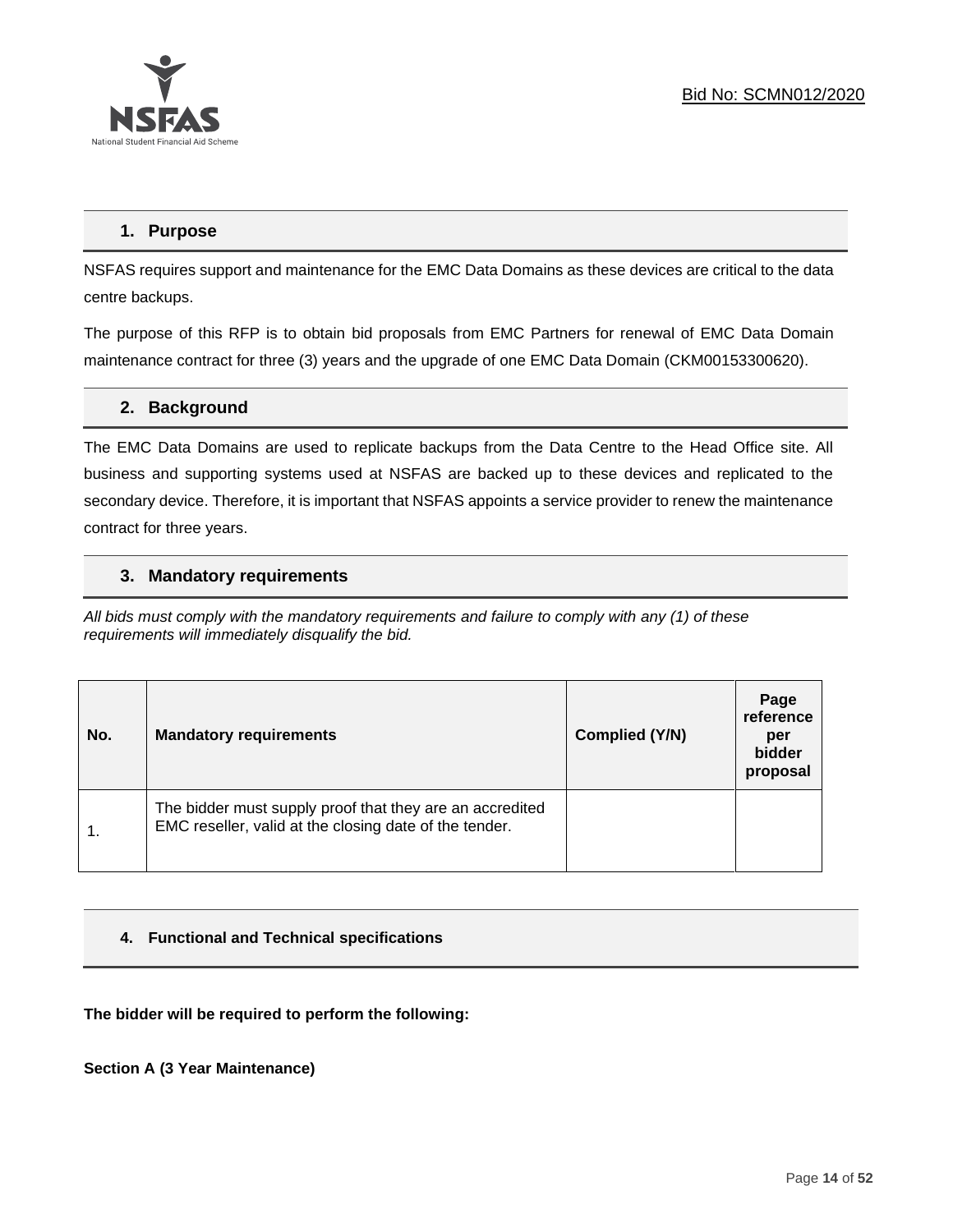

# **1. Purpose**

NSFAS requires support and maintenance for the EMC Data Domains as these devices are critical to the data centre backups.

The purpose of this RFP is to obtain bid proposals from EMC Partners for renewal of EMC Data Domain maintenance contract for three (3) years and the upgrade of one EMC Data Domain (CKM00153300620).

# **2. Background**

The EMC Data Domains are used to replicate backups from the Data Centre to the Head Office site. All business and supporting systems used at NSFAS are backed up to these devices and replicated to the secondary device. Therefore, it is important that NSFAS appoints a service provider to renew the maintenance contract for three years.

# **3. Mandatory requirements**

*All bids must comply with the mandatory requirements and failure to comply with any (1) of these requirements will immediately disqualify the bid.*

| No.              | <b>Mandatory requirements</b>                                                                                      | Complied (Y/N) | Page<br>reference<br>per<br>bidder<br>proposal |
|------------------|--------------------------------------------------------------------------------------------------------------------|----------------|------------------------------------------------|
| $\overline{1}$ . | The bidder must supply proof that they are an accredited<br>EMC reseller, valid at the closing date of the tender. |                |                                                |

# **4. Functional and Technical specifications**

**The bidder will be required to perform the following:**

**Section A (3 Year Maintenance)**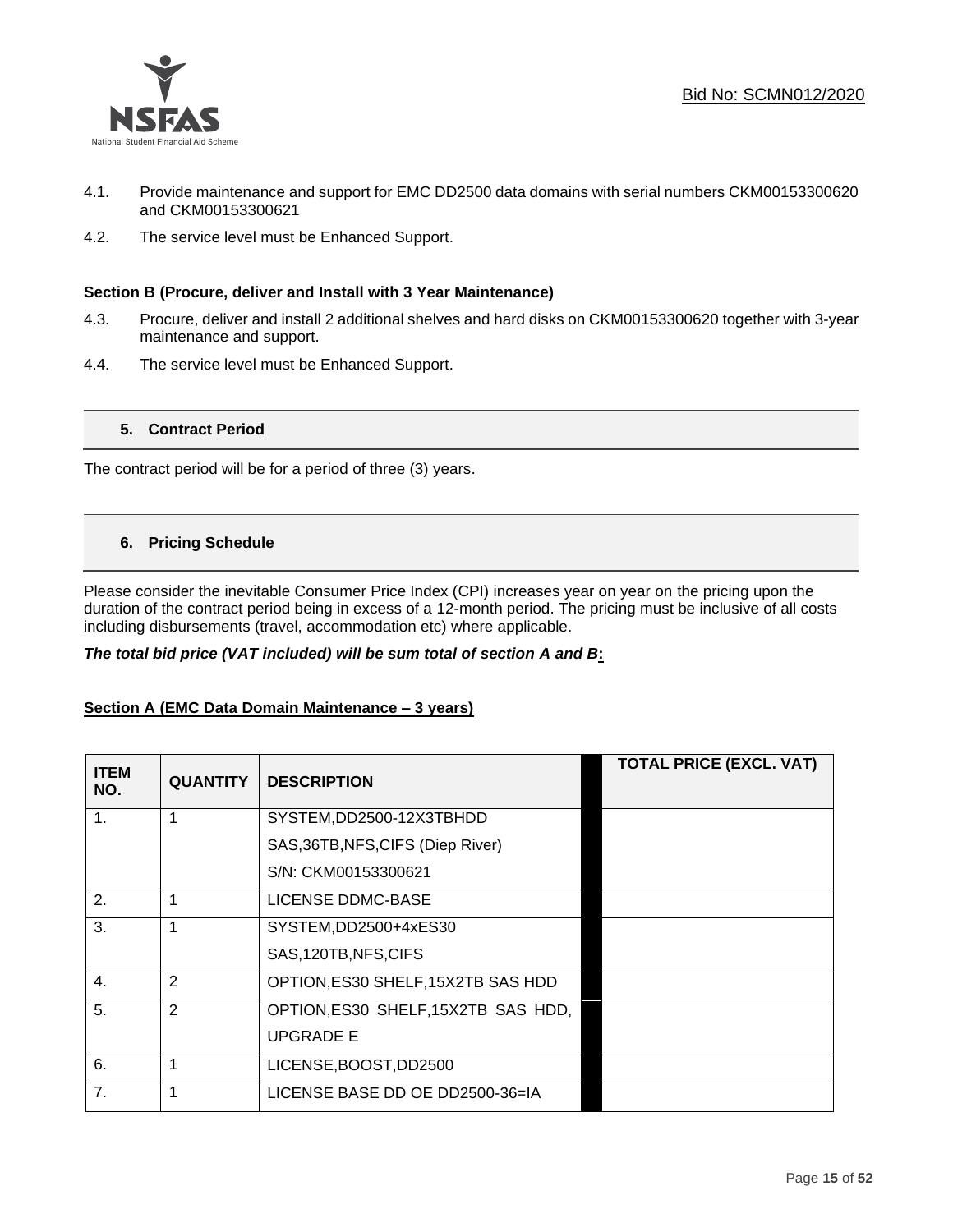

- 4.1. Provide maintenance and support for EMC DD2500 data domains with serial numbers CKM00153300620 and CKM00153300621
- 4.2. The service level must be Enhanced Support.

# **Section B (Procure, deliver and Install with 3 Year Maintenance)**

- 4.3. Procure, deliver and install 2 additional shelves and hard disks on CKM00153300620 together with 3-year maintenance and support.
- 4.4. The service level must be Enhanced Support.

# **5. Contract Period**

The contract period will be for a period of three (3) years.

# **6. Pricing Schedule**

Please consider the inevitable Consumer Price Index (CPI) increases year on year on the pricing upon the duration of the contract period being in excess of a 12-month period. The pricing must be inclusive of all costs including disbursements (travel, accommodation etc) where applicable.

#### *The total bid price (VAT included) will be sum total of section A and B***:**

#### **Section A (EMC Data Domain Maintenance – 3 years)**

| <b>ITEM</b><br>NO. | <b>QUANTITY</b> | <b>DESCRIPTION</b>                  | <b>TOTAL PRICE (EXCL. VAT)</b> |
|--------------------|-----------------|-------------------------------------|--------------------------------|
| 1.                 |                 | SYSTEM, DD2500-12X3TBHDD            |                                |
|                    |                 | SAS, 36TB, NFS, CIFS (Diep River)   |                                |
|                    |                 | S/N: CKM00153300621                 |                                |
| 2.                 | 1               | LICENSE DDMC-BASE                   |                                |
| 3.                 | 1               | SYSTEM,DD2500+4xES30                |                                |
|                    |                 | SAS, 120TB, NFS, CIFS               |                                |
| 4.                 | 2               | OPTION, ES30 SHELF, 15X2TB SAS HDD  |                                |
| 5.                 | 2               | OPTION, ES30 SHELF, 15X2TB SAS HDD, |                                |
|                    |                 | <b>UPGRADE E</b>                    |                                |
| 6.                 | 1               | LICENSE, BOOST, DD2500              |                                |
| 7.                 | 1               | LICENSE BASE DD OE DD2500-36=IA     |                                |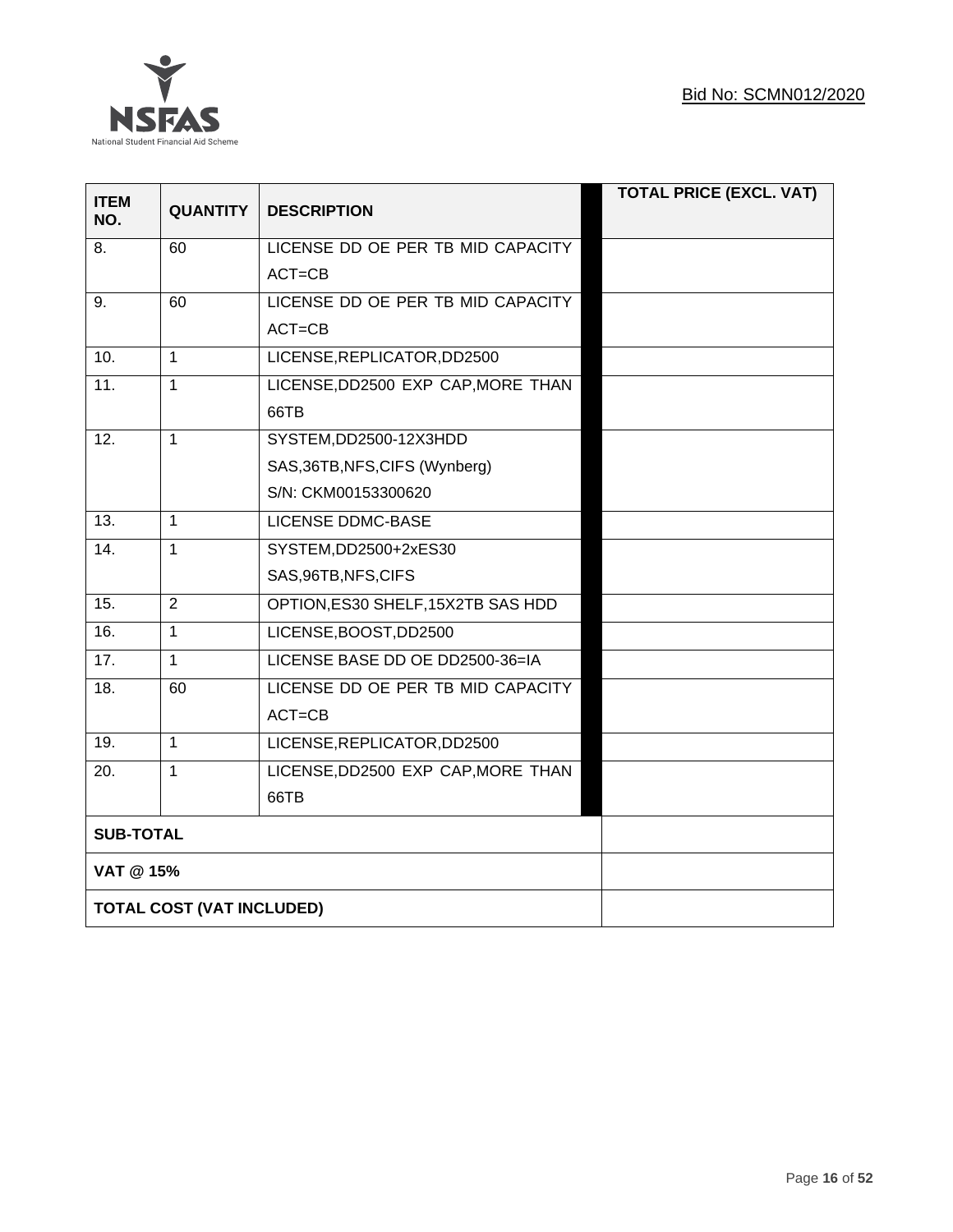

| <b>ITEM</b><br>NO. | <b>QUANTITY</b>           | <b>DESCRIPTION</b>                 | <b>TOTAL PRICE (EXCL. VAT)</b> |
|--------------------|---------------------------|------------------------------------|--------------------------------|
| 8.                 | 60                        | LICENSE DD OE PER TB MID CAPACITY  |                                |
|                    |                           | $ACT = CB$                         |                                |
| 9.                 | 60                        | LICENSE DD OE PER TB MID CAPACITY  |                                |
|                    |                           | $ACT = CB$                         |                                |
| 10.                | 1                         | LICENSE, REPLICATOR, DD2500        |                                |
| 11.                | $\overline{1}$            | LICENSE, DD2500 EXP CAP, MORE THAN |                                |
|                    |                           | 66TB                               |                                |
| 12.                | $\mathbf{1}$              | SYSTEM, DD2500-12X3HDD             |                                |
|                    |                           | SAS, 36TB, NFS, CIFS (Wynberg)     |                                |
|                    |                           | S/N: CKM00153300620                |                                |
| 13.                | $\mathbf{1}$              | LICENSE DDMC-BASE                  |                                |
| 14.                | $\mathbf{1}$              | SYSTEM, DD2500+2xES30              |                                |
|                    |                           | SAS, 96TB, NFS, CIFS               |                                |
| 15.                | $\overline{2}$            | OPTION, ES30 SHELF, 15X2TB SAS HDD |                                |
| 16.                | $\mathbf{1}$              | LICENSE, BOOST, DD2500             |                                |
| 17.                | $\mathbf{1}$              | LICENSE BASE DD OE DD2500-36=IA    |                                |
| 18.                | 60                        | LICENSE DD OE PER TB MID CAPACITY  |                                |
|                    |                           | $ACT = CB$                         |                                |
| 19.                | $\mathbf{1}$              | LICENSE, REPLICATOR, DD2500        |                                |
| 20.                | $\mathbf{1}$              | LICENSE, DD2500 EXP CAP, MORE THAN |                                |
|                    |                           | 66TB                               |                                |
| <b>SUB-TOTAL</b>   |                           |                                    |                                |
| VAT @ 15%          |                           |                                    |                                |
|                    | TOTAL COST (VAT INCLUDED) |                                    |                                |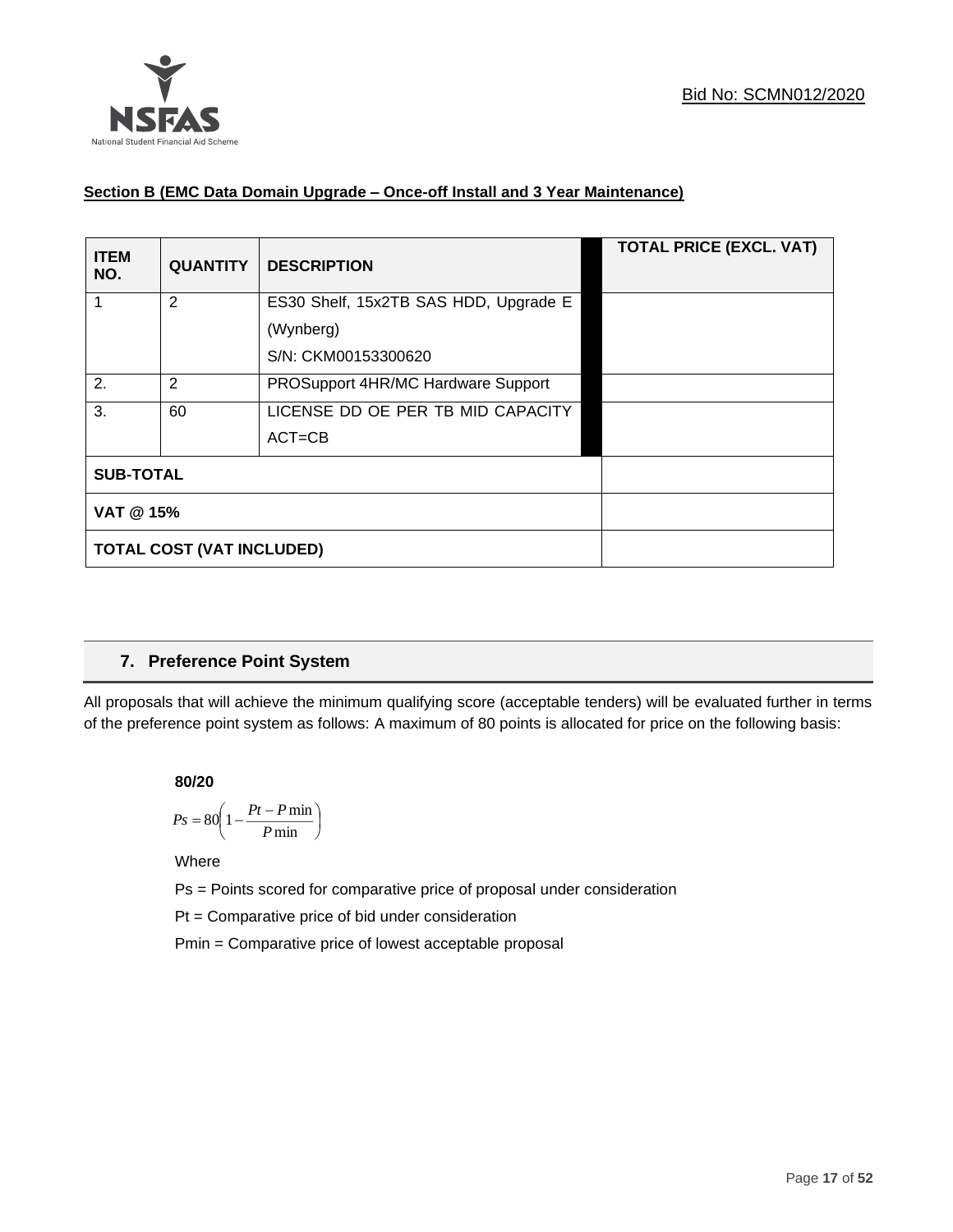

# **Section B (EMC Data Domain Upgrade – Once-off Install and 3 Year Maintenance)**

| <b>ITEM</b><br>NO. | <b>QUANTITY</b>                  | <b>DESCRIPTION</b>                    | <b>TOTAL PRICE (EXCL. VAT)</b> |
|--------------------|----------------------------------|---------------------------------------|--------------------------------|
|                    | 2                                | ES30 Shelf, 15x2TB SAS HDD, Upgrade E |                                |
|                    |                                  | (Wynberg)                             |                                |
|                    |                                  | S/N: CKM00153300620                   |                                |
| 2.                 | 2                                | PROSupport 4HR/MC Hardware Support    |                                |
| 3.                 | 60                               | LICENSE DD OE PER TB MID CAPACITY     |                                |
|                    |                                  | $ACT = CB$                            |                                |
| <b>SUB-TOTAL</b>   |                                  |                                       |                                |
| VAT @ 15%          |                                  |                                       |                                |
|                    | <b>TOTAL COST (VAT INCLUDED)</b> |                                       |                                |

# **7. Preference Point System**

All proposals that will achieve the minimum qualifying score (acceptable tenders) will be evaluated further in terms of the preference point system as follows: A maximum of 80 points is allocated for price on the following basis:

**80/20**

$$
Ps = 80 \left( 1 - \frac{Pt - P \min}{P \min} \right)
$$

Where

Ps = Points scored for comparative price of proposal under consideration

Pt = Comparative price of bid under consideration

Pmin = Comparative price of lowest acceptable proposal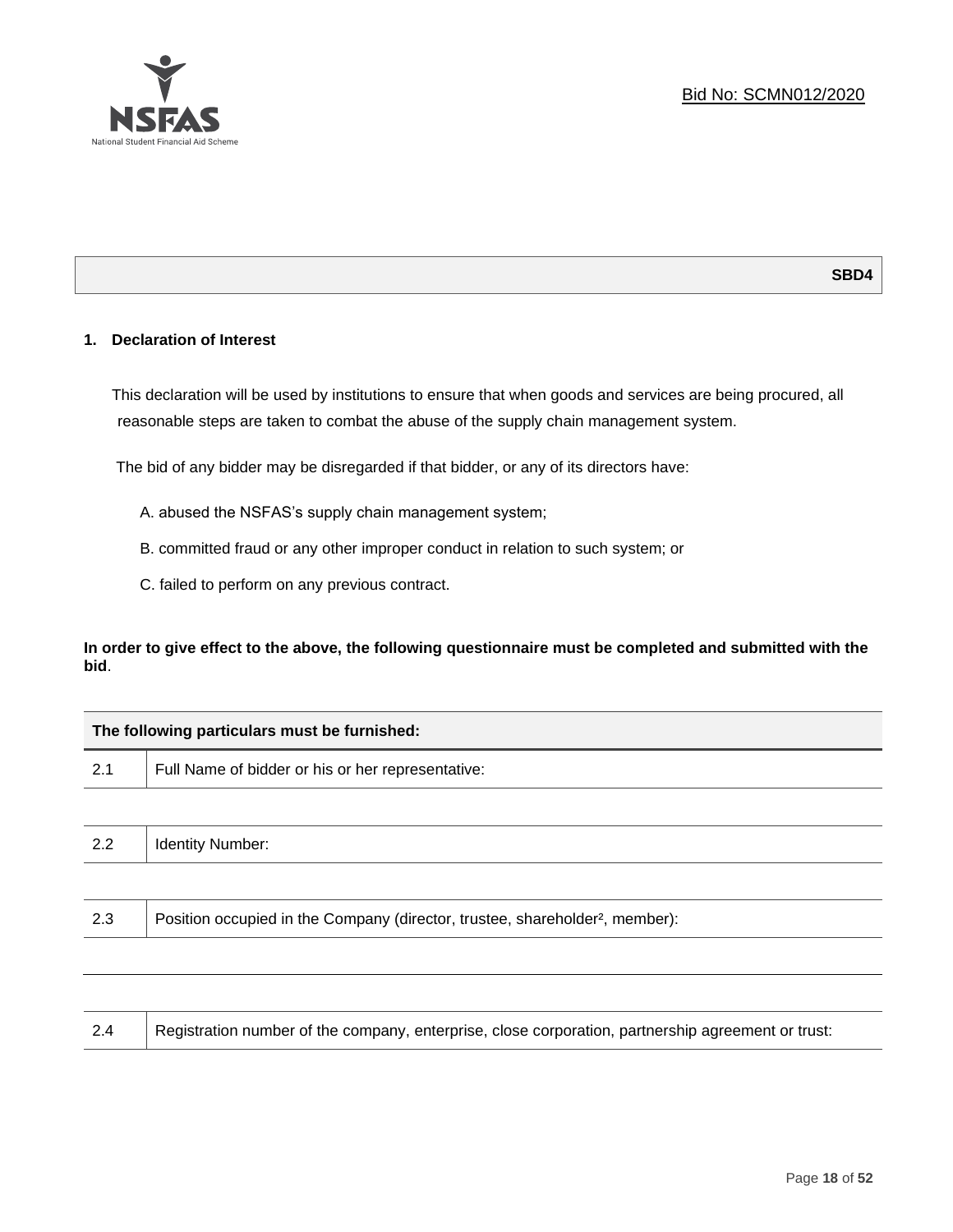

# **1. Declaration of Interest**

This declaration will be used by institutions to ensure that when goods and services are being procured, all reasonable steps are taken to combat the abuse of the supply chain management system.

The bid of any bidder may be disregarded if that bidder, or any of its directors have:

- A. abused the NSFAS's supply chain management system;
- B. committed fraud or any other improper conduct in relation to such system; or
- C. failed to perform on any previous contract.

**In order to give effect to the above, the following questionnaire must be completed and submitted with the bid**.

| The following particulars must be furnished:                                             |  |  |  |  |
|------------------------------------------------------------------------------------------|--|--|--|--|
| Full Name of bidder or his or her representative:                                        |  |  |  |  |
|                                                                                          |  |  |  |  |
| <b>Identity Number:</b>                                                                  |  |  |  |  |
|                                                                                          |  |  |  |  |
| Position occupied in the Company (director, trustee, shareholder <sup>2</sup> , member): |  |  |  |  |
|                                                                                          |  |  |  |  |
|                                                                                          |  |  |  |  |

2.4 Registration number of the company, enterprise, close corporation, partnership agreement or trust: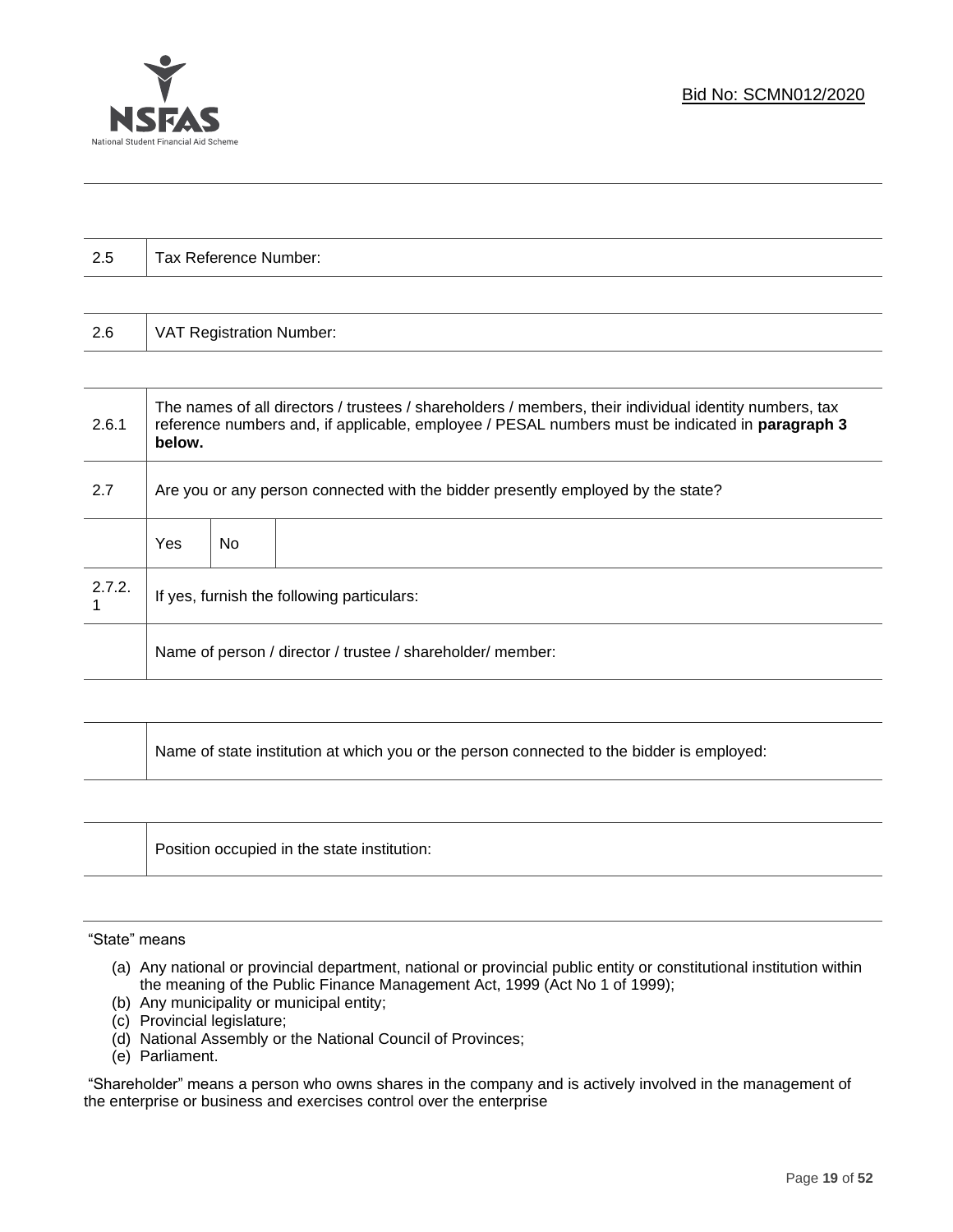

| 2.5    | Tax Reference Number:                                                                                                                                                                                               |                                 |  |  |  |
|--------|---------------------------------------------------------------------------------------------------------------------------------------------------------------------------------------------------------------------|---------------------------------|--|--|--|
|        |                                                                                                                                                                                                                     |                                 |  |  |  |
| 2.6    |                                                                                                                                                                                                                     | <b>VAT Registration Number:</b> |  |  |  |
|        |                                                                                                                                                                                                                     |                                 |  |  |  |
| 2.6.1  | The names of all directors / trustees / shareholders / members, their individual identity numbers, tax<br>reference numbers and, if applicable, employee / PESAL numbers must be indicated in paragraph 3<br>below. |                                 |  |  |  |
| 2.7    | Are you or any person connected with the bidder presently employed by the state?                                                                                                                                    |                                 |  |  |  |
|        | <b>Yes</b>                                                                                                                                                                                                          | No.                             |  |  |  |
| 2.7.2. | If yes, furnish the following particulars:                                                                                                                                                                          |                                 |  |  |  |
|        | Name of person / director / trustee / shareholder/ member:                                                                                                                                                          |                                 |  |  |  |
|        |                                                                                                                                                                                                                     |                                 |  |  |  |

| Name of state institution at which you or the person connected to the bidder is employed: |
|-------------------------------------------------------------------------------------------|
|                                                                                           |

| Position occupied in the state institution: |
|---------------------------------------------|
|                                             |
|                                             |

#### "State" means

- (a) Any national or provincial department, national or provincial public entity or constitutional institution within the meaning of the Public Finance Management Act, 1999 (Act No 1 of 1999);
- (b) Any municipality or municipal entity;
- (c) Provincial legislature;
- (d) National Assembly or the National Council of Provinces;
- (e) Parliament.

"Shareholder" means a person who owns shares in the company and is actively involved in the management of the enterprise or business and exercises control over the enterprise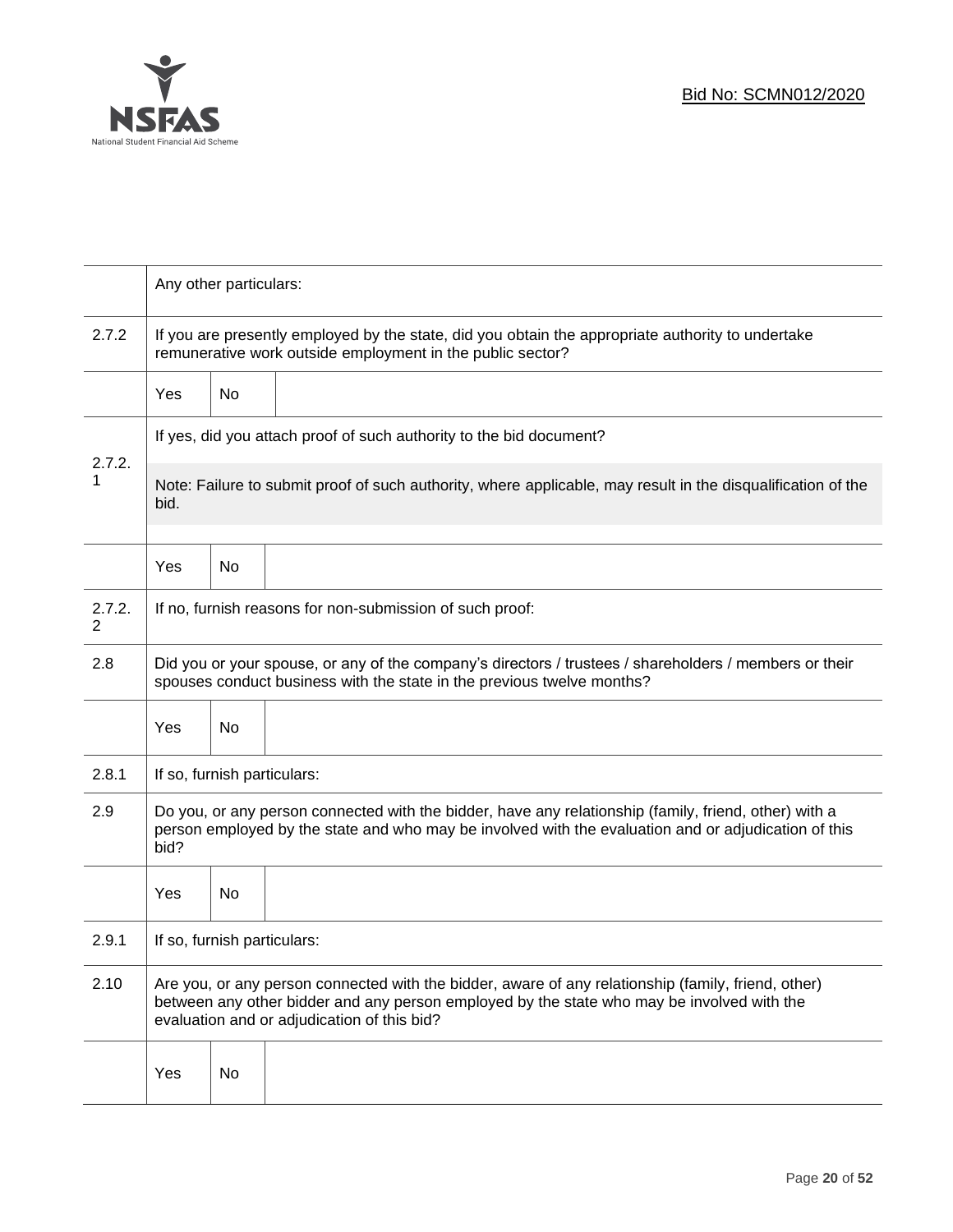

|             | Any other particulars:                                                                                                                                                                                                                           |           |  |  |
|-------------|--------------------------------------------------------------------------------------------------------------------------------------------------------------------------------------------------------------------------------------------------|-----------|--|--|
| 2.7.2       | If you are presently employed by the state, did you obtain the appropriate authority to undertake<br>remunerative work outside employment in the public sector?                                                                                  |           |  |  |
|             | Yes                                                                                                                                                                                                                                              | No        |  |  |
|             | If yes, did you attach proof of such authority to the bid document?                                                                                                                                                                              |           |  |  |
| 2.7.2.<br>1 | Note: Failure to submit proof of such authority, where applicable, may result in the disqualification of the<br>bid.                                                                                                                             |           |  |  |
|             | Yes                                                                                                                                                                                                                                              | <b>No</b> |  |  |
| 2.7.2.<br>2 | If no, furnish reasons for non-submission of such proof:                                                                                                                                                                                         |           |  |  |
| 2.8         | Did you or your spouse, or any of the company's directors / trustees / shareholders / members or their<br>spouses conduct business with the state in the previous twelve months?                                                                 |           |  |  |
|             | Yes                                                                                                                                                                                                                                              | No        |  |  |
| 2.8.1       | If so, furnish particulars:                                                                                                                                                                                                                      |           |  |  |
| 2.9         | Do you, or any person connected with the bidder, have any relationship (family, friend, other) with a<br>person employed by the state and who may be involved with the evaluation and or adjudication of this<br>bid?                            |           |  |  |
|             | Yes                                                                                                                                                                                                                                              | No        |  |  |
| 2.9.1       | If so, furnish particulars:                                                                                                                                                                                                                      |           |  |  |
| 2.10        | Are you, or any person connected with the bidder, aware of any relationship (family, friend, other)<br>between any other bidder and any person employed by the state who may be involved with the<br>evaluation and or adjudication of this bid? |           |  |  |
|             | Yes                                                                                                                                                                                                                                              | No        |  |  |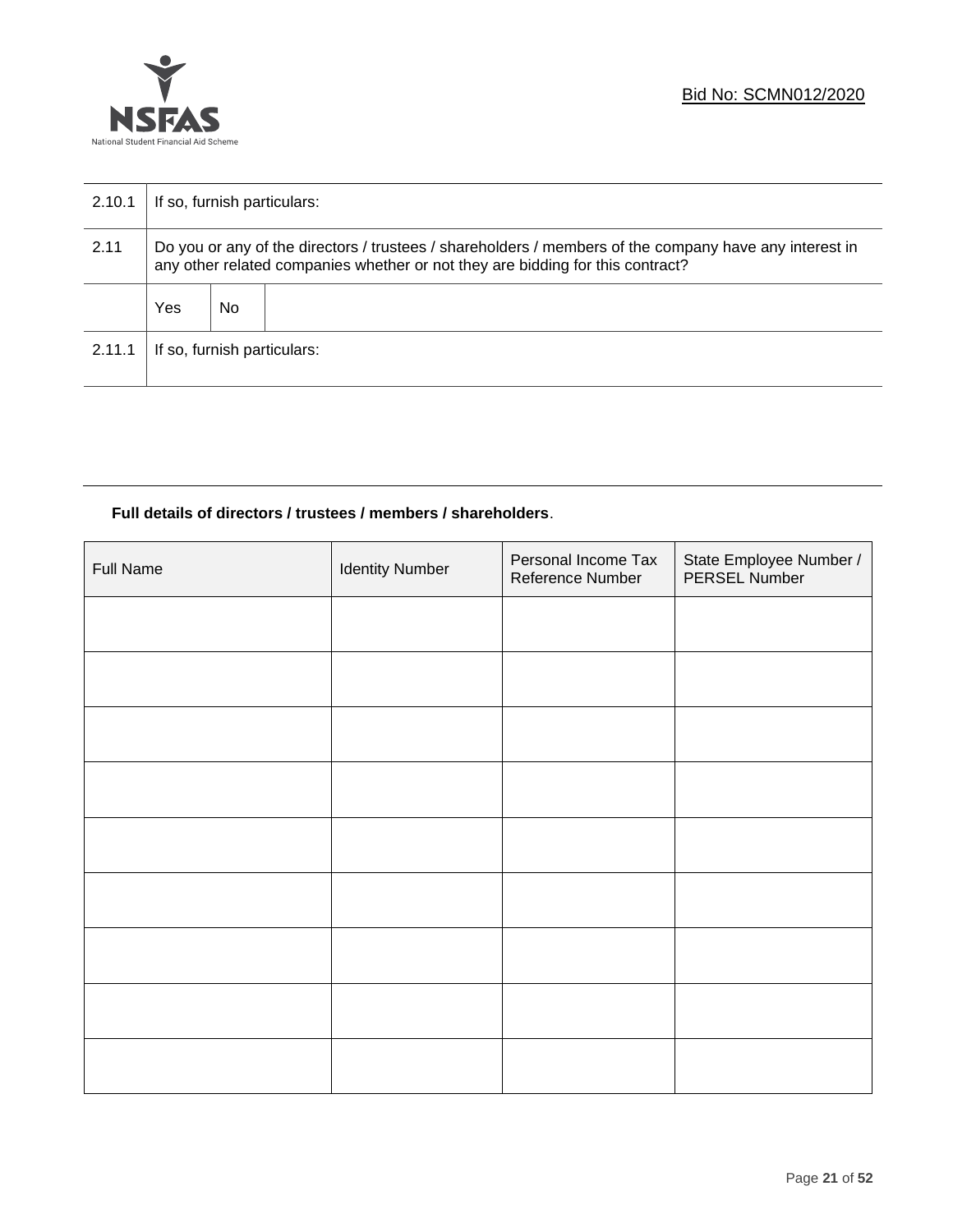

| 2.10.1 | If so, furnish particulars:                                                                                                                                                              |     |  |  |
|--------|------------------------------------------------------------------------------------------------------------------------------------------------------------------------------------------|-----|--|--|
| 2.11   | Do you or any of the directors / trustees / shareholders / members of the company have any interest in<br>any other related companies whether or not they are bidding for this contract? |     |  |  |
|        | Yes                                                                                                                                                                                      | No. |  |  |
| 2.11.1 | If so, furnish particulars:                                                                                                                                                              |     |  |  |

# **Full details of directors / trustees / members / shareholders**.

| Full Name | <b>Identity Number</b> | Personal Income Tax<br>Reference Number | State Employee Number /<br>PERSEL Number |
|-----------|------------------------|-----------------------------------------|------------------------------------------|
|           |                        |                                         |                                          |
|           |                        |                                         |                                          |
|           |                        |                                         |                                          |
|           |                        |                                         |                                          |
|           |                        |                                         |                                          |
|           |                        |                                         |                                          |
|           |                        |                                         |                                          |
|           |                        |                                         |                                          |
|           |                        |                                         |                                          |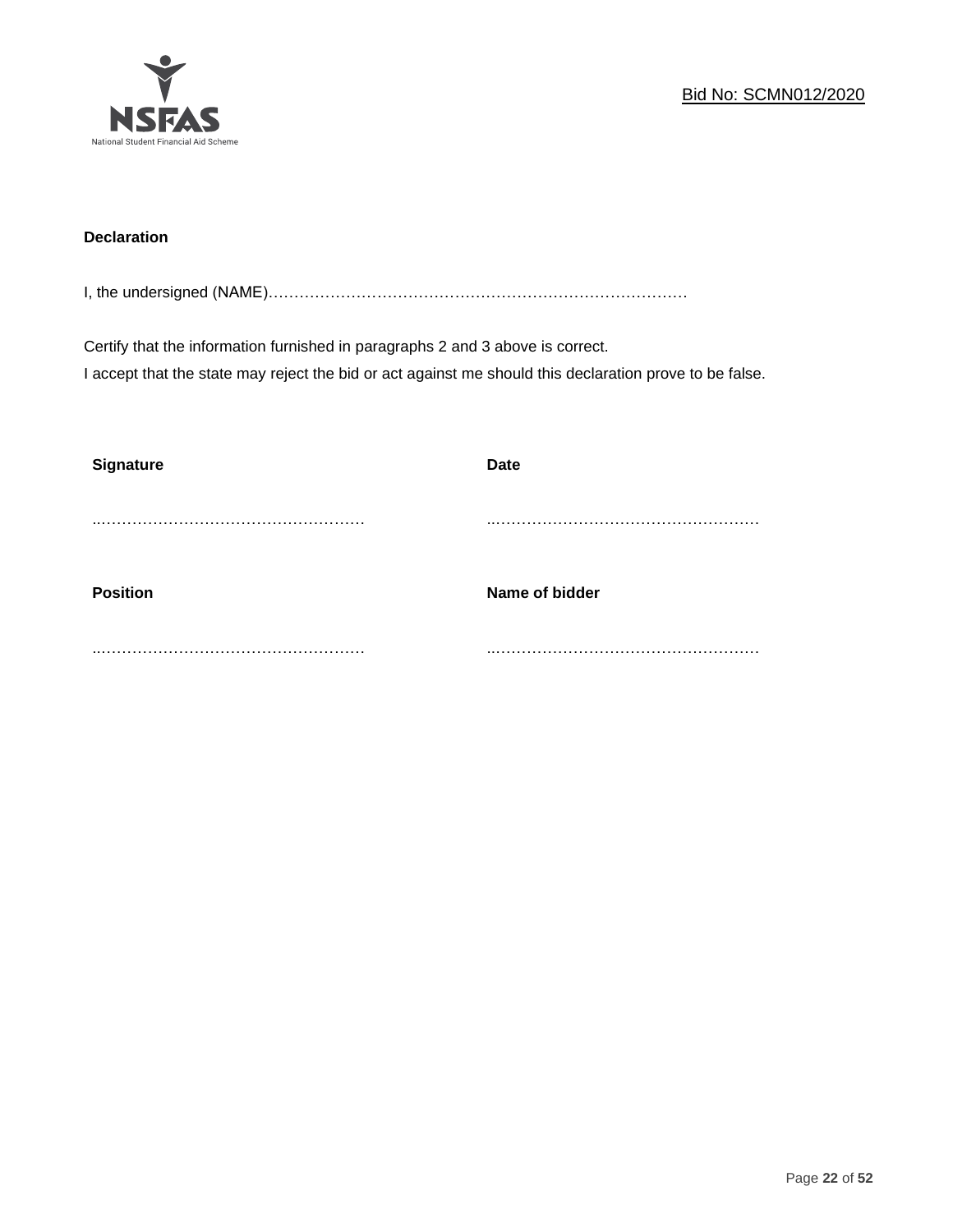

# **Declaration**

I, the undersigned (NAME)………………………………………………………………………

Certify that the information furnished in paragraphs 2 and 3 above is correct. I accept that the state may reject the bid or act against me should this declaration prove to be false.

| <b>Signature</b> | <b>Date</b>    |
|------------------|----------------|
|                  |                |
| <b>Position</b>  | Name of bidder |
|                  |                |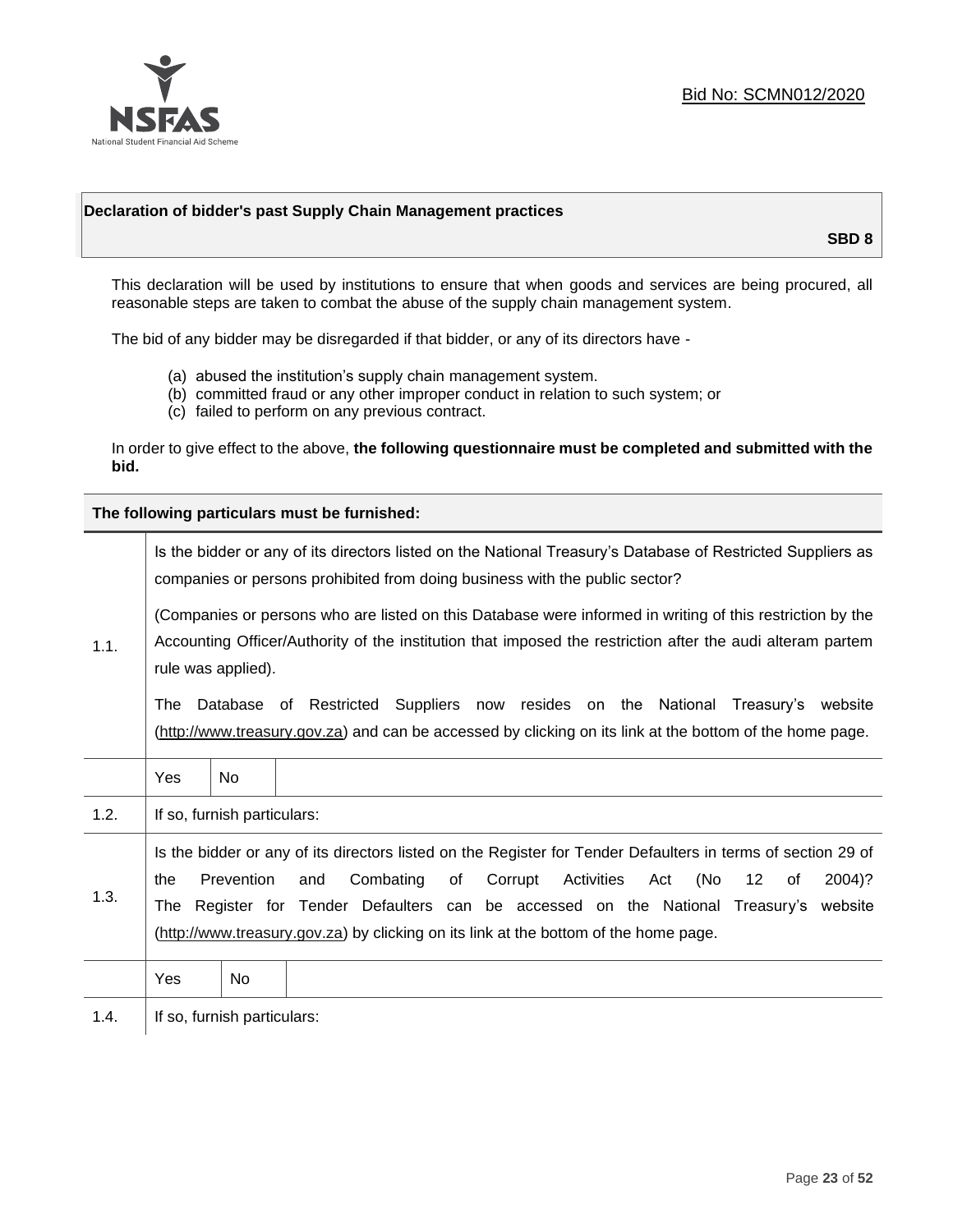

# **Declaration of bidder's past Supply Chain Management practices**

**SBD 8**

This declaration will be used by institutions to ensure that when goods and services are being procured, all reasonable steps are taken to combat the abuse of the supply chain management system.

The bid of any bidder may be disregarded if that bidder, or any of its directors have -

- (a) abused the institution's supply chain management system.
- (b) committed fraud or any other improper conduct in relation to such system; or
- (c) failed to perform on any previous contract.

In order to give effect to the above, **the following questionnaire must be completed and submitted with the bid.**

**The following particulars must be furnished:**

|      | Is the bidder or any of its directors listed on the National Treasury's Database of Restricted Suppliers as<br>companies or persons prohibited from doing business with the public sector?                                                                                                                                                                                                                   |                             |  |  |  |
|------|--------------------------------------------------------------------------------------------------------------------------------------------------------------------------------------------------------------------------------------------------------------------------------------------------------------------------------------------------------------------------------------------------------------|-----------------------------|--|--|--|
| 1.1. | (Companies or persons who are listed on this Database were informed in writing of this restriction by the<br>Accounting Officer/Authority of the institution that imposed the restriction after the audi alteram partem<br>rule was applied).                                                                                                                                                                |                             |  |  |  |
|      | Database of Restricted Suppliers now resides on the National Treasury's website<br>The<br>(http://www.treasury.gov.za) and can be accessed by clicking on its link at the bottom of the home page.                                                                                                                                                                                                           |                             |  |  |  |
|      | Yes                                                                                                                                                                                                                                                                                                                                                                                                          | <b>No</b>                   |  |  |  |
| 1.2. |                                                                                                                                                                                                                                                                                                                                                                                                              | If so, furnish particulars: |  |  |  |
| 1.3. | Is the bidder or any of its directors listed on the Register for Tender Defaulters in terms of section 29 of<br>Prevention<br>Combating<br>Activities<br>(No<br>of<br>Corrupt<br>12<br>2004)?<br>the<br>and<br>Act<br>οf<br>Register for Tender Defaulters can be accessed on the National Treasury's website<br>The<br>(http://www.treasury.gov.za) by clicking on its link at the bottom of the home page. |                             |  |  |  |
|      | Yes                                                                                                                                                                                                                                                                                                                                                                                                          | No.                         |  |  |  |
| 1.4. |                                                                                                                                                                                                                                                                                                                                                                                                              | If so, furnish particulars: |  |  |  |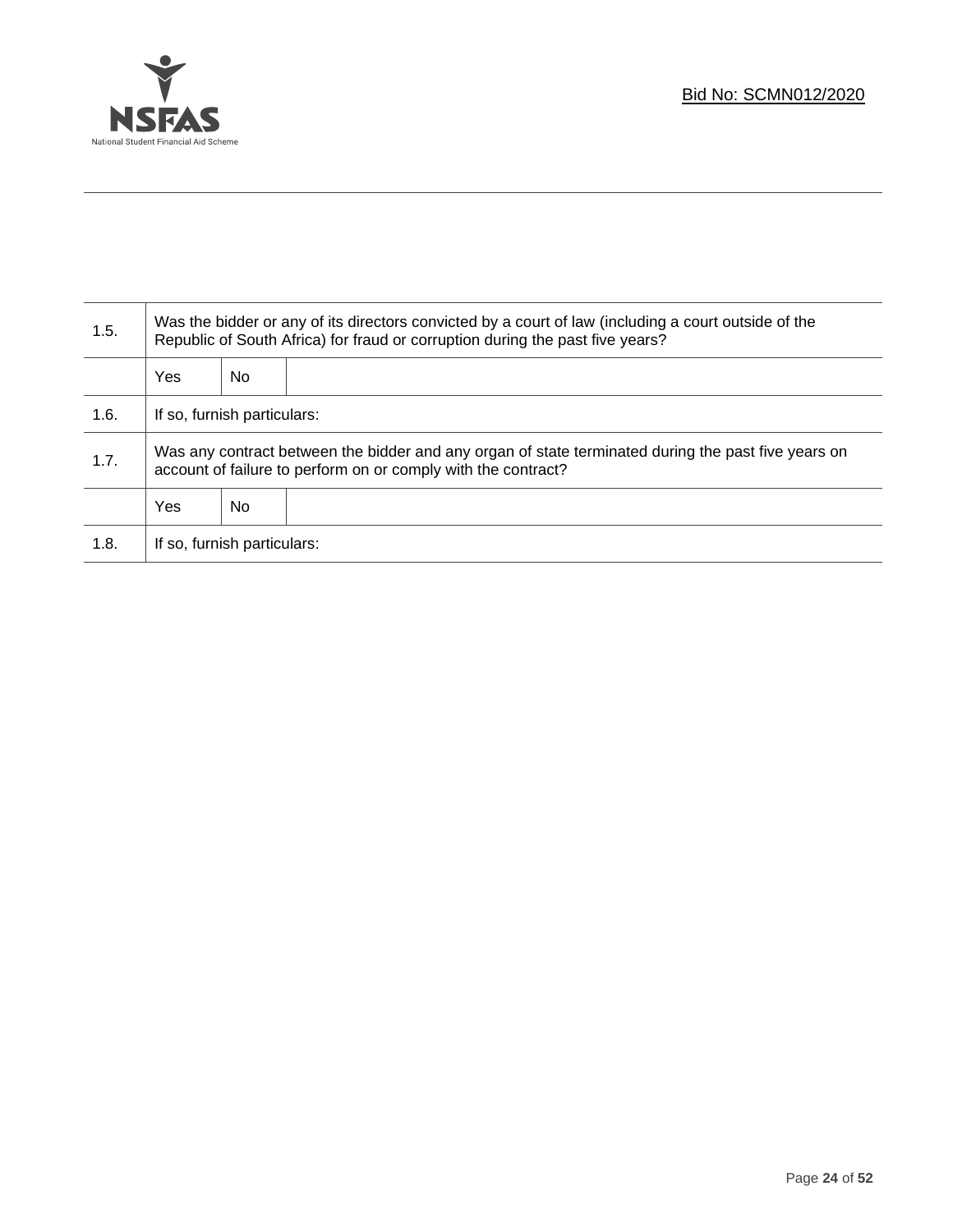

Τ

| 1.5. | Was the bidder or any of its directors convicted by a court of law (including a court outside of the<br>Republic of South Africa) for fraud or corruption during the past five years? |    |  |
|------|---------------------------------------------------------------------------------------------------------------------------------------------------------------------------------------|----|--|
|      | Yes                                                                                                                                                                                   | No |  |
| 1.6. | If so, furnish particulars:                                                                                                                                                           |    |  |
| 1.7. | Was any contract between the bidder and any organ of state terminated during the past five years on<br>account of failure to perform on or comply with the contract?                  |    |  |
|      | Yes                                                                                                                                                                                   | No |  |
| 1.8. | If so, furnish particulars:                                                                                                                                                           |    |  |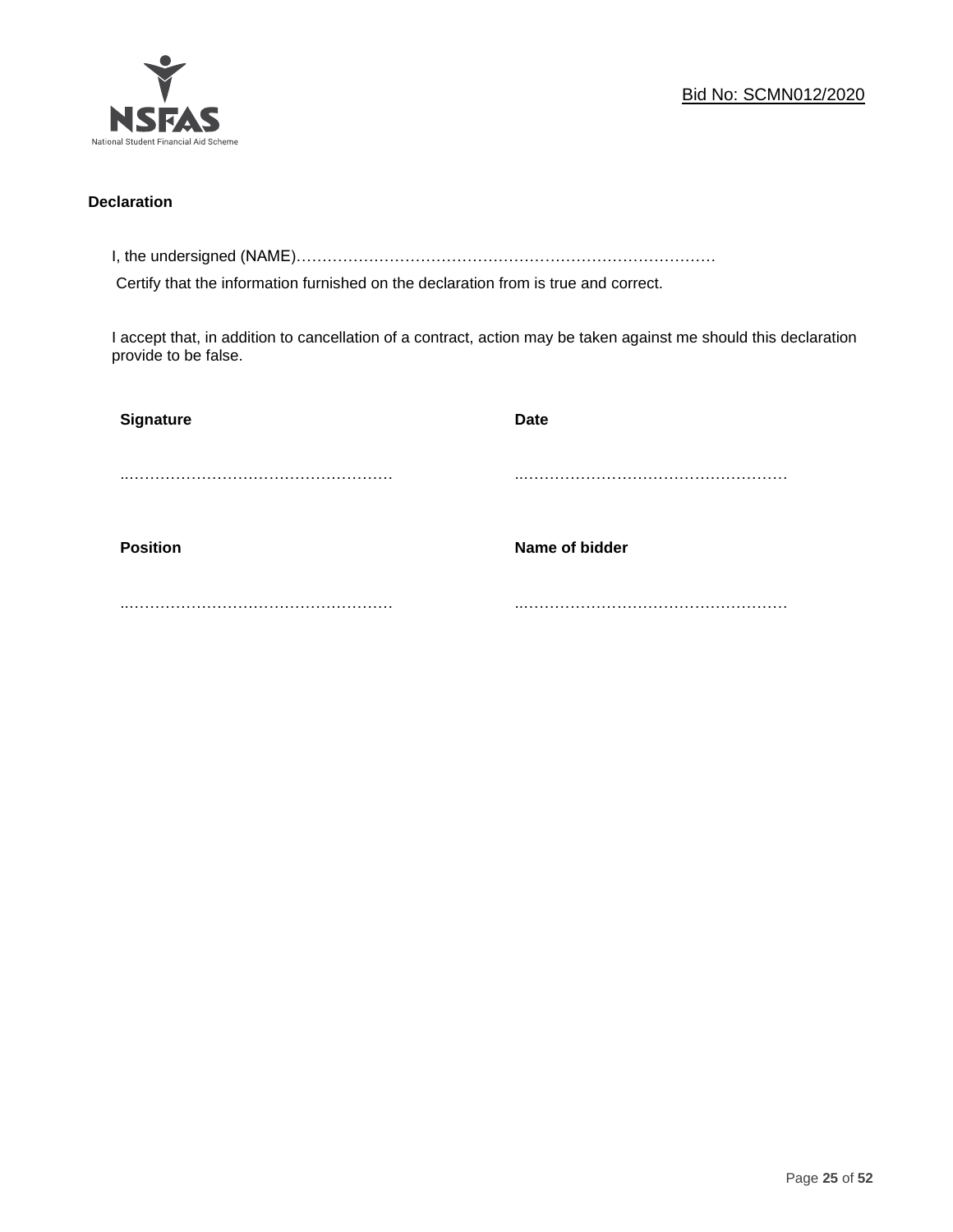

# **Declaration**

I, the undersigned (NAME)………………………………………………………………………

Certify that the information furnished on the declaration from is true and correct.

I accept that, in addition to cancellation of a contract, action may be taken against me should this declaration provide to be false.

| Signature       | Date           |
|-----------------|----------------|
|                 |                |
|                 |                |
| <b>Position</b> | Name of bidder |
|                 |                |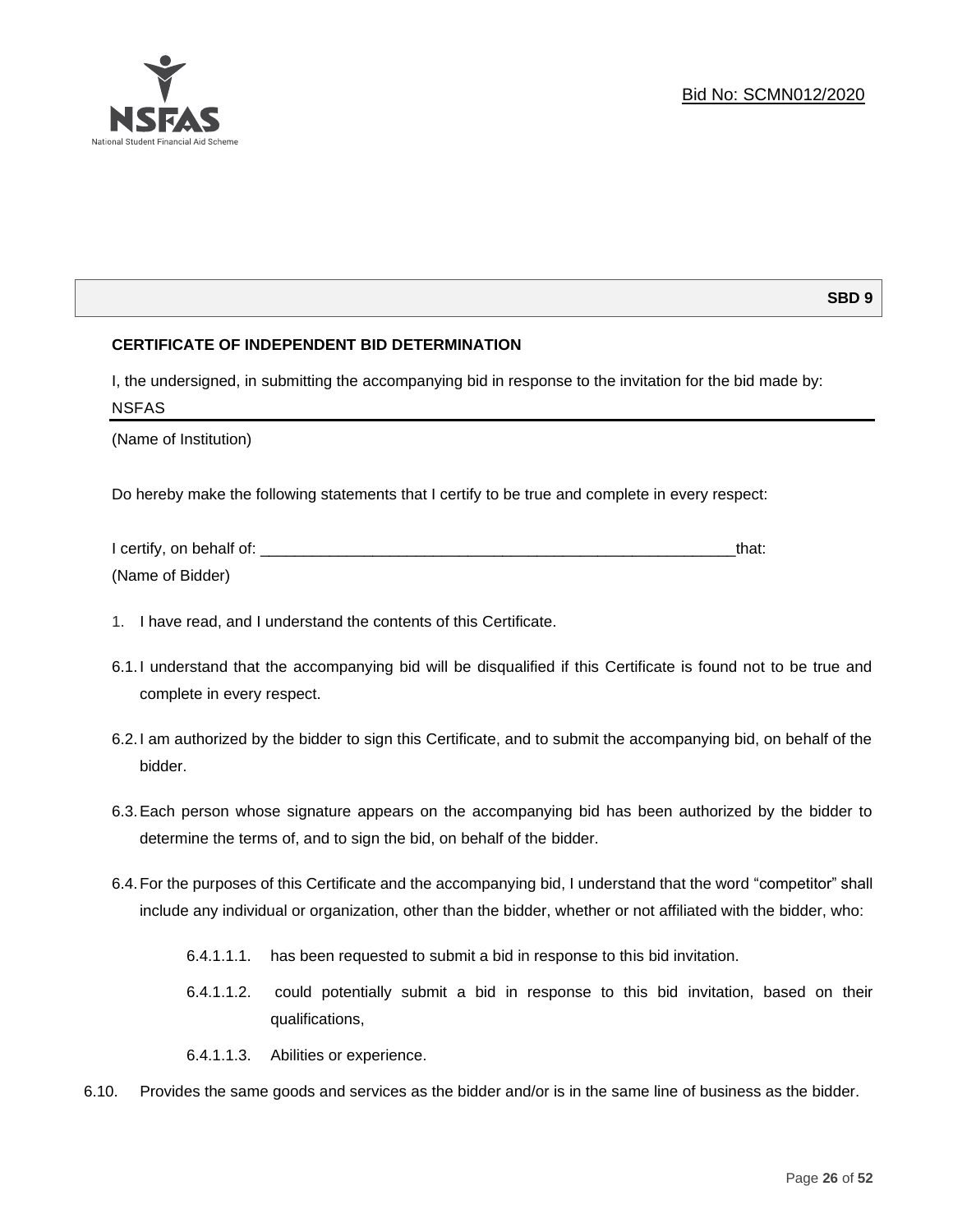

# **SBD 9**

# **CERTIFICATE OF INDEPENDENT BID DETERMINATION**

I, the undersigned, in submitting the accompanying bid in response to the invitation for the bid made by: NSFAS

(Name of Institution)

Do hereby make the following statements that I certify to be true and complete in every respect:

| I certify, on behalf of: |  |
|--------------------------|--|
| (Name of Bidder)         |  |

- 1. I have read, and I understand the contents of this Certificate.
- 6.1.I understand that the accompanying bid will be disqualified if this Certificate is found not to be true and complete in every respect.
- 6.2.I am authorized by the bidder to sign this Certificate, and to submit the accompanying bid, on behalf of the bidder.
- 6.3.Each person whose signature appears on the accompanying bid has been authorized by the bidder to determine the terms of, and to sign the bid, on behalf of the bidder.
- 6.4.For the purposes of this Certificate and the accompanying bid, I understand that the word "competitor" shall include any individual or organization, other than the bidder, whether or not affiliated with the bidder, who:
	- 6.4.1.1.1. has been requested to submit a bid in response to this bid invitation.
	- 6.4.1.1.2. could potentially submit a bid in response to this bid invitation, based on their qualifications,
	- 6.4.1.1.3. Abilities or experience.
- 6.10. Provides the same goods and services as the bidder and/or is in the same line of business as the bidder.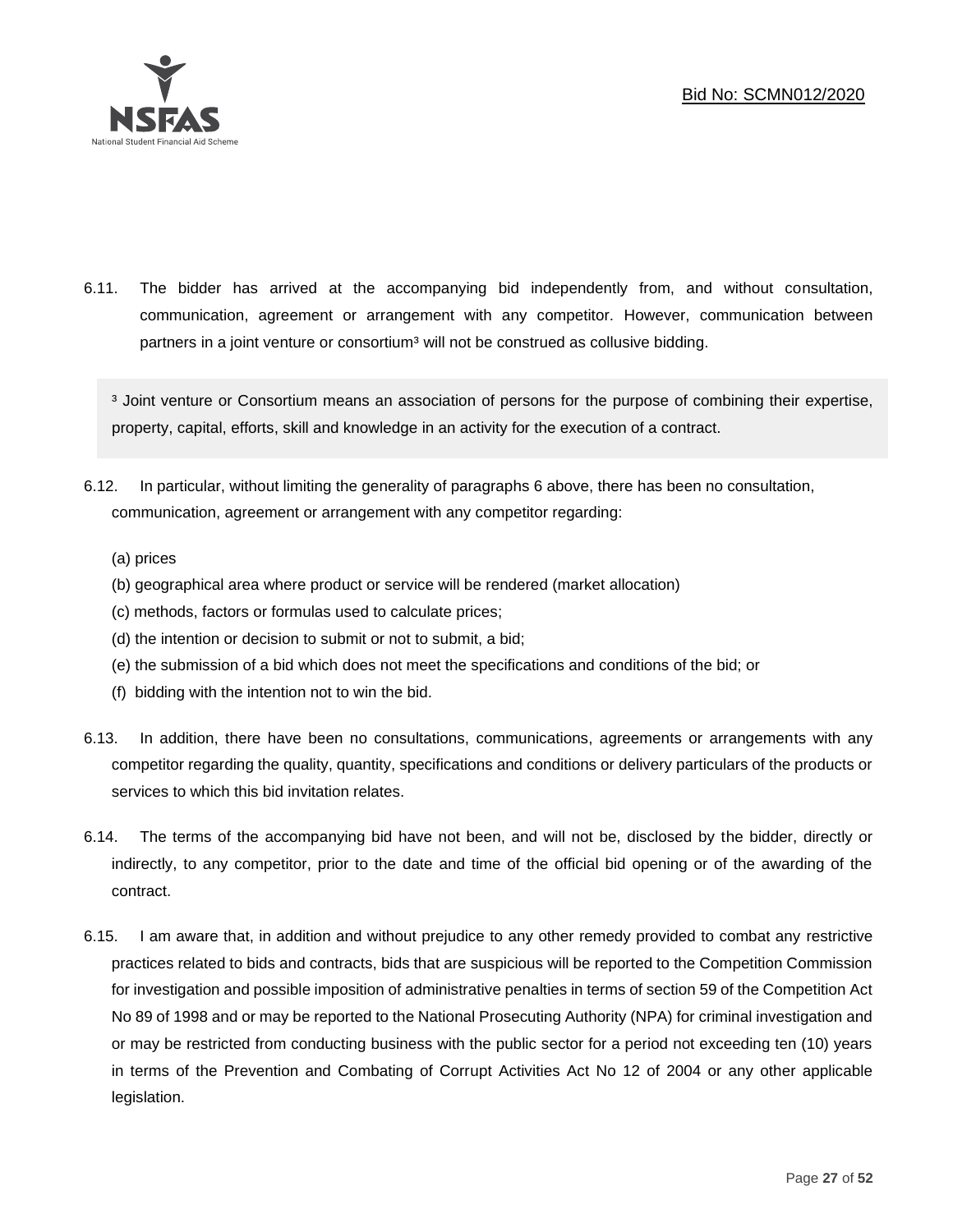

6.11. The bidder has arrived at the accompanying bid independently from, and without consultation, communication, agreement or arrangement with any competitor. However, communication between partners in a joint venture or consortium<sup>3</sup> will not be construed as collusive bidding.

<sup>3</sup> Joint venture or Consortium means an association of persons for the purpose of combining their expertise, property, capital, efforts, skill and knowledge in an activity for the execution of a contract.

- 6.12. In particular, without limiting the generality of paragraphs 6 above, there has been no consultation, communication, agreement or arrangement with any competitor regarding:
	- (a) prices
	- (b) geographical area where product or service will be rendered (market allocation)
	- (c) methods, factors or formulas used to calculate prices;
	- (d) the intention or decision to submit or not to submit, a bid;
	- (e) the submission of a bid which does not meet the specifications and conditions of the bid; or
	- (f) bidding with the intention not to win the bid.
- 6.13. In addition, there have been no consultations, communications, agreements or arrangements with any competitor regarding the quality, quantity, specifications and conditions or delivery particulars of the products or services to which this bid invitation relates.
- 6.14. The terms of the accompanying bid have not been, and will not be, disclosed by the bidder, directly or indirectly, to any competitor, prior to the date and time of the official bid opening or of the awarding of the contract.
- 6.15. I am aware that, in addition and without prejudice to any other remedy provided to combat any restrictive practices related to bids and contracts, bids that are suspicious will be reported to the Competition Commission for investigation and possible imposition of administrative penalties in terms of section 59 of the Competition Act No 89 of 1998 and or may be reported to the National Prosecuting Authority (NPA) for criminal investigation and or may be restricted from conducting business with the public sector for a period not exceeding ten (10) years in terms of the Prevention and Combating of Corrupt Activities Act No 12 of 2004 or any other applicable legislation.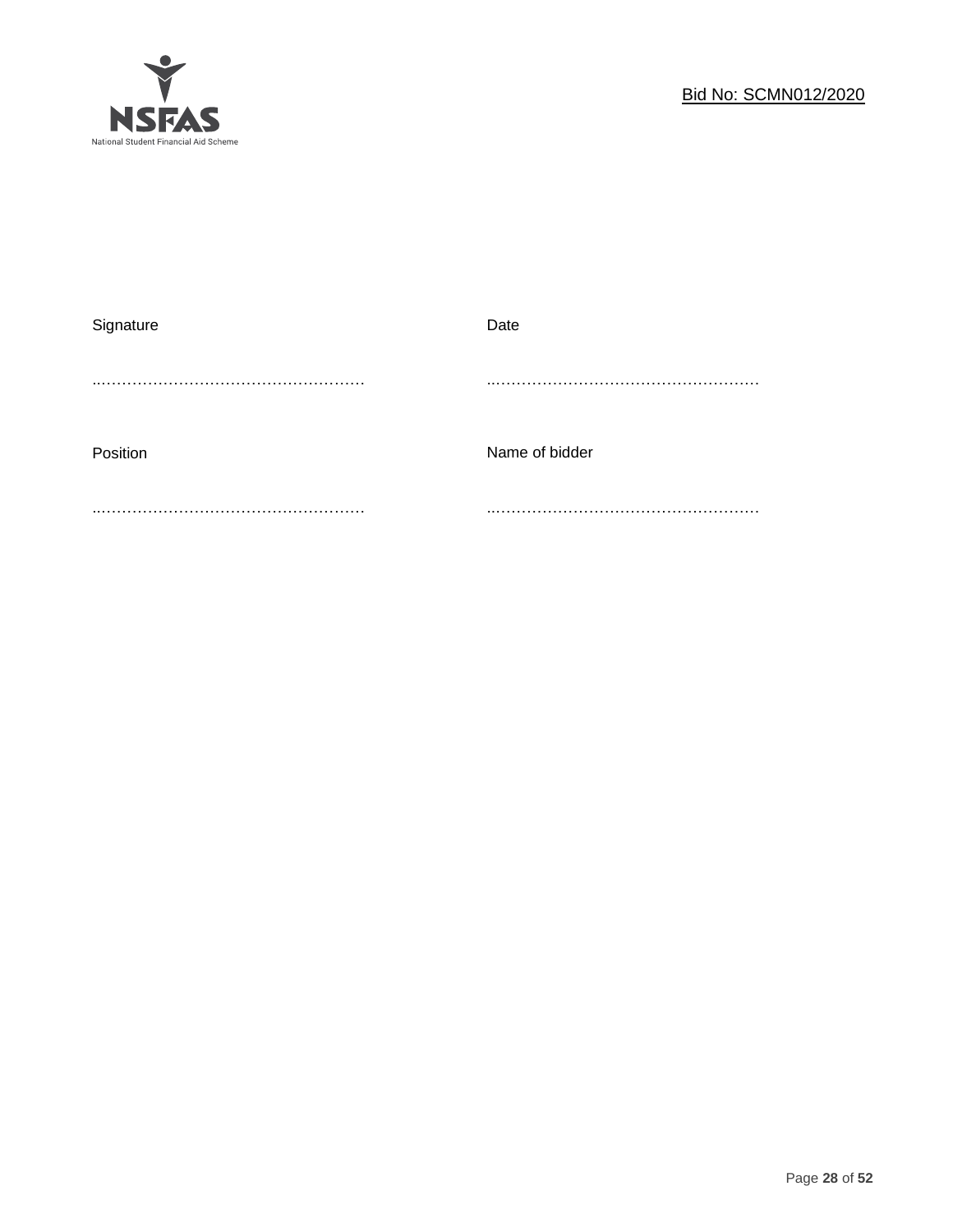

| Signature | Date           |
|-----------|----------------|
|           |                |
| Position  | Name of bidder |
|           |                |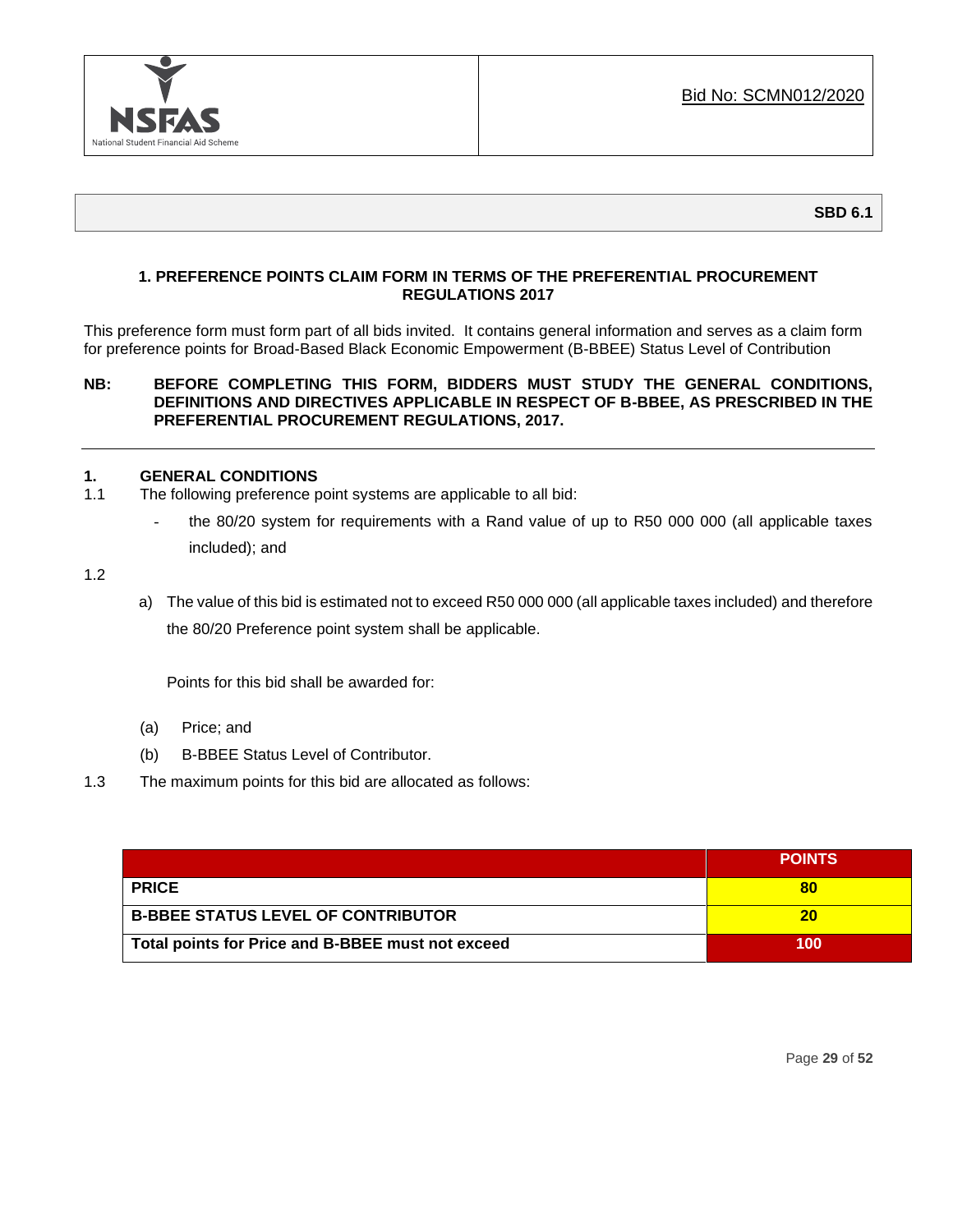

# **1. PREFERENCE POINTS CLAIM FORM IN TERMS OF THE PREFERENTIAL PROCUREMENT REGULATIONS 2017**

This preference form must form part of all bids invited. It contains general information and serves as a claim form for preference points for Broad-Based Black Economic Empowerment (B-BBEE) Status Level of Contribution

# **NB: BEFORE COMPLETING THIS FORM, BIDDERS MUST STUDY THE GENERAL CONDITIONS, DEFINITIONS AND DIRECTIVES APPLICABLE IN RESPECT OF B-BBEE, AS PRESCRIBED IN THE PREFERENTIAL PROCUREMENT REGULATIONS, 2017.**

# **1. GENERAL CONDITIONS**

- 1.1 The following preference point systems are applicable to all bid:
	- the 80/20 system for requirements with a Rand value of up to R50 000 000 (all applicable taxes included); and

1.2

a) The value of this bid is estimated not to exceed R50 000 000 (all applicable taxes included) and therefore the 80/20 Preference point system shall be applicable.

Points for this bid shall be awarded for:

- (a) Price; and
- (b) B-BBEE Status Level of Contributor.
- 1.3 The maximum points for this bid are allocated as follows:

|                                                   | <b>POINTS</b> |
|---------------------------------------------------|---------------|
| <b>PRICE</b>                                      | 80            |
| <b>B-BBEE STATUS LEVEL OF CONTRIBUTOR</b>         | 20            |
| Total points for Price and B-BBEE must not exceed | 100           |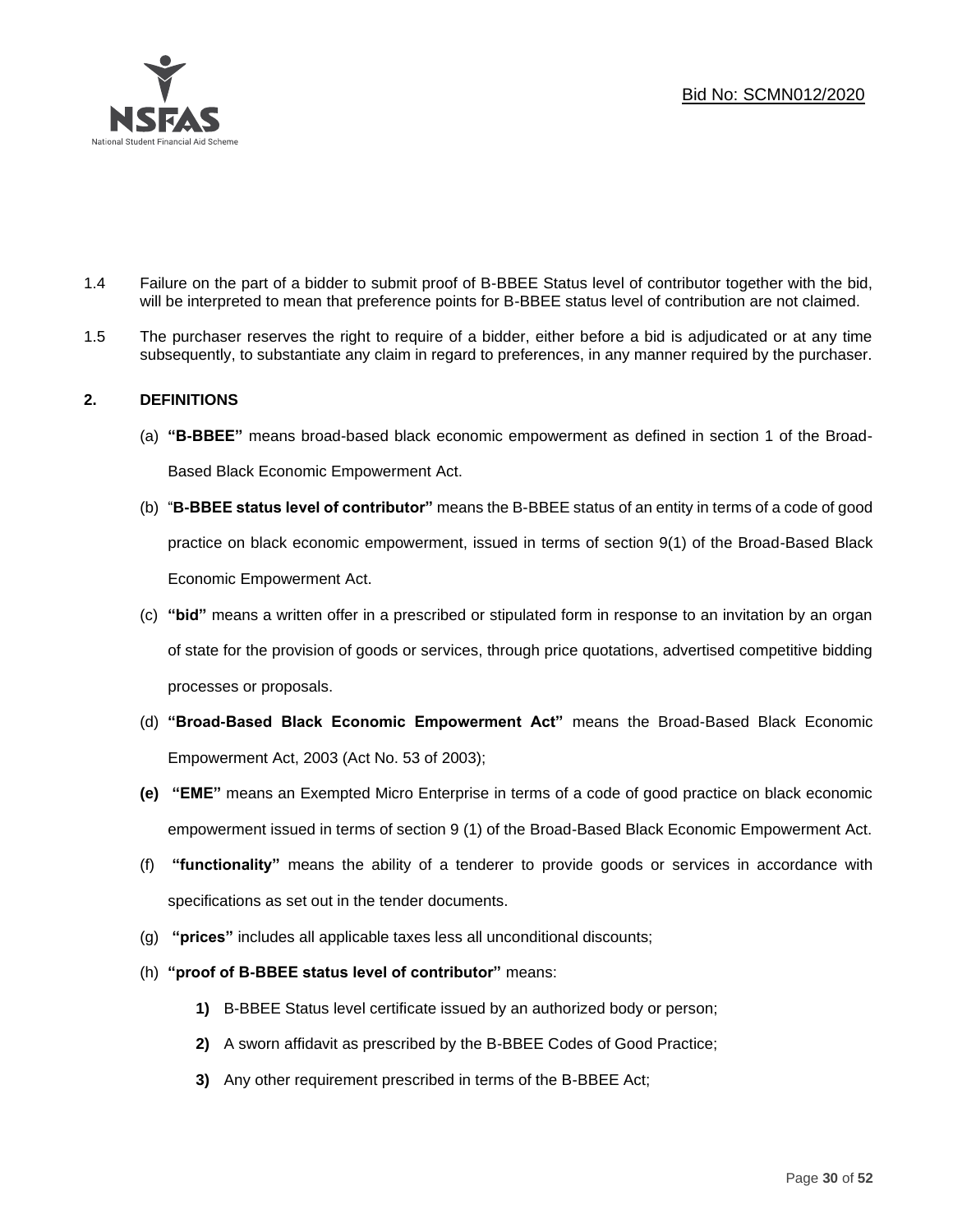

- 1.4 Failure on the part of a bidder to submit proof of B-BBEE Status level of contributor together with the bid, will be interpreted to mean that preference points for B-BBEE status level of contribution are not claimed.
- 1.5 The purchaser reserves the right to require of a bidder, either before a bid is adjudicated or at any time subsequently, to substantiate any claim in regard to preferences, in any manner required by the purchaser.

# **2. DEFINITIONS**

- (a) **"B-BBEE"** means broad-based black economic empowerment as defined in section 1 of the Broad-Based Black Economic Empowerment Act.
- (b) "**B-BBEE status level of contributor"** means the B-BBEE status of an entity in terms of a code of good practice on black economic empowerment, issued in terms of section 9(1) of the Broad-Based Black Economic Empowerment Act.
- (c) **"bid"** means a written offer in a prescribed or stipulated form in response to an invitation by an organ of state for the provision of goods or services, through price quotations, advertised competitive bidding processes or proposals.
- (d) **"Broad-Based Black Economic Empowerment Act"** means the Broad-Based Black Economic Empowerment Act, 2003 (Act No. 53 of 2003);
- **(e) "EME"** means an Exempted Micro Enterprise in terms of a code of good practice on black economic empowerment issued in terms of section 9 (1) of the Broad-Based Black Economic Empowerment Act.
- (f) **"functionality"** means the ability of a tenderer to provide goods or services in accordance with specifications as set out in the tender documents.
- (g) **"prices"** includes all applicable taxes less all unconditional discounts;
- (h) **"proof of B-BBEE status level of contributor"** means:
	- **1)** B-BBEE Status level certificate issued by an authorized body or person;
	- **2)** A sworn affidavit as prescribed by the B-BBEE Codes of Good Practice;
	- **3)** Any other requirement prescribed in terms of the B-BBEE Act;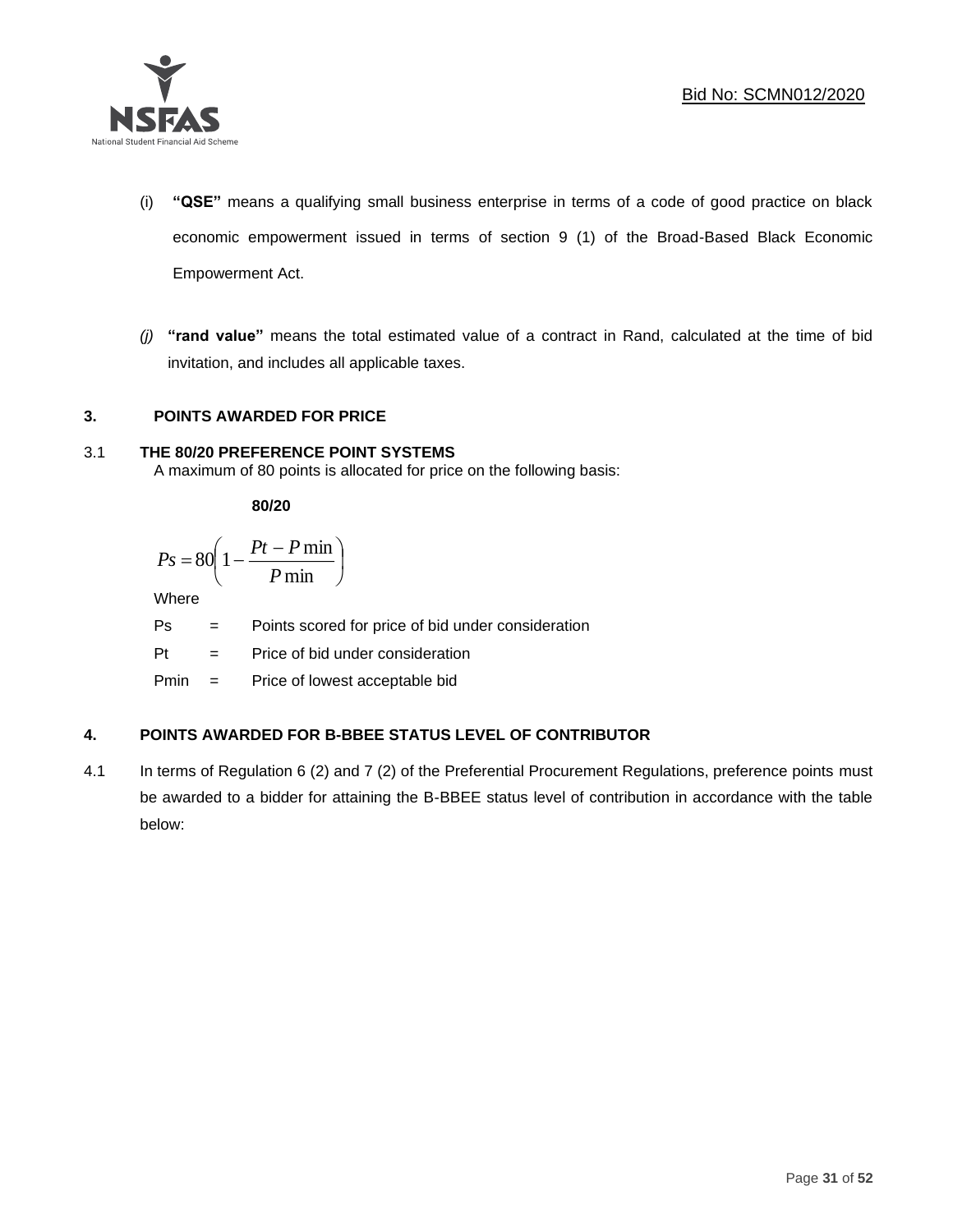

- (i) **"QSE"** means a qualifying small business enterprise in terms of a code of good practice on black economic empowerment issued in terms of section 9 (1) of the Broad-Based Black Economic Empowerment Act.
- *(j)* **"rand value"** means the total estimated value of a contract in Rand, calculated at the time of bid invitation, and includes all applicable taxes.

# **3. POINTS AWARDED FOR PRICE**

# 3.1 **THE 80/20 PREFERENCE POINT SYSTEMS**

A maximum of 80 points is allocated for price on the following basis:

**80/20**

$$
Ps = 80 \left( 1 - \frac{Pt - P \min}{P \min} \right)
$$

Where

- Ps = Points scored for price of bid under consideration
- Pt = Price of bid under consideration

Pmin = Price of lowest acceptable bid

# **4. POINTS AWARDED FOR B-BBEE STATUS LEVEL OF CONTRIBUTOR**

4.1 In terms of Regulation 6 (2) and 7 (2) of the Preferential Procurement Regulations, preference points must be awarded to a bidder for attaining the B-BBEE status level of contribution in accordance with the table below: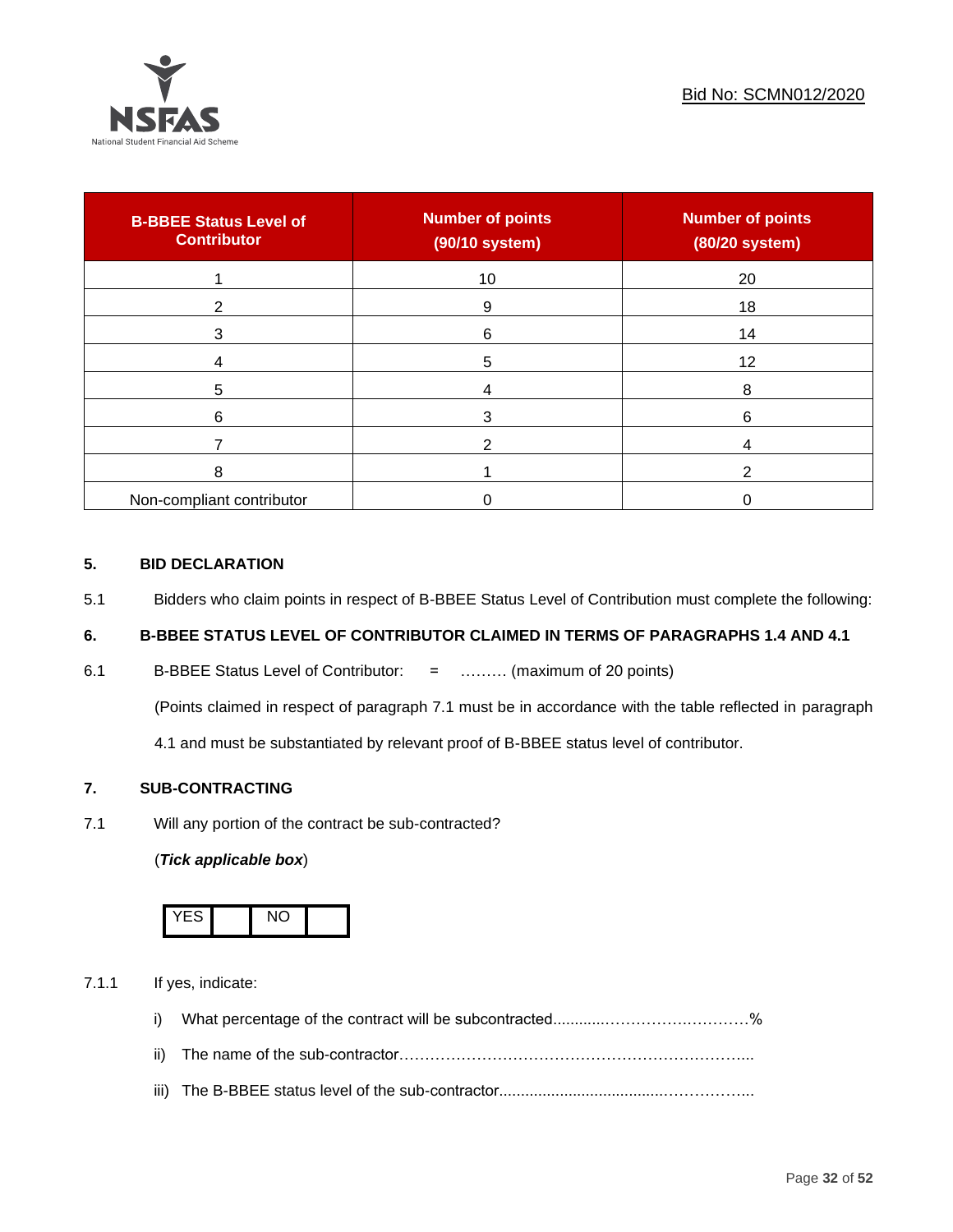

| <b>B-BBEE Status Level of</b><br><b>Contributor</b> | <b>Number of points</b><br>(90/10 system) | <b>Number of points</b><br>(80/20 system) |
|-----------------------------------------------------|-------------------------------------------|-------------------------------------------|
|                                                     | 10                                        | 20                                        |
| ◠                                                   | 9                                         | 18                                        |
| 3                                                   | 6                                         | 14                                        |
|                                                     | 5                                         | 12                                        |
| 5                                                   |                                           | 8                                         |
| 6                                                   |                                           | 6                                         |
|                                                     |                                           |                                           |
| 8                                                   |                                           |                                           |
| Non-compliant contributor                           |                                           |                                           |

# **5. BID DECLARATION**

5.1 Bidders who claim points in respect of B-BBEE Status Level of Contribution must complete the following:

# **6. B-BBEE STATUS LEVEL OF CONTRIBUTOR CLAIMED IN TERMS OF PARAGRAPHS 1.4 AND 4.1**

6.1 B-BBEE Status Level of Contributor: = ……… (maximum of 20 points)

(Points claimed in respect of paragraph 7.1 must be in accordance with the table reflected in paragraph

4.1 and must be substantiated by relevant proof of B-BBEE status level of contributor.

# **7. SUB-CONTRACTING**

7.1 Will any portion of the contract be sub-contracted?

# (*Tick applicable box*)



7.1.1 If yes, indicate:

- i) What percentage of the contract will be subcontracted............…………….…………%
- ii) The name of the sub-contractor…………………………………………………………...
- iii) The B-BBEE status level of the sub-contractor......................................……………...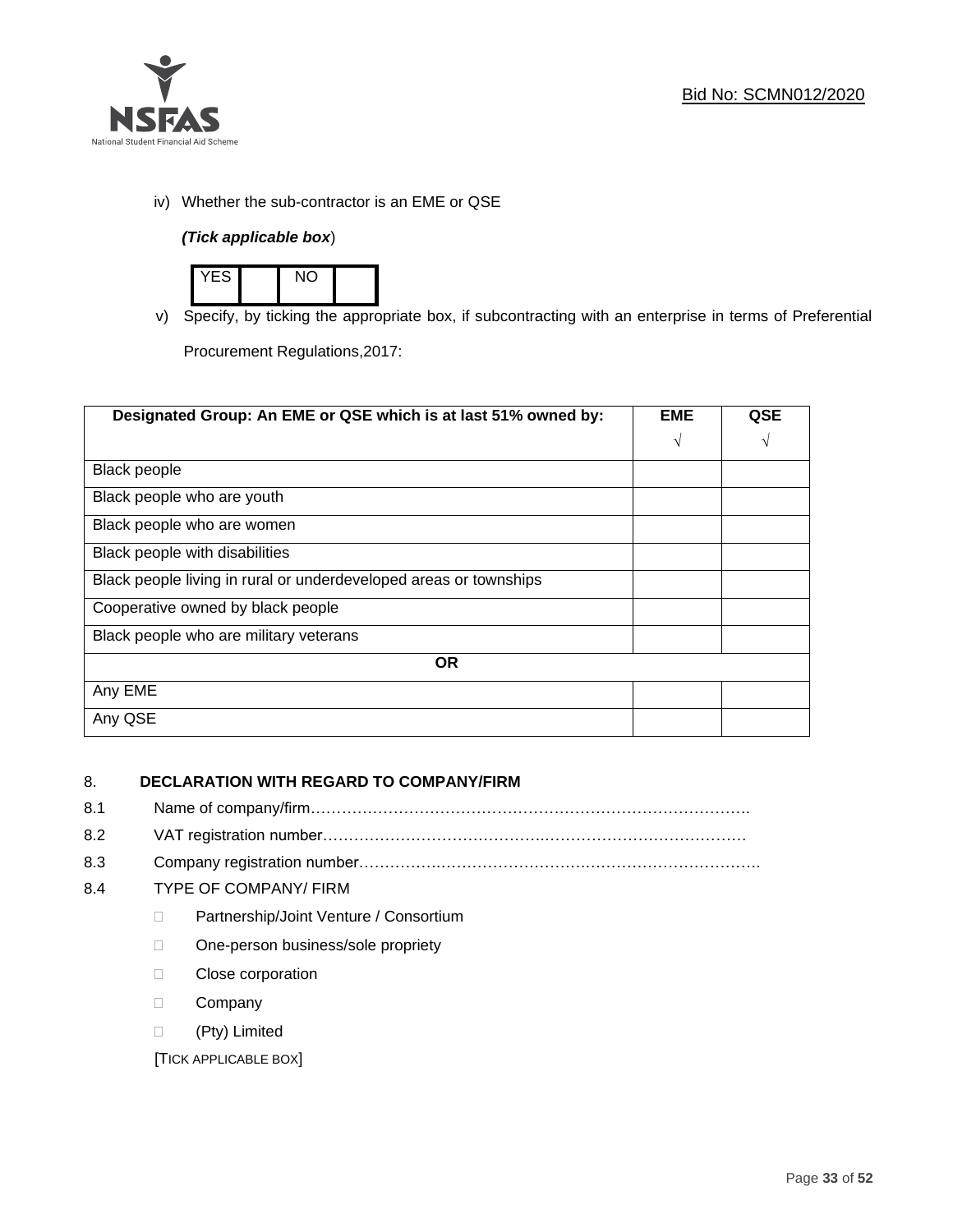

iv) Whether the sub-contractor is an EME or QSE

# *(Tick applicable box*)



v) Specify, by ticking the appropriate box, if subcontracting with an enterprise in terms of Preferential

Procurement Regulations,2017:

| Designated Group: An EME or QSE which is at last 51% owned by:    |            | <b>QSE</b> |  |  |
|-------------------------------------------------------------------|------------|------------|--|--|
|                                                                   | $\sqrt{ }$ | V          |  |  |
| <b>Black people</b>                                               |            |            |  |  |
| Black people who are youth                                        |            |            |  |  |
| Black people who are women                                        |            |            |  |  |
| Black people with disabilities                                    |            |            |  |  |
| Black people living in rural or underdeveloped areas or townships |            |            |  |  |
| Cooperative owned by black people                                 |            |            |  |  |
| Black people who are military veterans                            |            |            |  |  |
| <b>OR</b>                                                         |            |            |  |  |
| Any EME                                                           |            |            |  |  |
| Any QSE                                                           |            |            |  |  |

# 8. **DECLARATION WITH REGARD TO COMPANY/FIRM**

- 8.1 Name of company/firm………………………………………………………………………….
- 8.2 VAT registration number…………………………………….…………………………………
- 8.3 Company registration number…………….……………………….…………………………….

# 8.4 TYPE OF COMPANY/ FIRM

- D Partnership/Joint Venture / Consortium
- □ One-person business/sole propriety
- D Close corporation
- D Company
- (Pty) Limited

[TICK APPLICABLE BOX]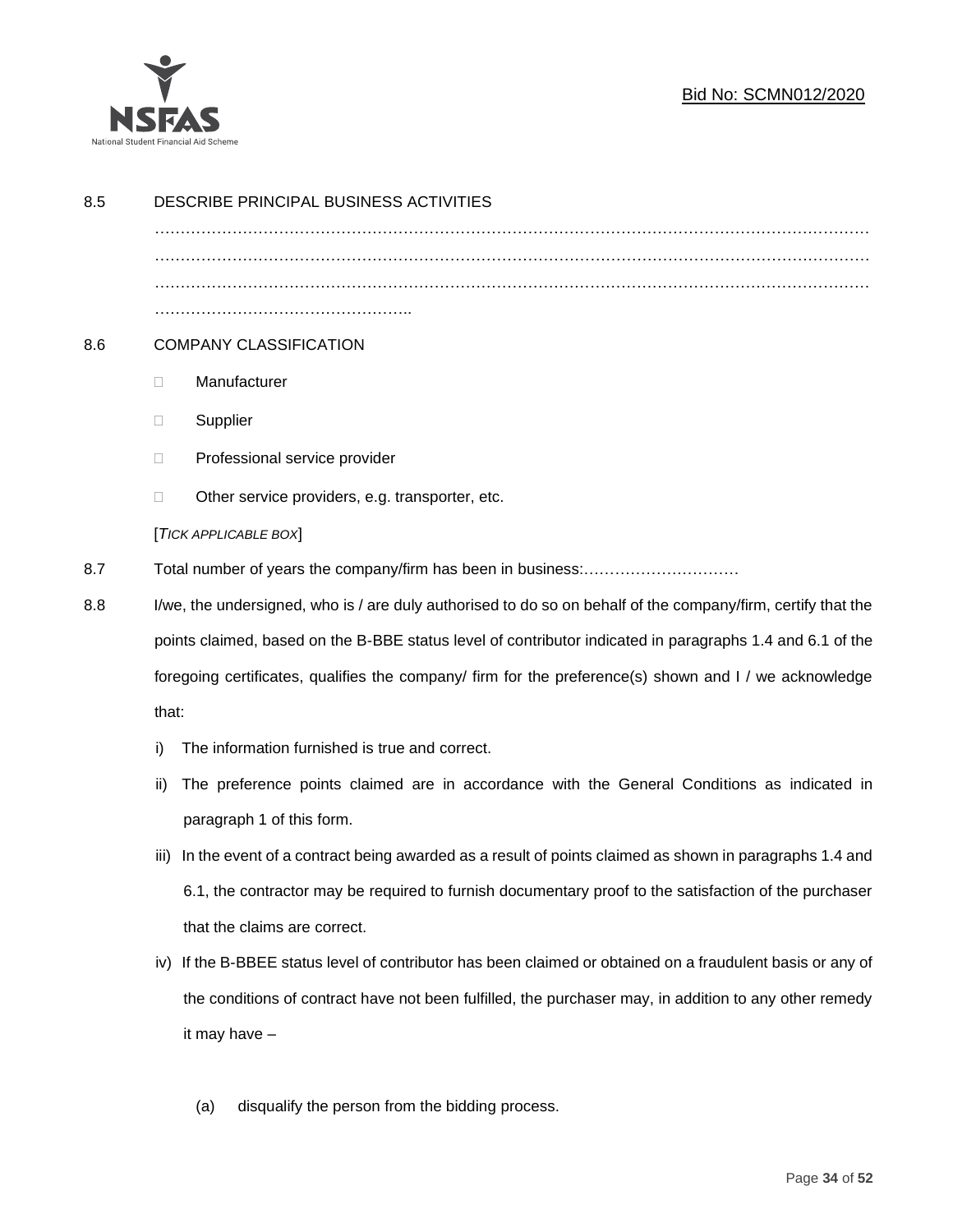

# Bid No: SCMN012/2020

| 8.5 | DESCRIBE PRINCIPAL BUSINESS ACTIVITIES                                                                                                                                                                                                                                                                                              |                                                                                                        |  |
|-----|-------------------------------------------------------------------------------------------------------------------------------------------------------------------------------------------------------------------------------------------------------------------------------------------------------------------------------------|--------------------------------------------------------------------------------------------------------|--|
|     |                                                                                                                                                                                                                                                                                                                                     |                                                                                                        |  |
|     |                                                                                                                                                                                                                                                                                                                                     |                                                                                                        |  |
|     |                                                                                                                                                                                                                                                                                                                                     |                                                                                                        |  |
| 8.6 | <b>COMPANY CLASSIFICATION</b>                                                                                                                                                                                                                                                                                                       |                                                                                                        |  |
|     | O.                                                                                                                                                                                                                                                                                                                                  | Manufacturer                                                                                           |  |
|     | □                                                                                                                                                                                                                                                                                                                                   | Supplier                                                                                               |  |
|     | □                                                                                                                                                                                                                                                                                                                                   | Professional service provider                                                                          |  |
|     | □                                                                                                                                                                                                                                                                                                                                   | Other service providers, e.g. transporter, etc.                                                        |  |
|     |                                                                                                                                                                                                                                                                                                                                     | [TICK APPLICABLE BOX]                                                                                  |  |
| 8.7 |                                                                                                                                                                                                                                                                                                                                     |                                                                                                        |  |
| 8.8 | I/we, the undersigned, who is / are duly authorised to do so on behalf of the company/firm, certify that the<br>points claimed, based on the B-BBE status level of contributor indicated in paragraphs 1.4 and 6.1 of the<br>foregoing certificates, qualifies the company/ firm for the preference(s) shown and I / we acknowledge |                                                                                                        |  |
|     |                                                                                                                                                                                                                                                                                                                                     |                                                                                                        |  |
|     |                                                                                                                                                                                                                                                                                                                                     |                                                                                                        |  |
|     | that:                                                                                                                                                                                                                                                                                                                               |                                                                                                        |  |
|     | i)                                                                                                                                                                                                                                                                                                                                  | The information furnished is true and correct.                                                         |  |
|     | ii)                                                                                                                                                                                                                                                                                                                                 | The preference points claimed are in accordance with the General Conditions as indicated in            |  |
|     |                                                                                                                                                                                                                                                                                                                                     | paragraph 1 of this form.                                                                              |  |
|     | iii)                                                                                                                                                                                                                                                                                                                                | In the event of a contract being awarded as a result of points claimed as shown in paragraphs 1.4 and  |  |
|     |                                                                                                                                                                                                                                                                                                                                     | 6.1, the contractor may be required to furnish documentary proof to the satisfaction of the purchaser  |  |
|     |                                                                                                                                                                                                                                                                                                                                     | that the claims are correct.                                                                           |  |
|     | iv)                                                                                                                                                                                                                                                                                                                                 | If the B-BBEE status level of contributor has been claimed or obtained on a fraudulent basis or any of |  |
|     |                                                                                                                                                                                                                                                                                                                                     | the conditions of contract have not been fulfilled, the purchaser may, in addition to any other remedy |  |
|     |                                                                                                                                                                                                                                                                                                                                     | it may have -                                                                                          |  |
|     |                                                                                                                                                                                                                                                                                                                                     |                                                                                                        |  |
|     |                                                                                                                                                                                                                                                                                                                                     | disqualify the person from the bidding process.<br>(a)                                                 |  |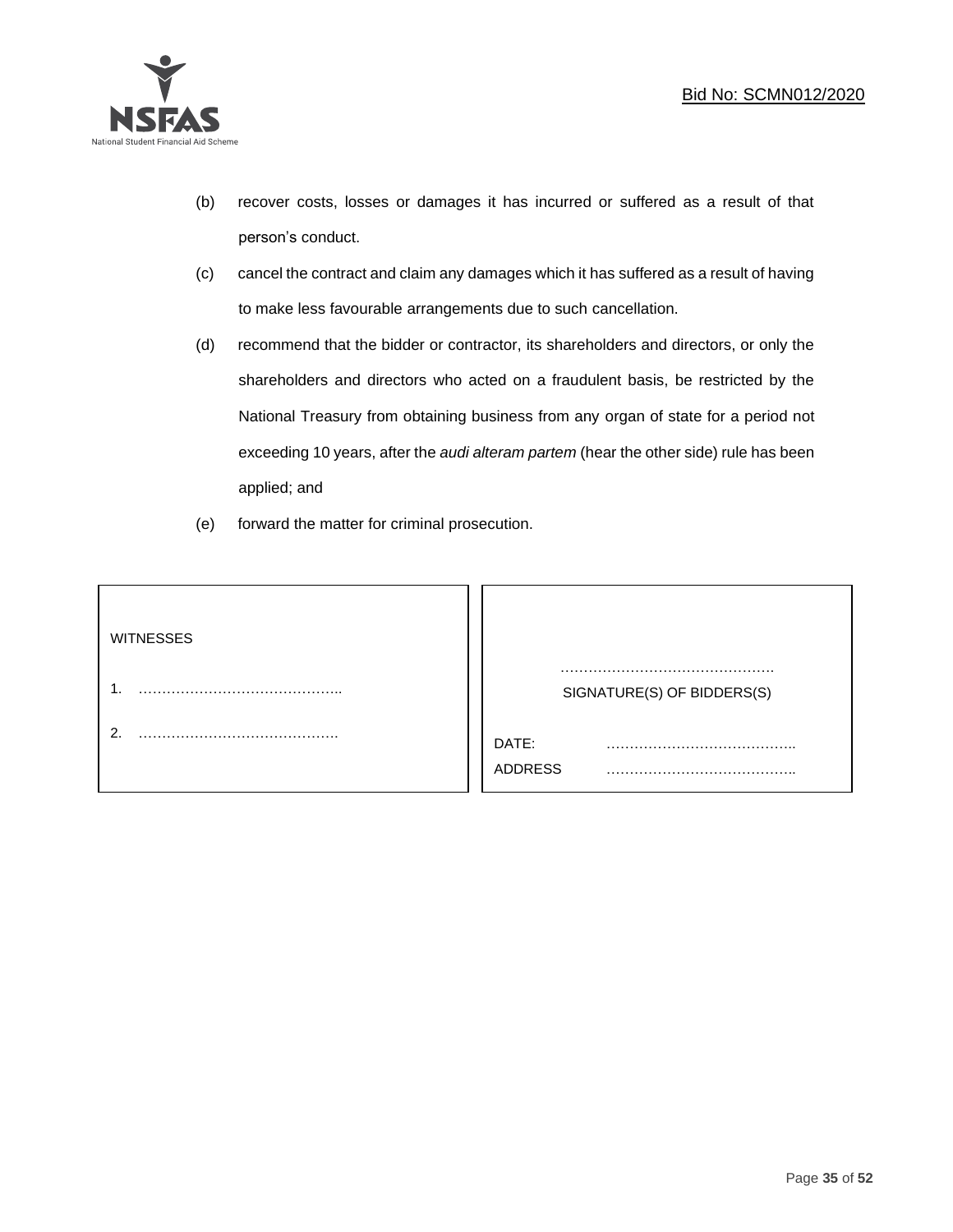

- (b) recover costs, losses or damages it has incurred or suffered as a result of that person's conduct.
- (c) cancel the contract and claim any damages which it has suffered as a result of having to make less favourable arrangements due to such cancellation.
- (d) recommend that the bidder or contractor, its shareholders and directors, or only the shareholders and directors who acted on a fraudulent basis, be restricted by the National Treasury from obtaining business from any organ of state for a period not exceeding 10 years, after the *audi alteram partem* (hear the other side) rule has been applied; and
- (e) forward the matter for criminal prosecution.

| <b>WITNESSES</b> |                              |
|------------------|------------------------------|
|                  | SIGNATURE(S) OF BIDDERS(S)   |
|                  | DATE:<br>.<br><b>ADDRESS</b> |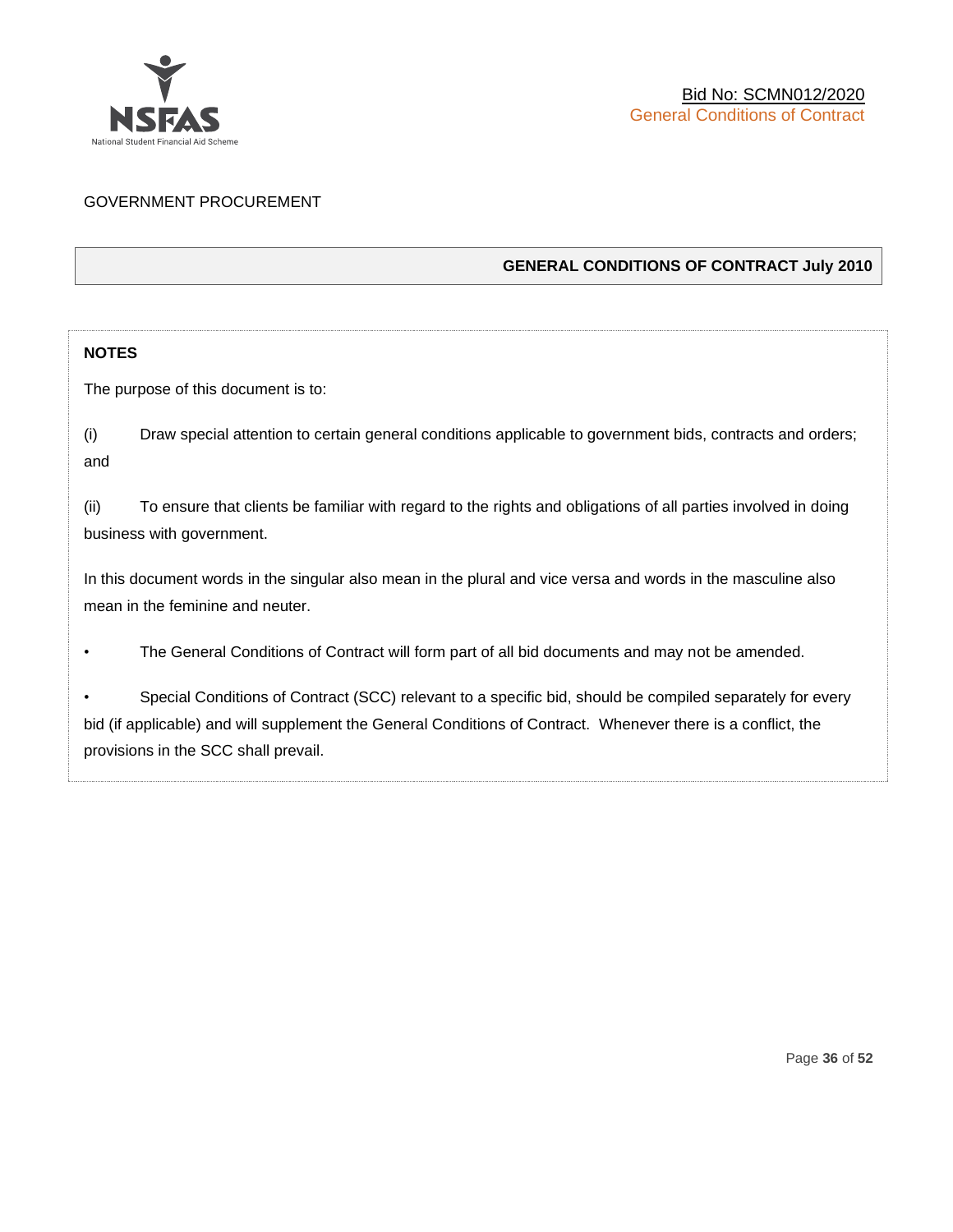

# GOVERNMENT PROCUREMENT

# **GENERAL CONDITIONS OF CONTRACT July 2010**

# **NOTES**

The purpose of this document is to:

(i) Draw special attention to certain general conditions applicable to government bids, contracts and orders; and

(ii) To ensure that clients be familiar with regard to the rights and obligations of all parties involved in doing business with government.

In this document words in the singular also mean in the plural and vice versa and words in the masculine also mean in the feminine and neuter.

• The General Conditions of Contract will form part of all bid documents and may not be amended.

Special Conditions of Contract (SCC) relevant to a specific bid, should be compiled separately for every bid (if applicable) and will supplement the General Conditions of Contract. Whenever there is a conflict, the provisions in the SCC shall prevail.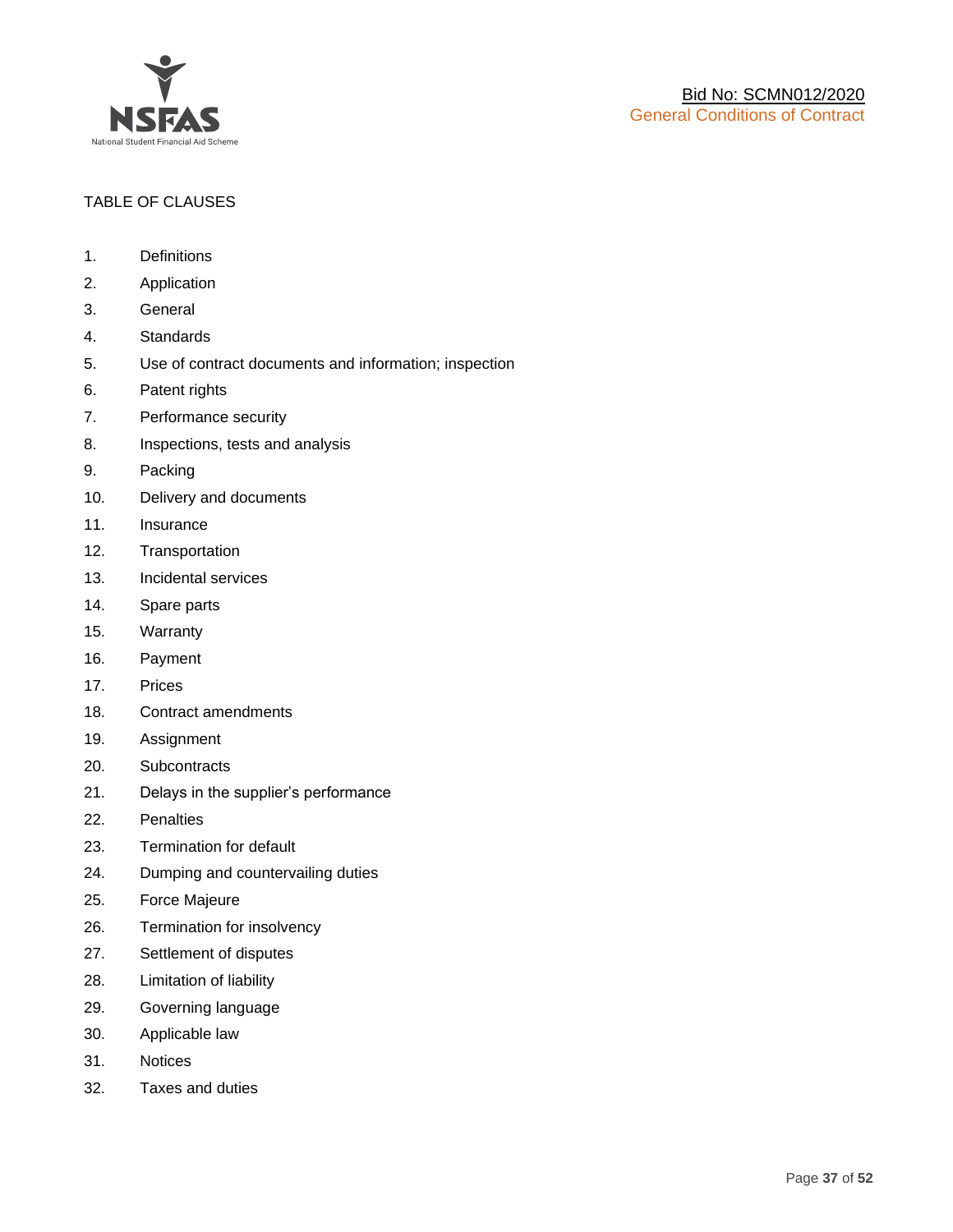

# TABLE OF CLAUSES

- 1. Definitions
- 2. Application
- 3. General
- 4. Standards
- 5. Use of contract documents and information; inspection
- 6. Patent rights
- 7. Performance security
- 8. Inspections, tests and analysis
- 9. Packing
- 10. Delivery and documents
- 11. Insurance
- 12. Transportation
- 13. Incidental services
- 14. Spare parts
- 15. Warranty
- 16. Payment
- 17. Prices
- 18. Contract amendments
- 19. Assignment
- 20. Subcontracts
- 21. Delays in the supplier's performance
- 22. Penalties
- 23. Termination for default
- 24. Dumping and countervailing duties
- 25. Force Majeure
- 26. Termination for insolvency
- 27. Settlement of disputes
- 28. Limitation of liability
- 29. Governing language
- 30. Applicable law
- 31. Notices
- 32. Taxes and duties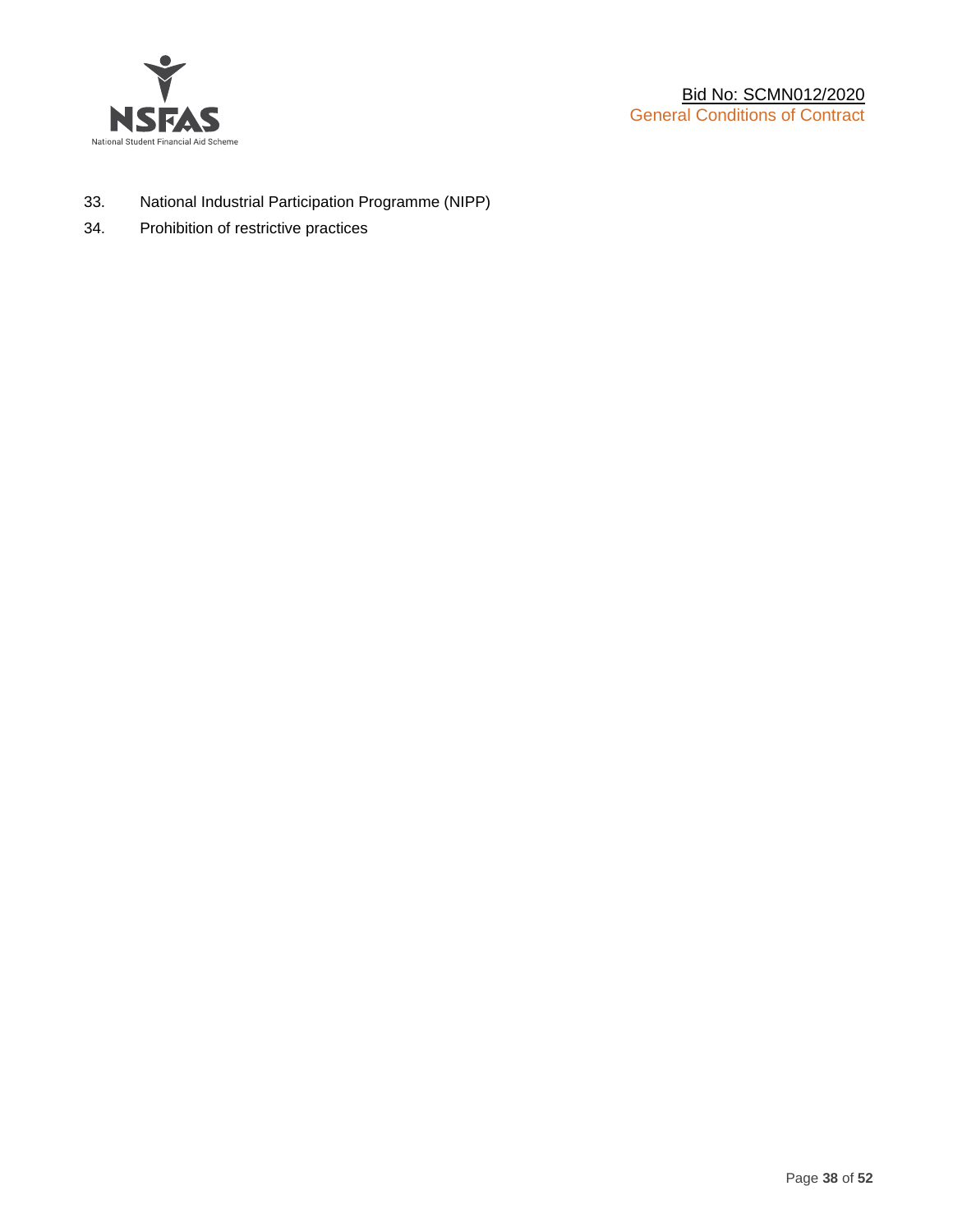

- 33. National Industrial Participation Programme (NIPP)
- 34. Prohibition of restrictive practices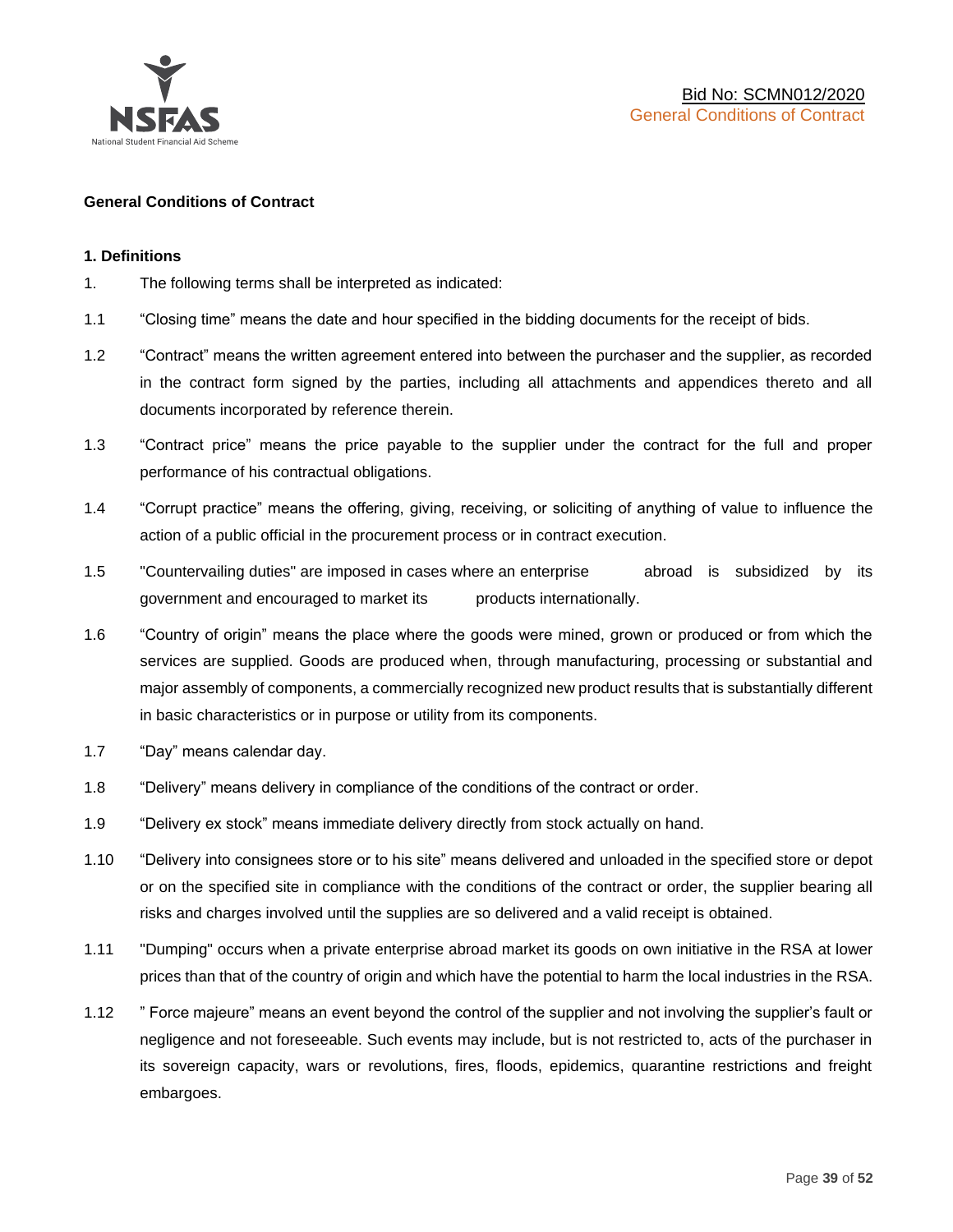

# **General Conditions of Contract**

#### **1. Definitions**

- 1. The following terms shall be interpreted as indicated:
- 1.1 "Closing time" means the date and hour specified in the bidding documents for the receipt of bids.
- 1.2 "Contract" means the written agreement entered into between the purchaser and the supplier, as recorded in the contract form signed by the parties, including all attachments and appendices thereto and all documents incorporated by reference therein.
- 1.3 "Contract price" means the price payable to the supplier under the contract for the full and proper performance of his contractual obligations.
- 1.4 "Corrupt practice" means the offering, giving, receiving, or soliciting of anything of value to influence the action of a public official in the procurement process or in contract execution.
- 1.5 "Countervailing duties" are imposed in cases where an enterprise abroad is subsidized by its government and encouraged to market its products internationally.
- 1.6 "Country of origin" means the place where the goods were mined, grown or produced or from which the services are supplied. Goods are produced when, through manufacturing, processing or substantial and major assembly of components, a commercially recognized new product results that is substantially different in basic characteristics or in purpose or utility from its components.
- 1.7 "Day" means calendar day.
- 1.8 "Delivery" means delivery in compliance of the conditions of the contract or order.
- 1.9 "Delivery ex stock" means immediate delivery directly from stock actually on hand.
- 1.10 "Delivery into consignees store or to his site" means delivered and unloaded in the specified store or depot or on the specified site in compliance with the conditions of the contract or order, the supplier bearing all risks and charges involved until the supplies are so delivered and a valid receipt is obtained.
- 1.11 "Dumping" occurs when a private enterprise abroad market its goods on own initiative in the RSA at lower prices than that of the country of origin and which have the potential to harm the local industries in the RSA.
- 1.12 " Force majeure" means an event beyond the control of the supplier and not involving the supplier's fault or negligence and not foreseeable. Such events may include, but is not restricted to, acts of the purchaser in its sovereign capacity, wars or revolutions, fires, floods, epidemics, quarantine restrictions and freight embargoes.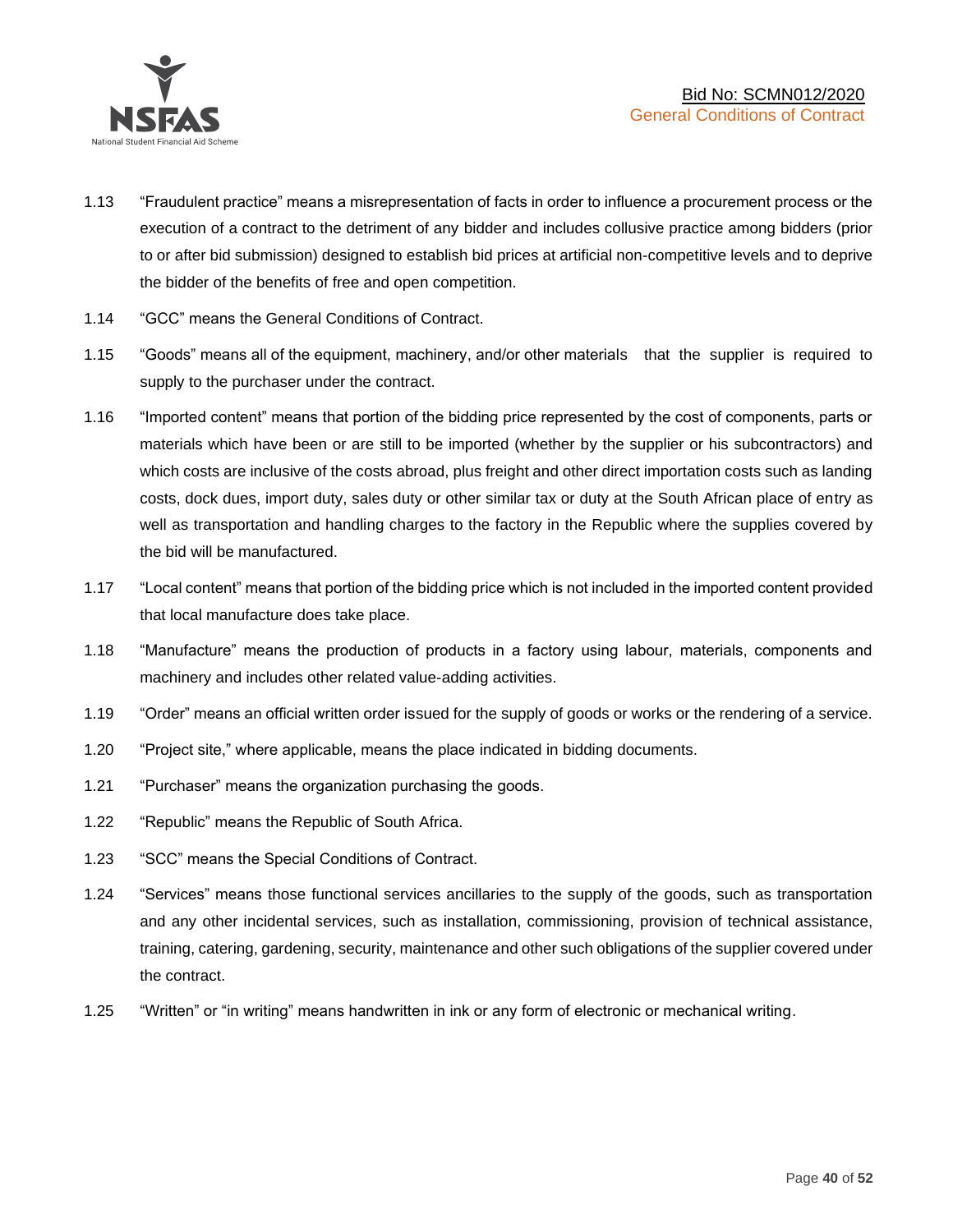

- 1.13 "Fraudulent practice" means a misrepresentation of facts in order to influence a procurement process or the execution of a contract to the detriment of any bidder and includes collusive practice among bidders (prior to or after bid submission) designed to establish bid prices at artificial non-competitive levels and to deprive the bidder of the benefits of free and open competition.
- 1.14 "GCC" means the General Conditions of Contract.
- 1.15 "Goods" means all of the equipment, machinery, and/or other materials that the supplier is required to supply to the purchaser under the contract.
- 1.16 "Imported content" means that portion of the bidding price represented by the cost of components, parts or materials which have been or are still to be imported (whether by the supplier or his subcontractors) and which costs are inclusive of the costs abroad, plus freight and other direct importation costs such as landing costs, dock dues, import duty, sales duty or other similar tax or duty at the South African place of entry as well as transportation and handling charges to the factory in the Republic where the supplies covered by the bid will be manufactured.
- 1.17 "Local content" means that portion of the bidding price which is not included in the imported content provided that local manufacture does take place.
- 1.18 "Manufacture" means the production of products in a factory using labour, materials, components and machinery and includes other related value-adding activities.
- 1.19 "Order" means an official written order issued for the supply of goods or works or the rendering of a service.
- 1.20 "Project site," where applicable, means the place indicated in bidding documents.
- 1.21 "Purchaser" means the organization purchasing the goods.
- 1.22 "Republic" means the Republic of South Africa.
- 1.23 "SCC" means the Special Conditions of Contract.
- 1.24 "Services" means those functional services ancillaries to the supply of the goods, such as transportation and any other incidental services, such as installation, commissioning, provision of technical assistance, training, catering, gardening, security, maintenance and other such obligations of the supplier covered under the contract.
- 1.25 "Written" or "in writing" means handwritten in ink or any form of electronic or mechanical writing.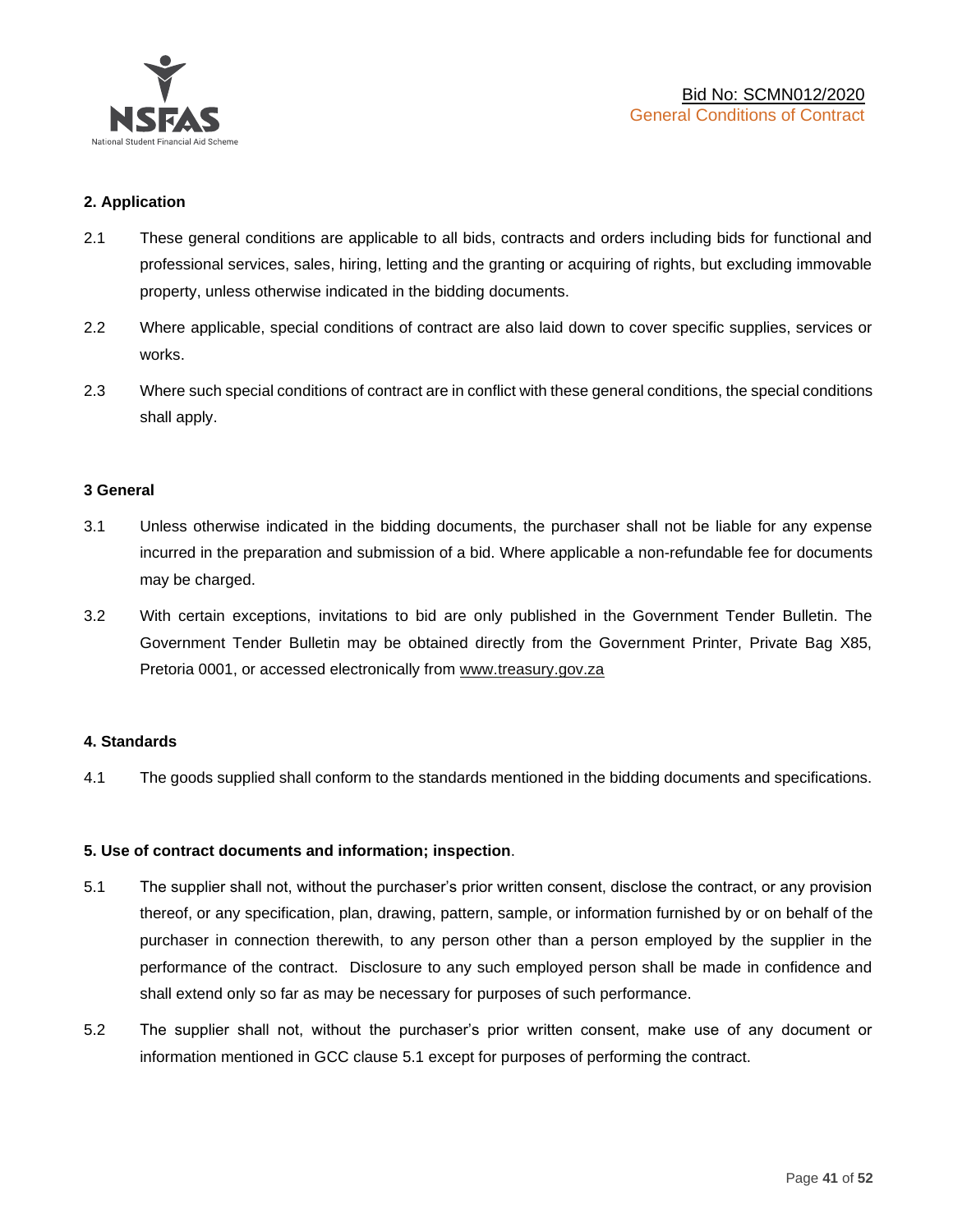

# **2. Application**

- 2.1 These general conditions are applicable to all bids, contracts and orders including bids for functional and professional services, sales, hiring, letting and the granting or acquiring of rights, but excluding immovable property, unless otherwise indicated in the bidding documents.
- 2.2 Where applicable, special conditions of contract are also laid down to cover specific supplies, services or works.
- 2.3 Where such special conditions of contract are in conflict with these general conditions, the special conditions shall apply.

#### **3 General**

- 3.1 Unless otherwise indicated in the bidding documents, the purchaser shall not be liable for any expense incurred in the preparation and submission of a bid. Where applicable a non-refundable fee for documents may be charged.
- 3.2 With certain exceptions, invitations to bid are only published in the Government Tender Bulletin. The Government Tender Bulletin may be obtained directly from the Government Printer, Private Bag X85, Pretoria 0001, or accessed electronically from [www.treasury.gov.za](http://www.treasury.gov.za/)

#### **4. Standards**

4.1 The goods supplied shall conform to the standards mentioned in the bidding documents and specifications.

#### **5. Use of contract documents and information; inspection**.

- 5.1 The supplier shall not, without the purchaser's prior written consent, disclose the contract, or any provision thereof, or any specification, plan, drawing, pattern, sample, or information furnished by or on behalf of the purchaser in connection therewith, to any person other than a person employed by the supplier in the performance of the contract. Disclosure to any such employed person shall be made in confidence and shall extend only so far as may be necessary for purposes of such performance.
- 5.2 The supplier shall not, without the purchaser's prior written consent, make use of any document or information mentioned in GCC clause 5.1 except for purposes of performing the contract.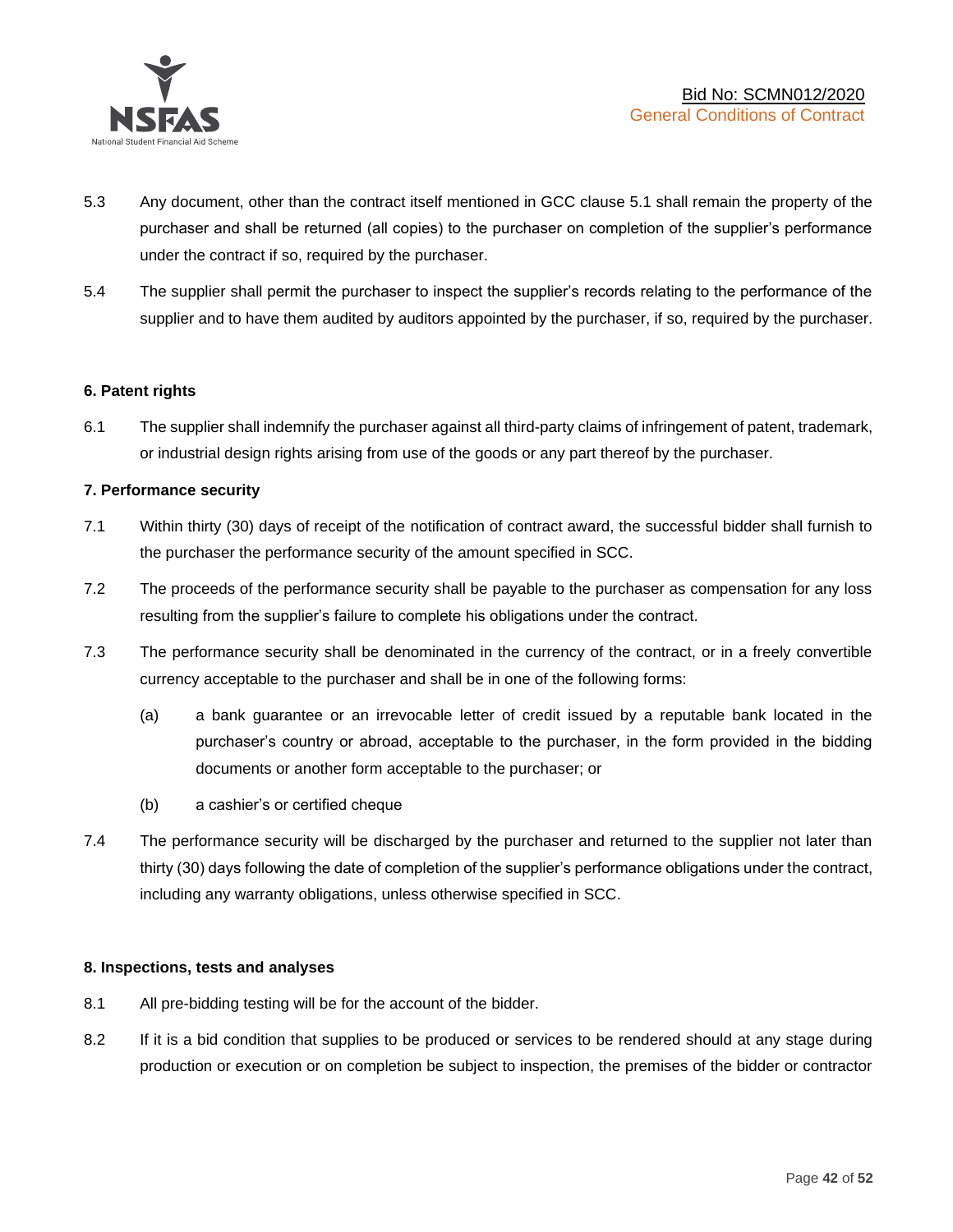

- 5.3 Any document, other than the contract itself mentioned in GCC clause 5.1 shall remain the property of the purchaser and shall be returned (all copies) to the purchaser on completion of the supplier's performance under the contract if so, required by the purchaser.
- 5.4 The supplier shall permit the purchaser to inspect the supplier's records relating to the performance of the supplier and to have them audited by auditors appointed by the purchaser, if so, required by the purchaser.

# **6. Patent rights**

6.1 The supplier shall indemnify the purchaser against all third-party claims of infringement of patent, trademark, or industrial design rights arising from use of the goods or any part thereof by the purchaser.

# **7. Performance security**

- 7.1 Within thirty (30) days of receipt of the notification of contract award, the successful bidder shall furnish to the purchaser the performance security of the amount specified in SCC.
- 7.2 The proceeds of the performance security shall be payable to the purchaser as compensation for any loss resulting from the supplier's failure to complete his obligations under the contract.
- 7.3 The performance security shall be denominated in the currency of the contract, or in a freely convertible currency acceptable to the purchaser and shall be in one of the following forms:
	- (a) a bank guarantee or an irrevocable letter of credit issued by a reputable bank located in the purchaser's country or abroad, acceptable to the purchaser, in the form provided in the bidding documents or another form acceptable to the purchaser; or
	- (b) a cashier's or certified cheque
- 7.4 The performance security will be discharged by the purchaser and returned to the supplier not later than thirty (30) days following the date of completion of the supplier's performance obligations under the contract, including any warranty obligations, unless otherwise specified in SCC.

#### **8. Inspections, tests and analyses**

- 8.1 All pre-bidding testing will be for the account of the bidder.
- 8.2 If it is a bid condition that supplies to be produced or services to be rendered should at any stage during production or execution or on completion be subject to inspection, the premises of the bidder or contractor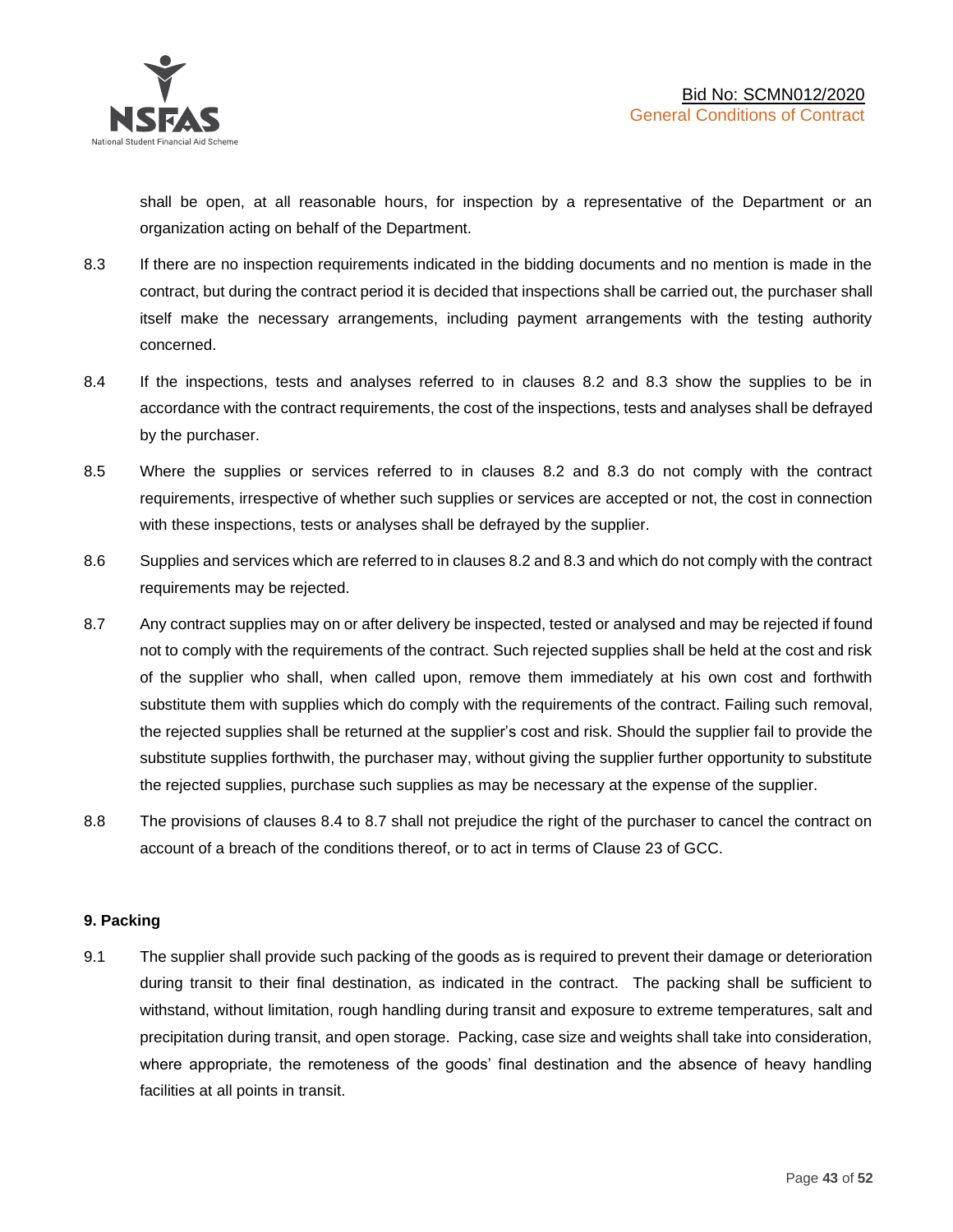shall be open, at all reasonable hours, for inspection by a representative of the Department or an organization acting on behalf of the Department.

- 8.3 If there are no inspection requirements indicated in the bidding documents and no mention is made in the contract, but during the contract period it is decided that inspections shall be carried out, the purchaser shall itself make the necessary arrangements, including payment arrangements with the testing authority concerned.
- 8.4 If the inspections, tests and analyses referred to in clauses 8.2 and 8.3 show the supplies to be in accordance with the contract requirements, the cost of the inspections, tests and analyses shall be defrayed by the purchaser.
- 8.5 Where the supplies or services referred to in clauses 8.2 and 8.3 do not comply with the contract requirements, irrespective of whether such supplies or services are accepted or not, the cost in connection with these inspections, tests or analyses shall be defrayed by the supplier.
- 8.6 Supplies and services which are referred to in clauses 8.2 and 8.3 and which do not comply with the contract requirements may be rejected.
- 8.7 Any contract supplies may on or after delivery be inspected, tested or analysed and may be rejected if found not to comply with the requirements of the contract. Such rejected supplies shall be held at the cost and risk of the supplier who shall, when called upon, remove them immediately at his own cost and forthwith substitute them with supplies which do comply with the requirements of the contract. Failing such removal, the rejected supplies shall be returned at the supplier's cost and risk. Should the supplier fail to provide the substitute supplies forthwith, the purchaser may, without giving the supplier further opportunity to substitute the rejected supplies, purchase such supplies as may be necessary at the expense of the supplier.
- 8.8 The provisions of clauses 8.4 to 8.7 shall not prejudice the right of the purchaser to cancel the contract on account of a breach of the conditions thereof, or to act in terms of Clause 23 of GCC.

# **9. Packing**

9.1 The supplier shall provide such packing of the goods as is required to prevent their damage or deterioration during transit to their final destination, as indicated in the contract. The packing shall be sufficient to withstand, without limitation, rough handling during transit and exposure to extreme temperatures, salt and precipitation during transit, and open storage. Packing, case size and weights shall take into consideration, where appropriate, the remoteness of the goods' final destination and the absence of heavy handling facilities at all points in transit.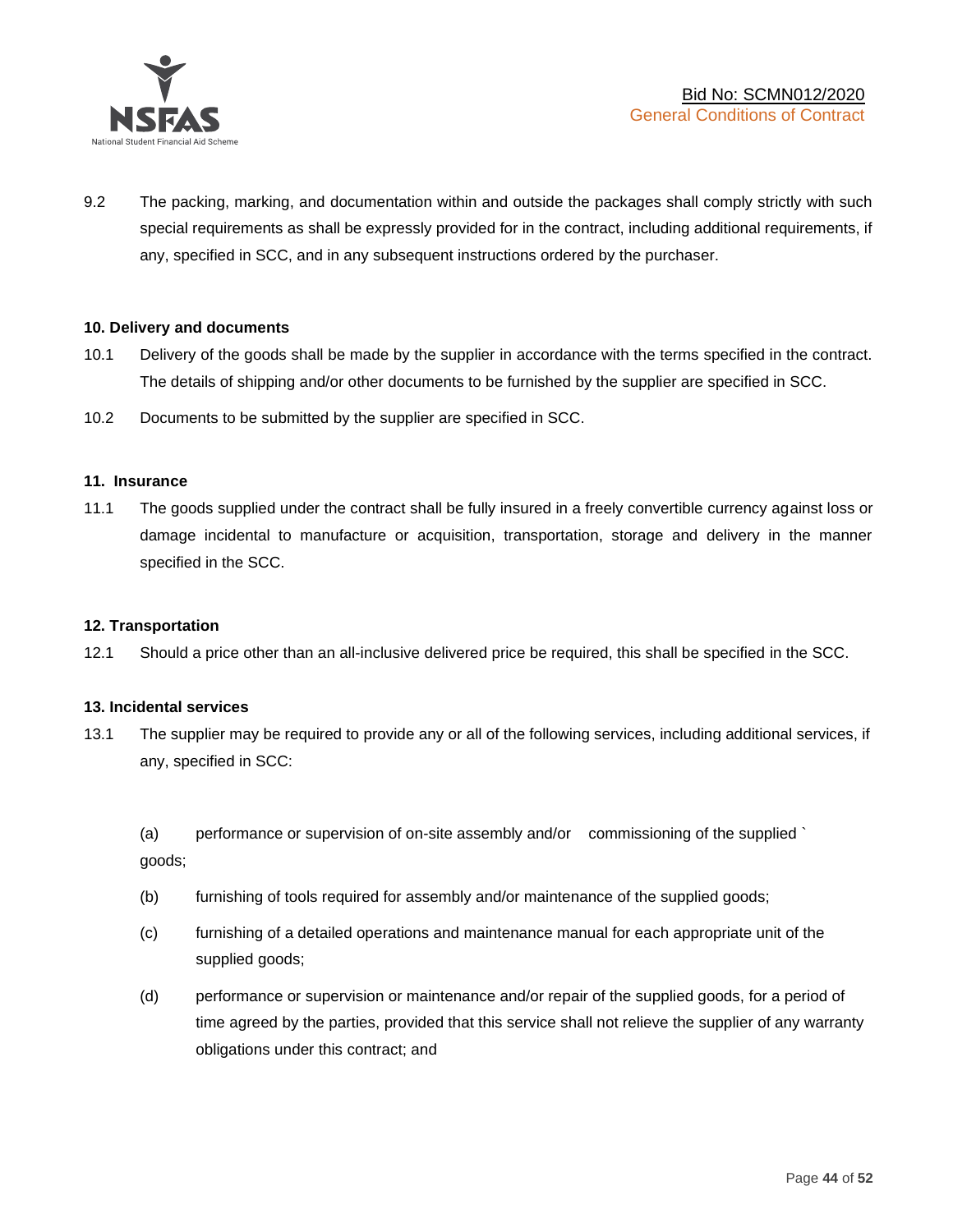

9.2 The packing, marking, and documentation within and outside the packages shall comply strictly with such special requirements as shall be expressly provided for in the contract, including additional requirements, if any, specified in SCC, and in any subsequent instructions ordered by the purchaser.

# **10. Delivery and documents**

- 10.1 Delivery of the goods shall be made by the supplier in accordance with the terms specified in the contract. The details of shipping and/or other documents to be furnished by the supplier are specified in SCC.
- 10.2 Documents to be submitted by the supplier are specified in SCC.

#### **11. Insurance**

11.1 The goods supplied under the contract shall be fully insured in a freely convertible currency against loss or damage incidental to manufacture or acquisition, transportation, storage and delivery in the manner specified in the SCC.

#### **12. Transportation**

12.1 Should a price other than an all-inclusive delivered price be required, this shall be specified in the SCC.

#### **13. Incidental services**

13.1 The supplier may be required to provide any or all of the following services, including additional services, if any, specified in SCC:

(a) performance or supervision of on-site assembly and/or commissioning of the supplied ` goods;

- (b) furnishing of tools required for assembly and/or maintenance of the supplied goods;
- (c) furnishing of a detailed operations and maintenance manual for each appropriate unit of the supplied goods;
- (d) performance or supervision or maintenance and/or repair of the supplied goods, for a period of time agreed by the parties, provided that this service shall not relieve the supplier of any warranty obligations under this contract; and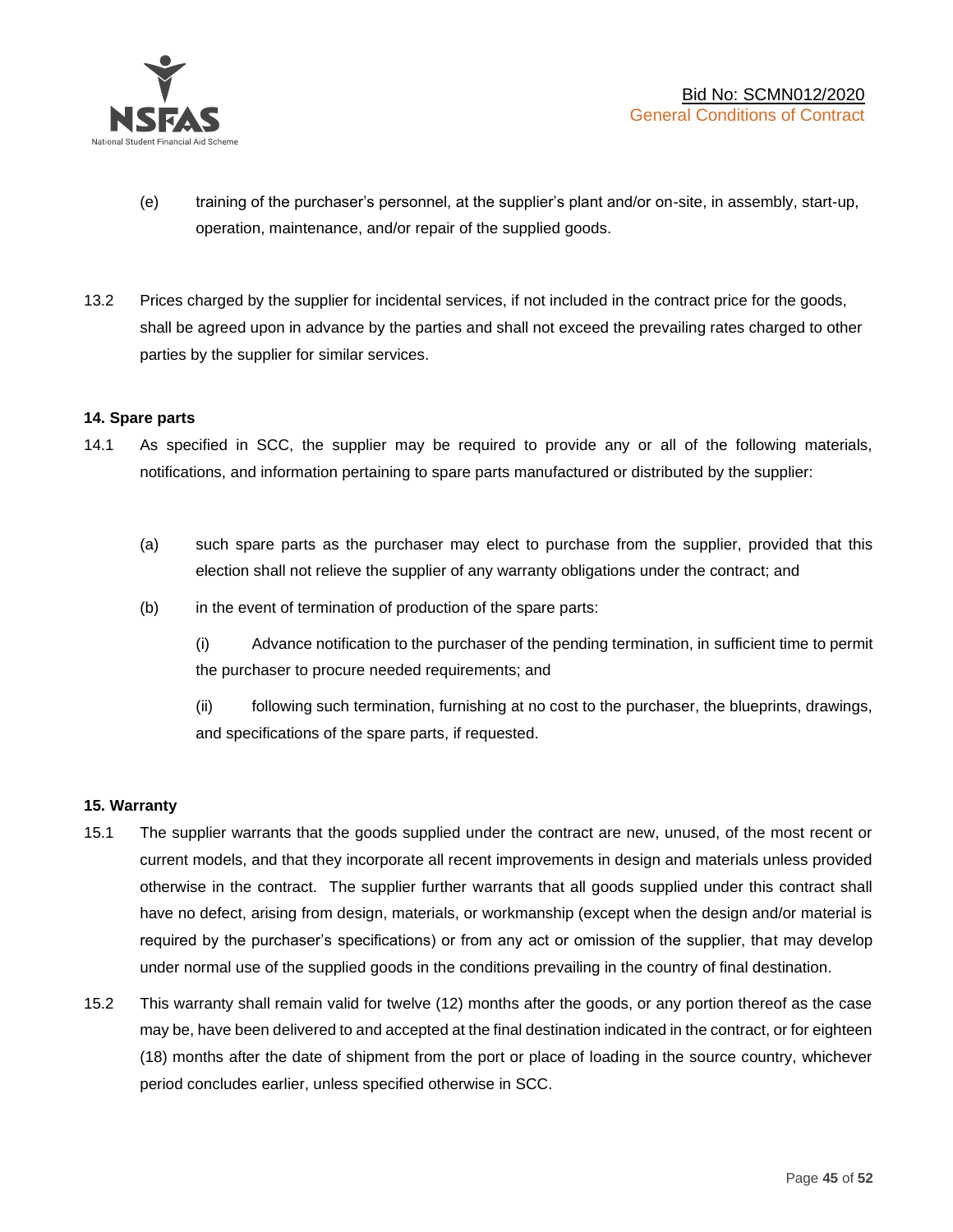

- (e) training of the purchaser's personnel, at the supplier's plant and/or on-site, in assembly, start-up, operation, maintenance, and/or repair of the supplied goods.
- 13.2 Prices charged by the supplier for incidental services, if not included in the contract price for the goods, shall be agreed upon in advance by the parties and shall not exceed the prevailing rates charged to other parties by the supplier for similar services.

# **14. Spare parts**

- 14.1 As specified in SCC, the supplier may be required to provide any or all of the following materials, notifications, and information pertaining to spare parts manufactured or distributed by the supplier:
	- (a) such spare parts as the purchaser may elect to purchase from the supplier, provided that this election shall not relieve the supplier of any warranty obligations under the contract; and
	- (b) in the event of termination of production of the spare parts:

(i) Advance notification to the purchaser of the pending termination, in sufficient time to permit the purchaser to procure needed requirements; and

(ii) following such termination, furnishing at no cost to the purchaser, the blueprints, drawings, and specifications of the spare parts, if requested.

#### **15. Warranty**

- 15.1 The supplier warrants that the goods supplied under the contract are new, unused, of the most recent or current models, and that they incorporate all recent improvements in design and materials unless provided otherwise in the contract. The supplier further warrants that all goods supplied under this contract shall have no defect, arising from design, materials, or workmanship (except when the design and/or material is required by the purchaser's specifications) or from any act or omission of the supplier, that may develop under normal use of the supplied goods in the conditions prevailing in the country of final destination.
- 15.2 This warranty shall remain valid for twelve (12) months after the goods, or any portion thereof as the case may be, have been delivered to and accepted at the final destination indicated in the contract, or for eighteen (18) months after the date of shipment from the port or place of loading in the source country, whichever period concludes earlier, unless specified otherwise in SCC.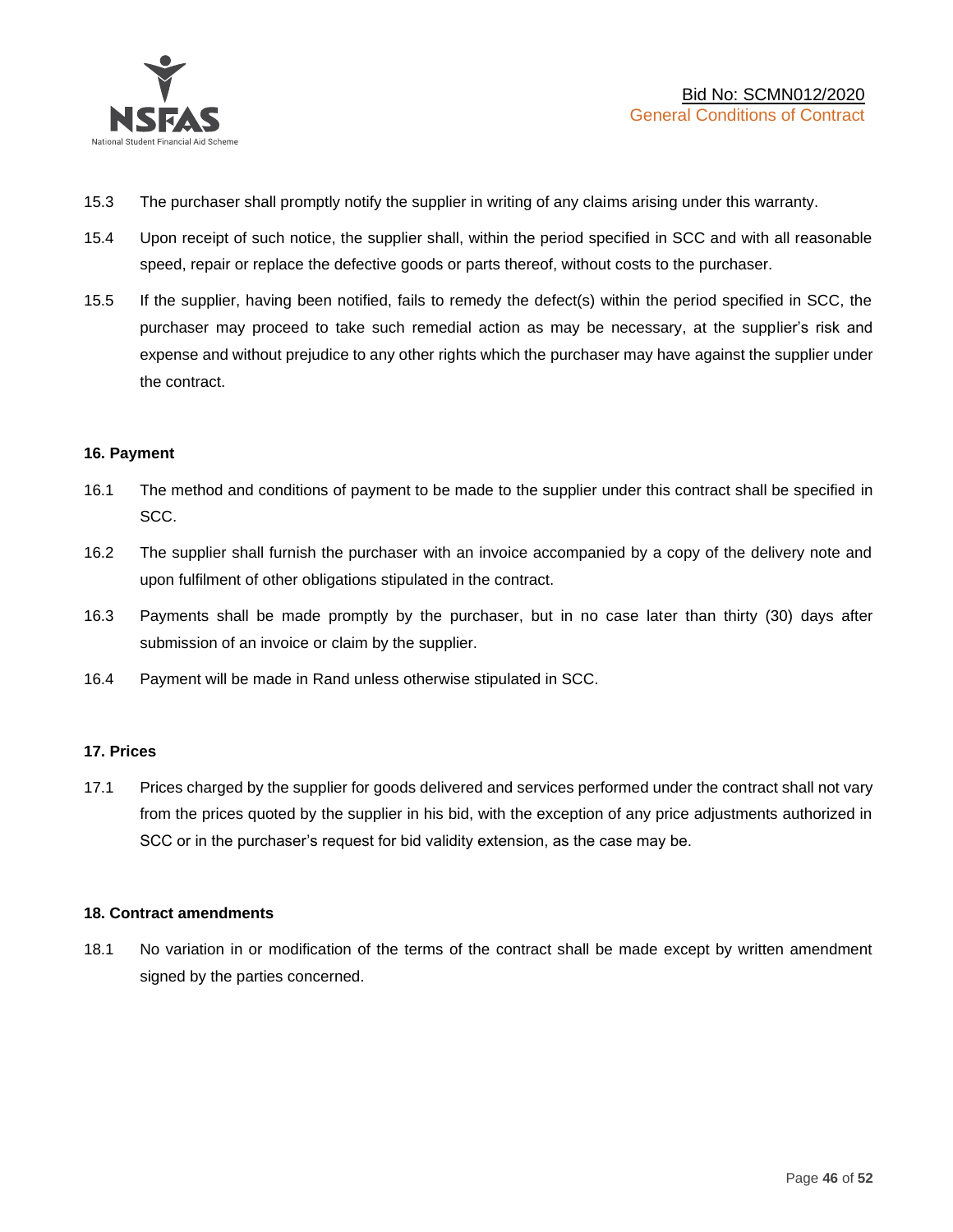

- 15.3 The purchaser shall promptly notify the supplier in writing of any claims arising under this warranty.
- 15.4 Upon receipt of such notice, the supplier shall, within the period specified in SCC and with all reasonable speed, repair or replace the defective goods or parts thereof, without costs to the purchaser.
- 15.5 If the supplier, having been notified, fails to remedy the defect(s) within the period specified in SCC, the purchaser may proceed to take such remedial action as may be necessary, at the supplier's risk and expense and without prejudice to any other rights which the purchaser may have against the supplier under the contract.

# **16. Payment**

- 16.1 The method and conditions of payment to be made to the supplier under this contract shall be specified in SCC.
- 16.2 The supplier shall furnish the purchaser with an invoice accompanied by a copy of the delivery note and upon fulfilment of other obligations stipulated in the contract.
- 16.3 Payments shall be made promptly by the purchaser, but in no case later than thirty (30) days after submission of an invoice or claim by the supplier.
- 16.4 Payment will be made in Rand unless otherwise stipulated in SCC.

#### **17. Prices**

17.1 Prices charged by the supplier for goods delivered and services performed under the contract shall not vary from the prices quoted by the supplier in his bid, with the exception of any price adjustments authorized in SCC or in the purchaser's request for bid validity extension, as the case may be.

#### **18. Contract amendments**

18.1 No variation in or modification of the terms of the contract shall be made except by written amendment signed by the parties concerned.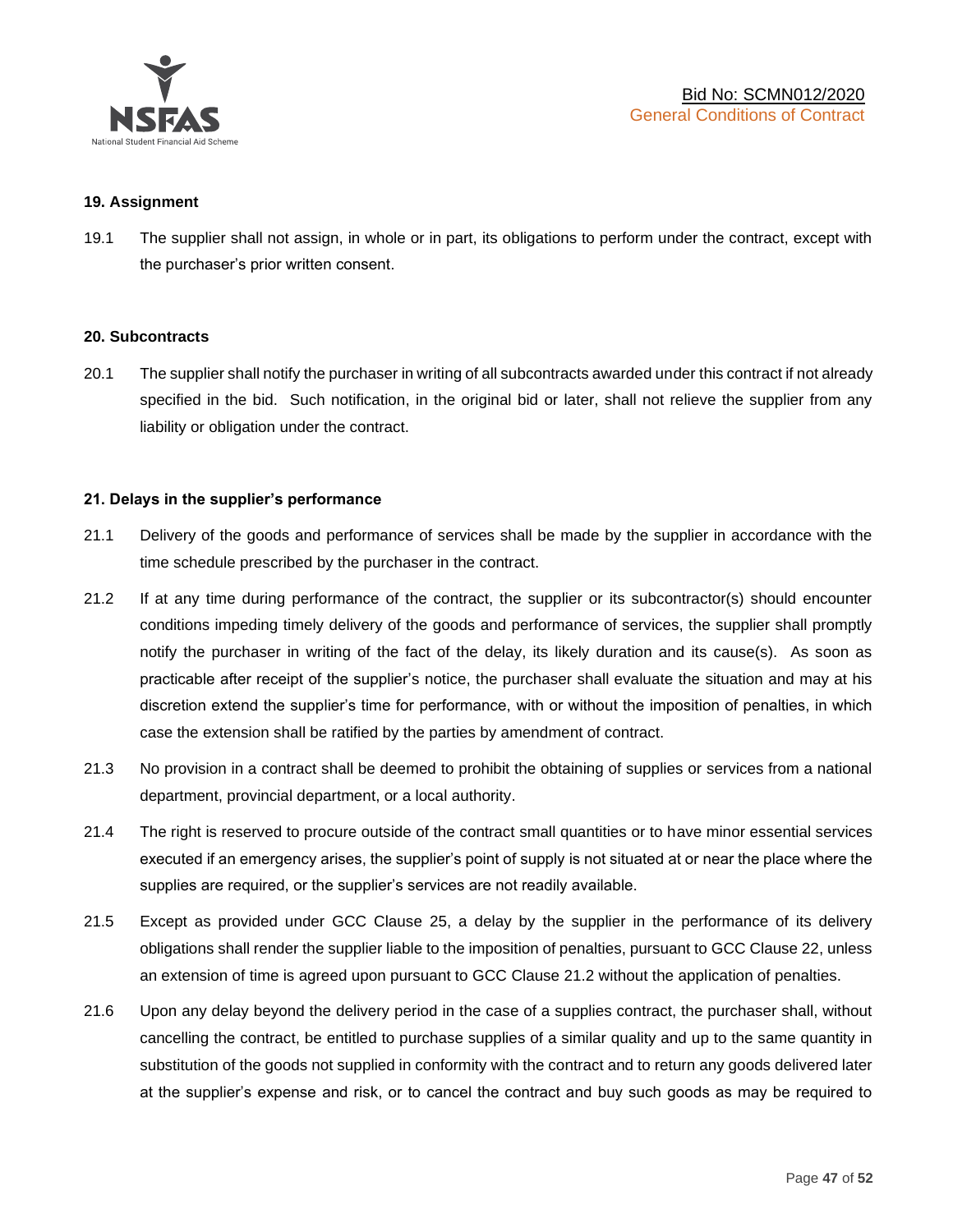

#### **19. Assignment**

19.1 The supplier shall not assign, in whole or in part, its obligations to perform under the contract, except with the purchaser's prior written consent.

#### **20. Subcontracts**

20.1 The supplier shall notify the purchaser in writing of all subcontracts awarded under this contract if not already specified in the bid. Such notification, in the original bid or later, shall not relieve the supplier from any liability or obligation under the contract.

# **21. Delays in the supplier's performance**

- 21.1 Delivery of the goods and performance of services shall be made by the supplier in accordance with the time schedule prescribed by the purchaser in the contract.
- 21.2 If at any time during performance of the contract, the supplier or its subcontractor(s) should encounter conditions impeding timely delivery of the goods and performance of services, the supplier shall promptly notify the purchaser in writing of the fact of the delay, its likely duration and its cause(s). As soon as practicable after receipt of the supplier's notice, the purchaser shall evaluate the situation and may at his discretion extend the supplier's time for performance, with or without the imposition of penalties, in which case the extension shall be ratified by the parties by amendment of contract.
- 21.3 No provision in a contract shall be deemed to prohibit the obtaining of supplies or services from a national department, provincial department, or a local authority.
- 21.4 The right is reserved to procure outside of the contract small quantities or to have minor essential services executed if an emergency arises, the supplier's point of supply is not situated at or near the place where the supplies are required, or the supplier's services are not readily available.
- 21.5 Except as provided under GCC Clause 25, a delay by the supplier in the performance of its delivery obligations shall render the supplier liable to the imposition of penalties, pursuant to GCC Clause 22, unless an extension of time is agreed upon pursuant to GCC Clause 21.2 without the application of penalties.
- 21.6 Upon any delay beyond the delivery period in the case of a supplies contract, the purchaser shall, without cancelling the contract, be entitled to purchase supplies of a similar quality and up to the same quantity in substitution of the goods not supplied in conformity with the contract and to return any goods delivered later at the supplier's expense and risk, or to cancel the contract and buy such goods as may be required to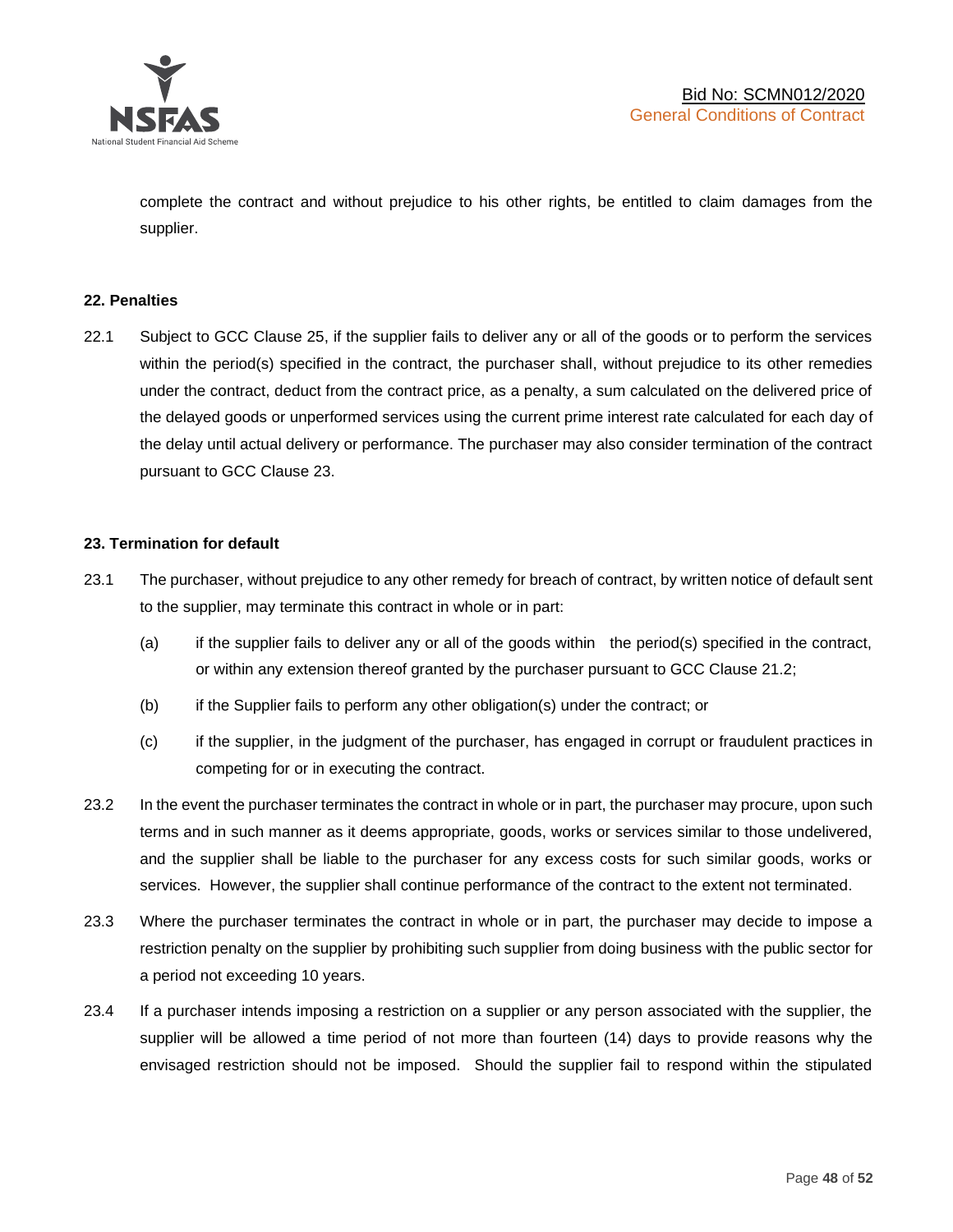

complete the contract and without prejudice to his other rights, be entitled to claim damages from the supplier.

#### **22. Penalties**

22.1 Subject to GCC Clause 25, if the supplier fails to deliver any or all of the goods or to perform the services within the period(s) specified in the contract, the purchaser shall, without prejudice to its other remedies under the contract, deduct from the contract price, as a penalty, a sum calculated on the delivered price of the delayed goods or unperformed services using the current prime interest rate calculated for each day of the delay until actual delivery or performance. The purchaser may also consider termination of the contract pursuant to GCC Clause 23.

# **23. Termination for default**

- 23.1 The purchaser, without prejudice to any other remedy for breach of contract, by written notice of default sent to the supplier, may terminate this contract in whole or in part:
	- (a) if the supplier fails to deliver any or all of the goods within the period(s) specified in the contract, or within any extension thereof granted by the purchaser pursuant to GCC Clause 21.2;
	- (b) if the Supplier fails to perform any other obligation(s) under the contract; or
	- (c) if the supplier, in the judgment of the purchaser, has engaged in corrupt or fraudulent practices in competing for or in executing the contract.
- 23.2 In the event the purchaser terminates the contract in whole or in part, the purchaser may procure, upon such terms and in such manner as it deems appropriate, goods, works or services similar to those undelivered, and the supplier shall be liable to the purchaser for any excess costs for such similar goods, works or services. However, the supplier shall continue performance of the contract to the extent not terminated.
- 23.3 Where the purchaser terminates the contract in whole or in part, the purchaser may decide to impose a restriction penalty on the supplier by prohibiting such supplier from doing business with the public sector for a period not exceeding 10 years.
- 23.4 If a purchaser intends imposing a restriction on a supplier or any person associated with the supplier, the supplier will be allowed a time period of not more than fourteen (14) days to provide reasons why the envisaged restriction should not be imposed. Should the supplier fail to respond within the stipulated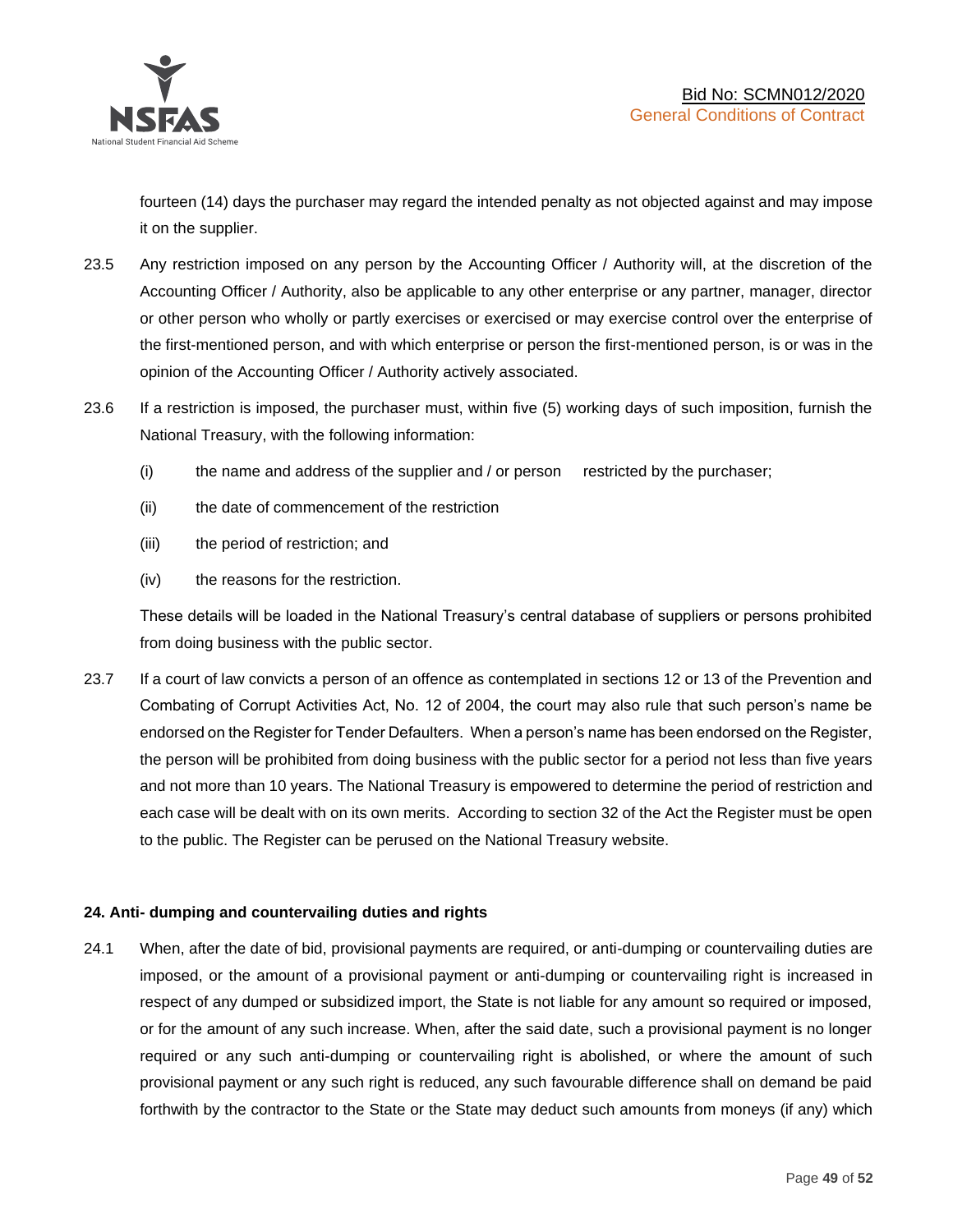

fourteen (14) days the purchaser may regard the intended penalty as not objected against and may impose it on the supplier.

- 23.5 Any restriction imposed on any person by the Accounting Officer / Authority will, at the discretion of the Accounting Officer / Authority, also be applicable to any other enterprise or any partner, manager, director or other person who wholly or partly exercises or exercised or may exercise control over the enterprise of the first-mentioned person, and with which enterprise or person the first-mentioned person, is or was in the opinion of the Accounting Officer / Authority actively associated.
- 23.6 If a restriction is imposed, the purchaser must, within five (5) working days of such imposition, furnish the National Treasury, with the following information:
	- (i) the name and address of the supplier and / or person restricted by the purchaser;
	- (ii) the date of commencement of the restriction
	- (iii) the period of restriction; and
	- (iv) the reasons for the restriction.

These details will be loaded in the National Treasury's central database of suppliers or persons prohibited from doing business with the public sector.

23.7 If a court of law convicts a person of an offence as contemplated in sections 12 or 13 of the Prevention and Combating of Corrupt Activities Act, No. 12 of 2004, the court may also rule that such person's name be endorsed on the Register for Tender Defaulters. When a person's name has been endorsed on the Register, the person will be prohibited from doing business with the public sector for a period not less than five years and not more than 10 years. The National Treasury is empowered to determine the period of restriction and each case will be dealt with on its own merits. According to section 32 of the Act the Register must be open to the public. The Register can be perused on the National Treasury website.

# **24. Anti- dumping and countervailing duties and rights**

24.1 When, after the date of bid, provisional payments are required, or anti-dumping or countervailing duties are imposed, or the amount of a provisional payment or anti-dumping or countervailing right is increased in respect of any dumped or subsidized import, the State is not liable for any amount so required or imposed, or for the amount of any such increase. When, after the said date, such a provisional payment is no longer required or any such anti-dumping or countervailing right is abolished, or where the amount of such provisional payment or any such right is reduced, any such favourable difference shall on demand be paid forthwith by the contractor to the State or the State may deduct such amounts from moneys (if any) which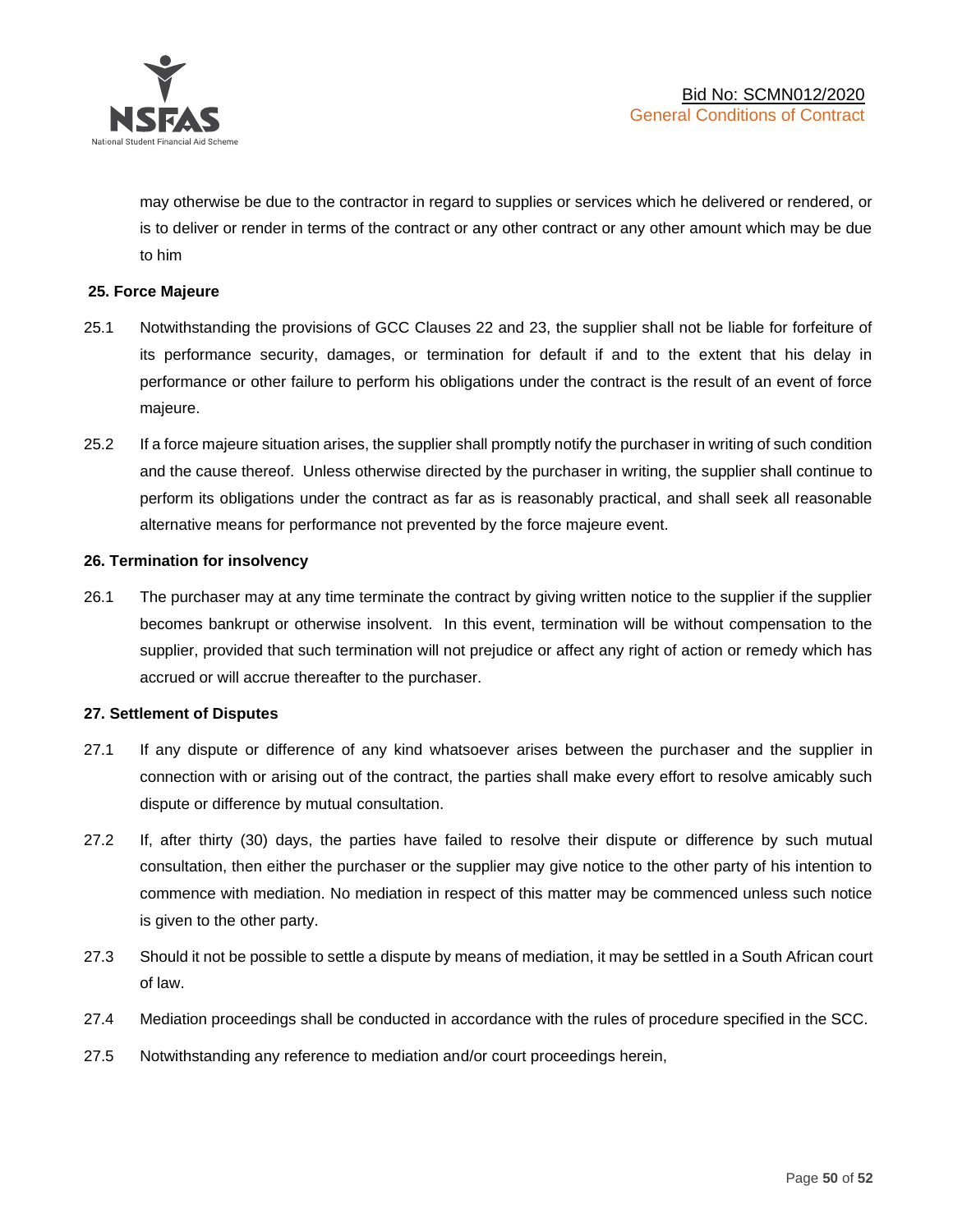

may otherwise be due to the contractor in regard to supplies or services which he delivered or rendered, or is to deliver or render in terms of the contract or any other contract or any other amount which may be due to him

# **25. Force Majeure**

- 25.1 Notwithstanding the provisions of GCC Clauses 22 and 23, the supplier shall not be liable for forfeiture of its performance security, damages, or termination for default if and to the extent that his delay in performance or other failure to perform his obligations under the contract is the result of an event of force majeure.
- 25.2 If a force majeure situation arises, the supplier shall promptly notify the purchaser in writing of such condition and the cause thereof. Unless otherwise directed by the purchaser in writing, the supplier shall continue to perform its obligations under the contract as far as is reasonably practical, and shall seek all reasonable alternative means for performance not prevented by the force majeure event.

#### **26. Termination for insolvency**

26.1 The purchaser may at any time terminate the contract by giving written notice to the supplier if the supplier becomes bankrupt or otherwise insolvent. In this event, termination will be without compensation to the supplier, provided that such termination will not prejudice or affect any right of action or remedy which has accrued or will accrue thereafter to the purchaser.

#### **27. Settlement of Disputes**

- 27.1 If any dispute or difference of any kind whatsoever arises between the purchaser and the supplier in connection with or arising out of the contract, the parties shall make every effort to resolve amicably such dispute or difference by mutual consultation.
- 27.2 If, after thirty (30) days, the parties have failed to resolve their dispute or difference by such mutual consultation, then either the purchaser or the supplier may give notice to the other party of his intention to commence with mediation. No mediation in respect of this matter may be commenced unless such notice is given to the other party.
- 27.3 Should it not be possible to settle a dispute by means of mediation, it may be settled in a South African court of law.
- 27.4 Mediation proceedings shall be conducted in accordance with the rules of procedure specified in the SCC.
- 27.5 Notwithstanding any reference to mediation and/or court proceedings herein,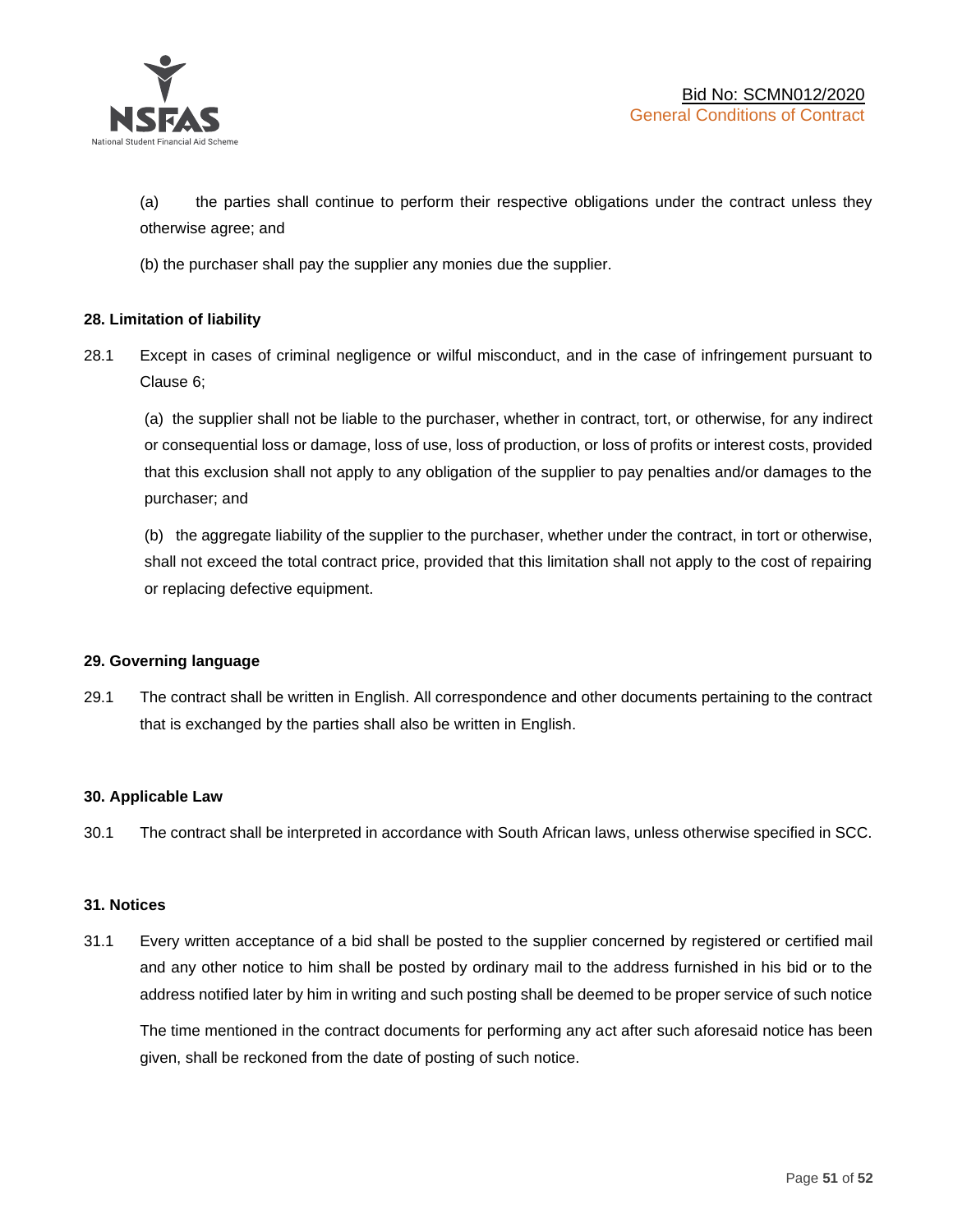

(a) the parties shall continue to perform their respective obligations under the contract unless they otherwise agree; and

(b) the purchaser shall pay the supplier any monies due the supplier.

# **28. Limitation of liability**

28.1 Except in cases of criminal negligence or wilful misconduct, and in the case of infringement pursuant to Clause 6;

(a) the supplier shall not be liable to the purchaser, whether in contract, tort, or otherwise, for any indirect or consequential loss or damage, loss of use, loss of production, or loss of profits or interest costs, provided that this exclusion shall not apply to any obligation of the supplier to pay penalties and/or damages to the purchaser; and

(b) the aggregate liability of the supplier to the purchaser, whether under the contract, in tort or otherwise, shall not exceed the total contract price, provided that this limitation shall not apply to the cost of repairing or replacing defective equipment.

#### **29. Governing language**

29.1 The contract shall be written in English. All correspondence and other documents pertaining to the contract that is exchanged by the parties shall also be written in English.

#### **30. Applicable Law**

30.1 The contract shall be interpreted in accordance with South African laws, unless otherwise specified in SCC.

#### **31. Notices**

31.1 Every written acceptance of a bid shall be posted to the supplier concerned by registered or certified mail and any other notice to him shall be posted by ordinary mail to the address furnished in his bid or to the address notified later by him in writing and such posting shall be deemed to be proper service of such notice

The time mentioned in the contract documents for performing any act after such aforesaid notice has been given, shall be reckoned from the date of posting of such notice.